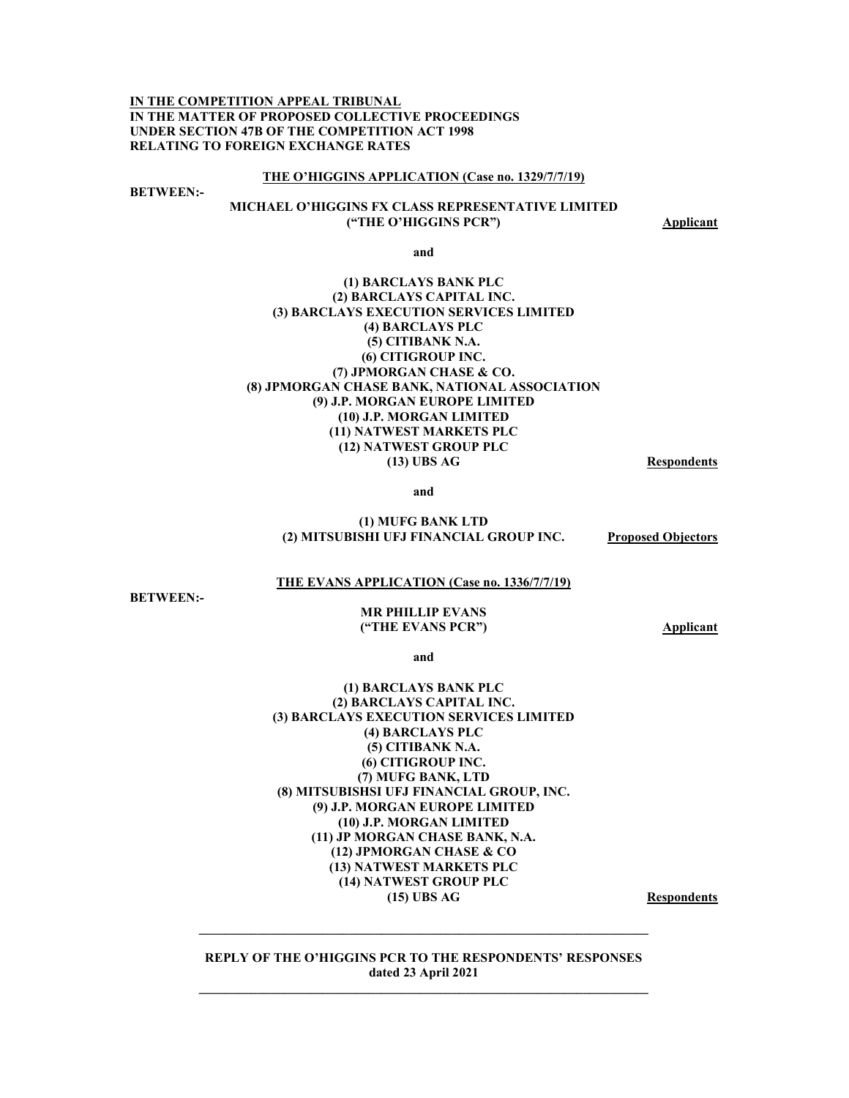**IN THE COMPETITION APPEAL TRIBUNAL IN THE MATTER OF PROPOSED COLLECTIVE PROCEEDINGS UNDER SECTION 47B OF THE COMPETITION ACT 1998 RELATING TO FOREIGN EXCHANGE RATES** 

#### **THE O'HIGGINS APPLICATION (Case no. 1329/7/7/19)**

**BETWEEN:-** 

#### **MICHAEL O'HIGGINS FX CLASS REPRESENTATIVE LIMITED ("THE O'HIGGINS PCR")** Applicant

**and** 

#### **(1) BARCLAYS BANK PLC (2) BARCLAYS CAPITAL INC. (3) BARCLAYS EXECUTION SERVICES LIMITED (4) BARCLAYS PLC (5) CITIBANK N.A. (6) CITIGROUP INC. (7) JPMORGAN CHASE & CO. (8) JPMORGAN CHASE BANK, NATIONAL ASSOCIATION (9) J.P. MORGAN EUROPE LIMITED (10) J.P. MORGAN LIMITED (11) NATWEST MARKETS PLC (12) NATWEST GROUP PLC (13) UBS AG Respondents**

**and** 

#### **(1) MUFG BANK LTD (2) MITSUBISHI UFJ FINANCIAL GROUP INC. Proposed Objectors**

#### **THE EVANS APPLICATION (Case no. 1336/7/7/19)**

**BETWEEN:-** 

#### **MR PHILLIP EVANS ("THE EVANS PCR") Applicant**

**and** 

#### **(1) BARCLAYS BANK PLC (2) BARCLAYS CAPITAL INC. (3) BARCLAYS EXECUTION SERVICES LIMITED (4) BARCLAYS PLC (5) CITIBANK N.A. (6) CITIGROUP INC. (7) MUFG BANK, LTD (8) MITSUBISHSI UFJ FINANCIAL GROUP, INC. (9) J.P. MORGAN EUROPE LIMITED (10) J.P. MORGAN LIMITED (11) JP MORGAN CHASE BANK, N.A. (12) JPMORGAN CHASE & CO (13) NATWEST MARKETS PLC (14) NATWEST GROUP PLC**  (15) UBS AG Respondents

**REPLY OF THE O'HIGGINS PCR TO THE RESPONDENTS' RESPONSES dated 23 April 2021** 

**\_\_\_\_\_\_\_\_\_\_\_\_\_\_\_\_\_\_\_\_\_\_\_\_\_\_\_\_\_\_\_\_\_\_\_\_\_\_\_\_\_\_\_\_\_\_\_\_\_\_\_\_\_\_\_\_\_\_\_\_\_\_\_\_\_\_\_\_\_**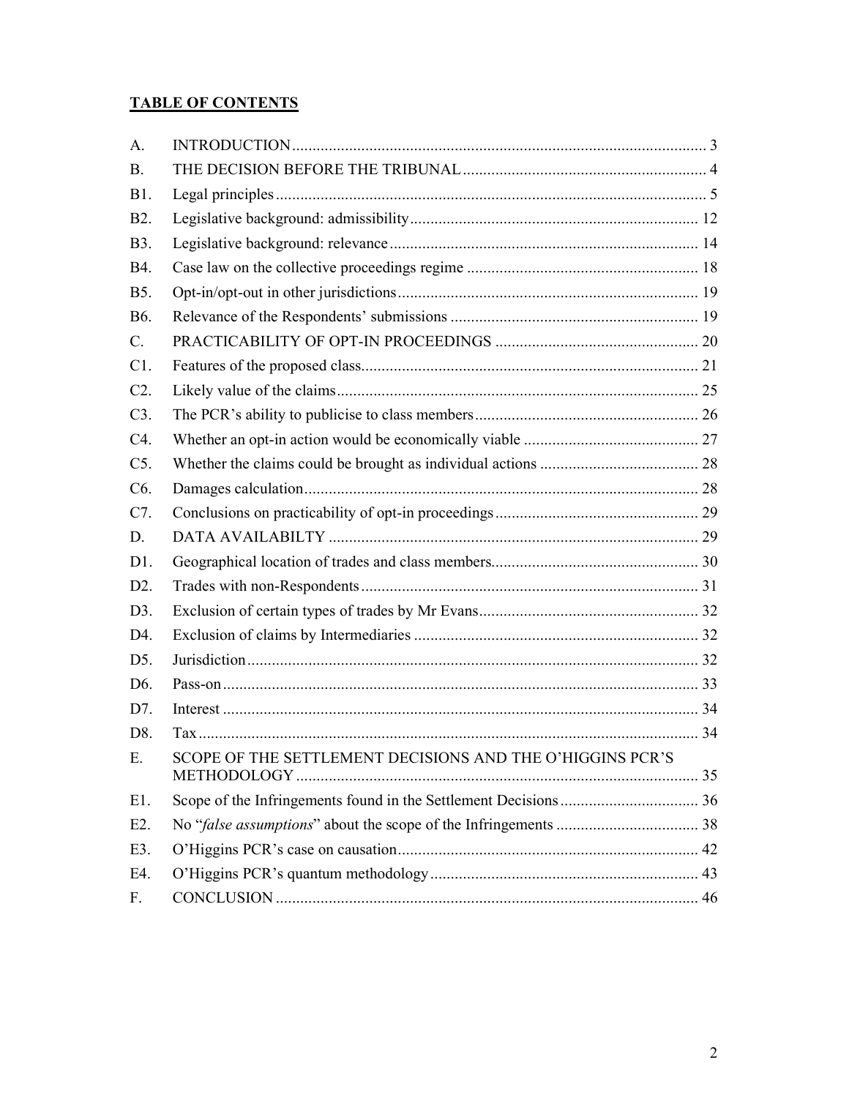# **TABLE OF CONTENTS**

| SCOPE OF THE SETTLEMENT DECISIONS AND THE O'HIGGINS PCR'S |
|-----------------------------------------------------------|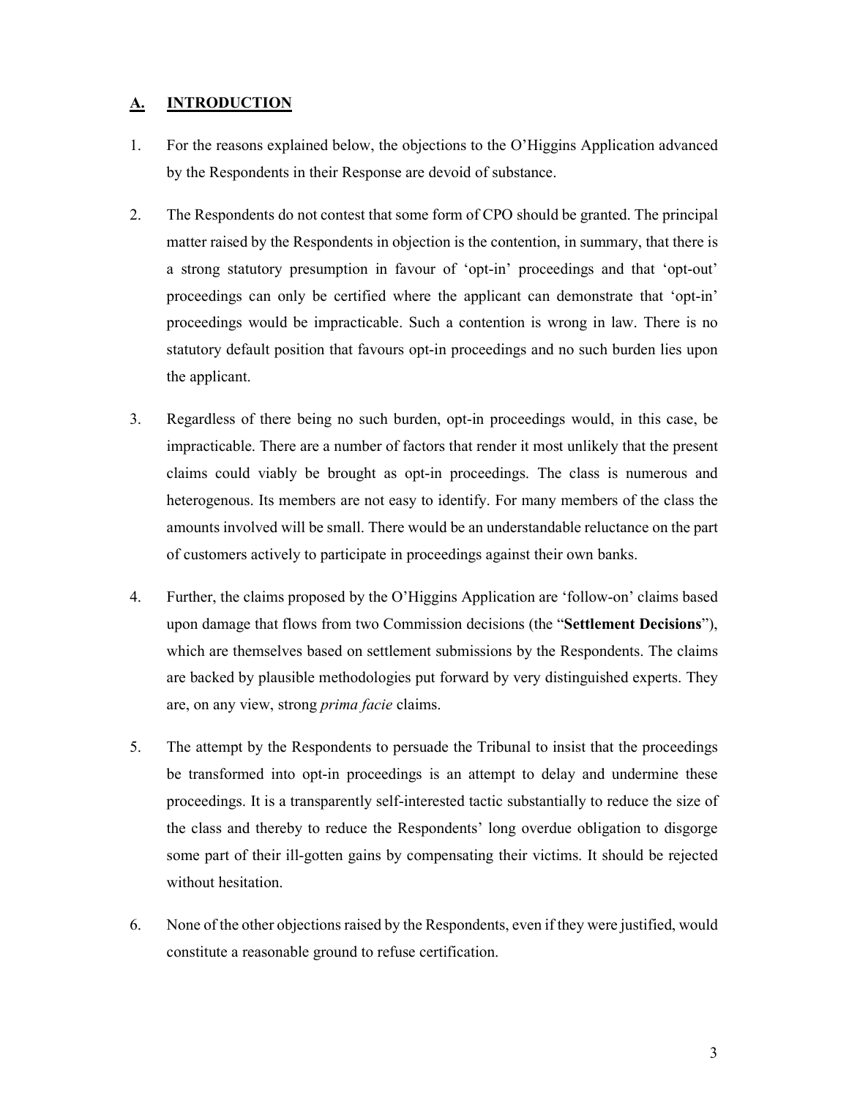# **A. INTRODUCTION**

- 1. For the reasons explained below, the objections to the O'Higgins Application advanced by the Respondents in their Response are devoid of substance.
- 2. The Respondents do not contest that some form of CPO should be granted. The principal matter raised by the Respondents in objection is the contention, in summary, that there is a strong statutory presumption in favour of 'opt-in' proceedings and that 'opt-out' proceedings can only be certified where the applicant can demonstrate that 'opt-in' proceedings would be impracticable. Such a contention is wrong in law. There is no statutory default position that favours opt-in proceedings and no such burden lies upon the applicant.
- 3. Regardless of there being no such burden, opt-in proceedings would, in this case, be impracticable. There are a number of factors that render it most unlikely that the present claims could viably be brought as opt-in proceedings. The class is numerous and heterogenous. Its members are not easy to identify. For many members of the class the amounts involved will be small. There would be an understandable reluctance on the part of customers actively to participate in proceedings against their own banks.
- 4. Further, the claims proposed by the O'Higgins Application are 'follow-on' claims based upon damage that flows from two Commission decisions (the "**Settlement Decisions**"), which are themselves based on settlement submissions by the Respondents. The claims are backed by plausible methodologies put forward by very distinguished experts. They are, on any view, strong *prima facie* claims.
- 5. The attempt by the Respondents to persuade the Tribunal to insist that the proceedings be transformed into opt-in proceedings is an attempt to delay and undermine these proceedings. It is a transparently self-interested tactic substantially to reduce the size of the class and thereby to reduce the Respondents' long overdue obligation to disgorge some part of their ill-gotten gains by compensating their victims. It should be rejected without hesitation.
- 6. None of the other objections raised by the Respondents, even if they were justified, would constitute a reasonable ground to refuse certification.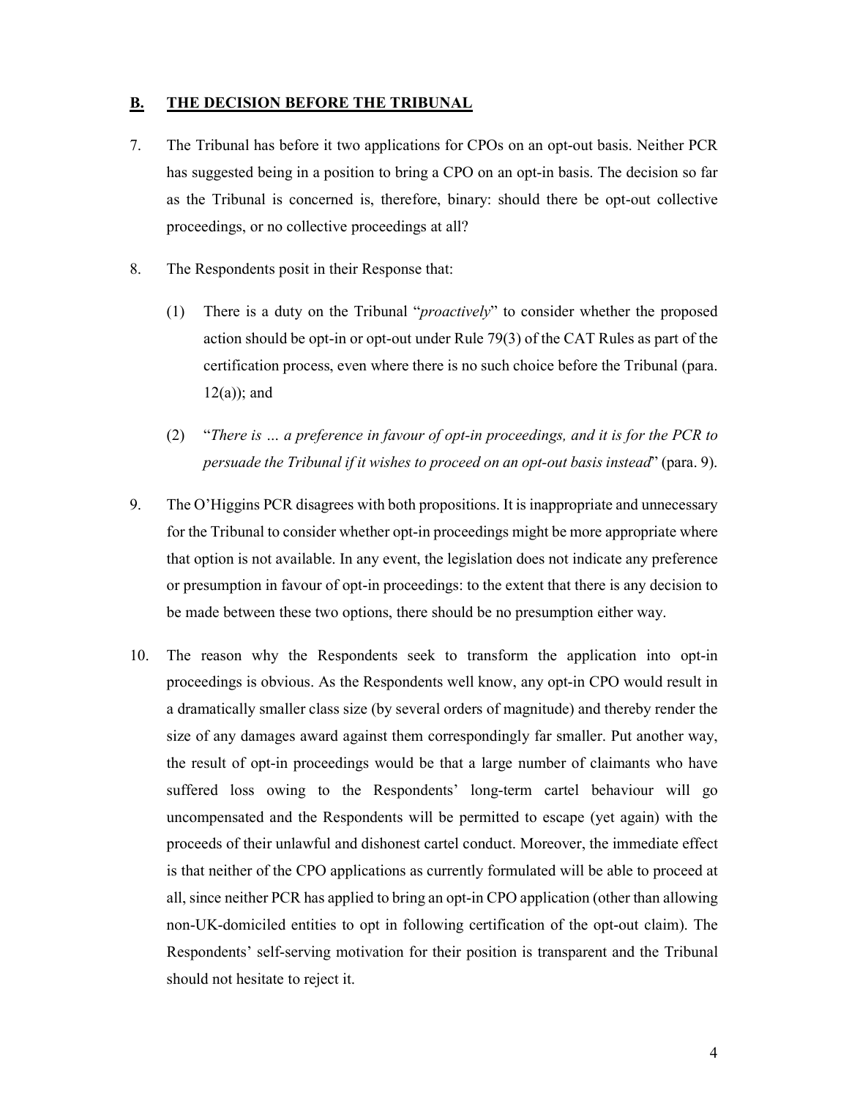### **B. THE DECISION BEFORE THE TRIBUNAL**

- 7. The Tribunal has before it two applications for CPOs on an opt-out basis. Neither PCR has suggested being in a position to bring a CPO on an opt-in basis. The decision so far as the Tribunal is concerned is, therefore, binary: should there be opt-out collective proceedings, or no collective proceedings at all?
- 8. The Respondents posit in their Response that:
	- (1) There is a duty on the Tribunal "*proactively*" to consider whether the proposed action should be opt-in or opt-out under Rule 79(3) of the CAT Rules as part of the certification process, even where there is no such choice before the Tribunal (para.  $12(a)$ ; and
	- (2) "*There is … a preference in favour of opt-in proceedings, and it is for the PCR to persuade the Tribunal if it wishes to proceed on an opt-out basis instead*" (para. 9).
- 9. The O'Higgins PCR disagrees with both propositions. It is inappropriate and unnecessary for the Tribunal to consider whether opt-in proceedings might be more appropriate where that option is not available. In any event, the legislation does not indicate any preference or presumption in favour of opt-in proceedings: to the extent that there is any decision to be made between these two options, there should be no presumption either way.
- 10. The reason why the Respondents seek to transform the application into opt-in proceedings is obvious. As the Respondents well know, any opt-in CPO would result in a dramatically smaller class size (by several orders of magnitude) and thereby render the size of any damages award against them correspondingly far smaller. Put another way, the result of opt-in proceedings would be that a large number of claimants who have suffered loss owing to the Respondents' long-term cartel behaviour will go uncompensated and the Respondents will be permitted to escape (yet again) with the proceeds of their unlawful and dishonest cartel conduct. Moreover, the immediate effect is that neither of the CPO applications as currently formulated will be able to proceed at all, since neither PCR has applied to bring an opt-in CPO application (other than allowing non-UK-domiciled entities to opt in following certification of the opt-out claim). The Respondents' self-serving motivation for their position is transparent and the Tribunal should not hesitate to reject it.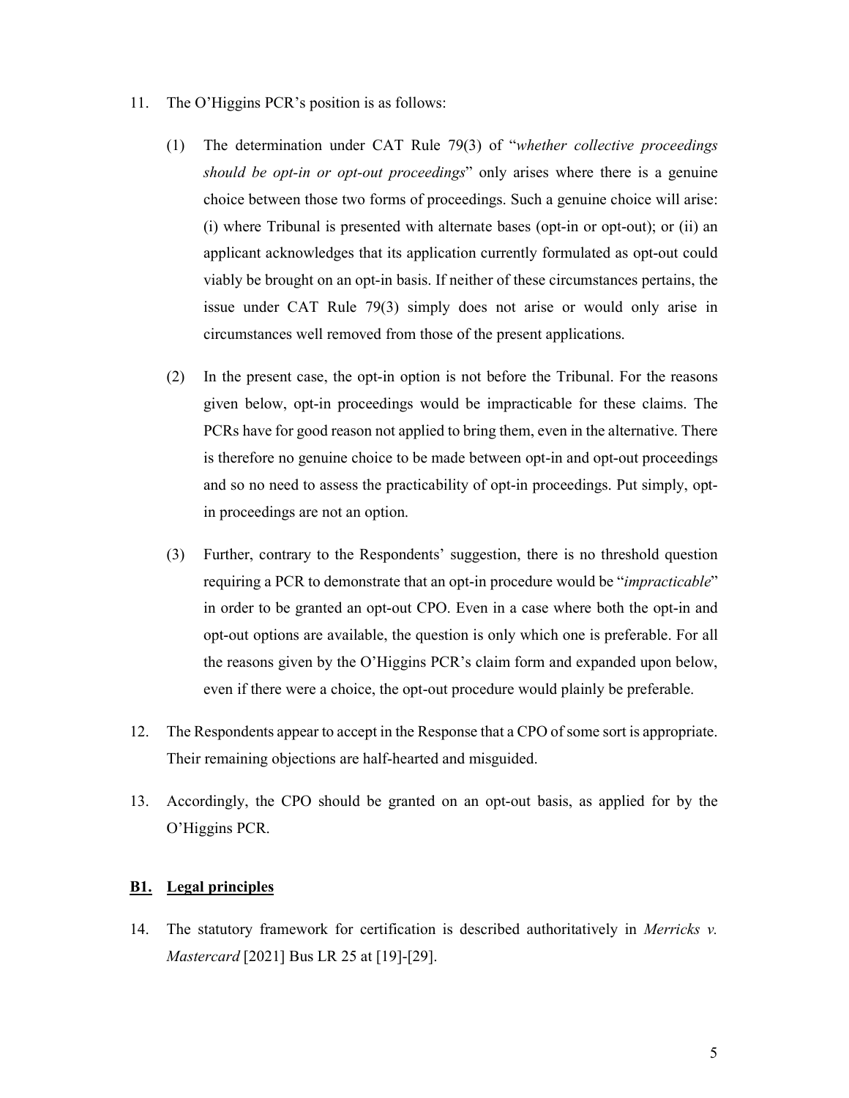- 11. The O'Higgins PCR's position is as follows:
	- (1) The determination under CAT Rule 79(3) of "*whether collective proceedings should be opt-in or opt-out proceedings*" only arises where there is a genuine choice between those two forms of proceedings. Such a genuine choice will arise: (i) where Tribunal is presented with alternate bases (opt-in or opt-out); or (ii) an applicant acknowledges that its application currently formulated as opt-out could viably be brought on an opt-in basis. If neither of these circumstances pertains, the issue under CAT Rule 79(3) simply does not arise or would only arise in circumstances well removed from those of the present applications.
	- (2) In the present case, the opt-in option is not before the Tribunal. For the reasons given below, opt-in proceedings would be impracticable for these claims. The PCRs have for good reason not applied to bring them, even in the alternative. There is therefore no genuine choice to be made between opt-in and opt-out proceedings and so no need to assess the practicability of opt-in proceedings. Put simply, optin proceedings are not an option.
	- (3) Further, contrary to the Respondents' suggestion, there is no threshold question requiring a PCR to demonstrate that an opt-in procedure would be "*impracticable*" in order to be granted an opt-out CPO. Even in a case where both the opt-in and opt-out options are available, the question is only which one is preferable. For all the reasons given by the O'Higgins PCR's claim form and expanded upon below, even if there were a choice, the opt-out procedure would plainly be preferable.
- 12. The Respondents appear to accept in the Response that a CPO of some sort is appropriate. Their remaining objections are half-hearted and misguided.
- 13. Accordingly, the CPO should be granted on an opt-out basis, as applied for by the O'Higgins PCR.

### **B1. Legal principles**

14. The statutory framework for certification is described authoritatively in *Merricks v. Mastercard* [2021] Bus LR 25 at [19]-[29].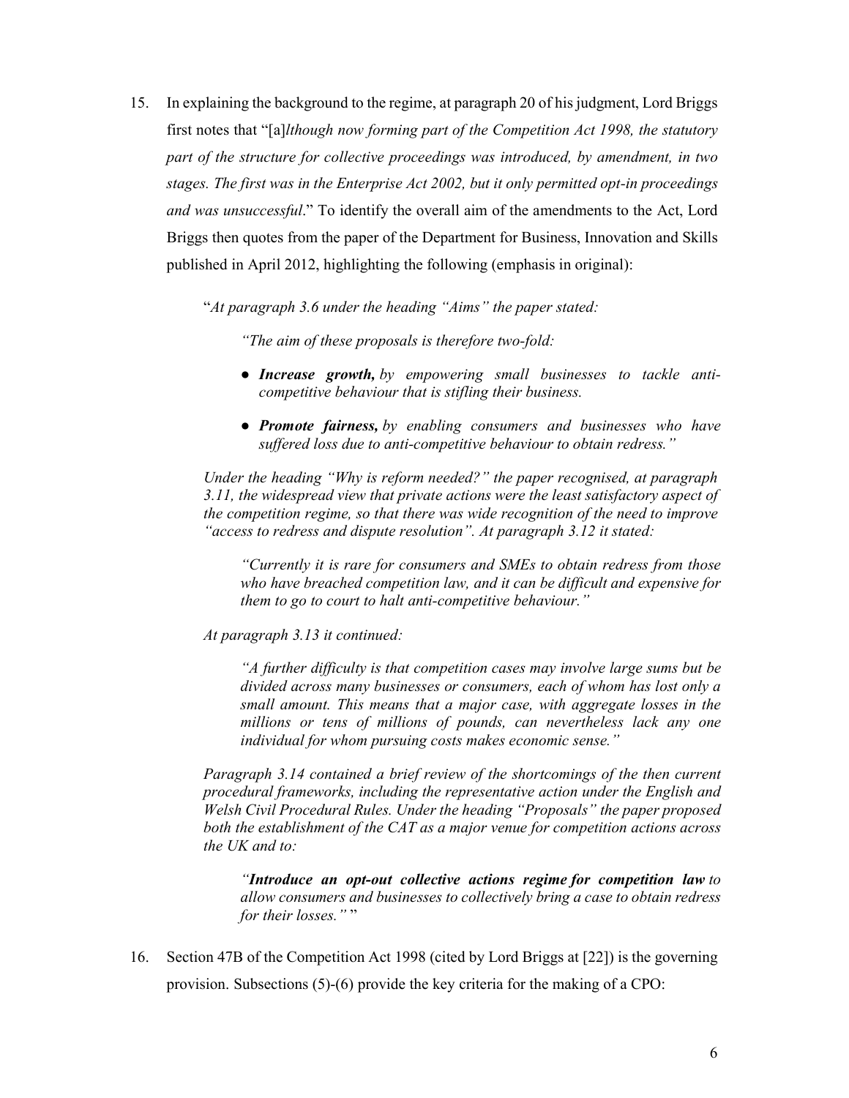15. In explaining the background to the regime, at paragraph 20 of his judgment, Lord Briggs first notes that "[a]*lthough now forming part of the Competition Act 1998, the statutory part of the structure for collective proceedings was introduced, by amendment, in two stages. The first was in the Enterprise Act 2002, but it only permitted opt-in proceedings and was unsuccessful*." To identify the overall aim of the amendments to the Act, Lord Briggs then quotes from the paper of the Department for Business, Innovation and Skills published in April 2012, highlighting the following (emphasis in original):

"*At paragraph 3.6 under the heading "Aims" the paper stated:* 

*"The aim of these proposals is therefore two-fold:* 

- *● Increase growth, by empowering small businesses to tackle anticompetitive behaviour that is stifling their business.*
- *● Promote fairness, by enabling consumers and businesses who have suffered loss due to anti-competitive behaviour to obtain redress."*

*Under the heading "Why is reform needed?" the paper recognised, at paragraph 3.11, the widespread view that private actions were the least satisfactory aspect of the competition regime, so that there was wide recognition of the need to improve "access to redress and dispute resolution". At paragraph 3.12 it stated:* 

*"Currently it is rare for consumers and SMEs to obtain redress from those who have breached competition law, and it can be difficult and expensive for them to go to court to halt anti-competitive behaviour."* 

*At paragraph 3.13 it continued:* 

*"A further difficulty is that competition cases may involve large sums but be divided across many businesses or consumers, each of whom has lost only a small amount. This means that a major case, with aggregate losses in the millions or tens of millions of pounds, can nevertheless lack any one individual for whom pursuing costs makes economic sense."* 

*Paragraph 3.14 contained a brief review of the shortcomings of the then current procedural frameworks, including the representative action under the English and Welsh Civil Procedural Rules. Under the heading "Proposals" the paper proposed both the establishment of the CAT as a major venue for competition actions across the UK and to:* 

*"Introduce an opt-out collective actions regime for competition law to allow consumers and businesses to collectively bring a case to obtain redress for their losses.*""

16. Section 47B of the Competition Act 1998 (cited by Lord Briggs at [22]) is the governing provision. Subsections (5)-(6) provide the key criteria for the making of a CPO: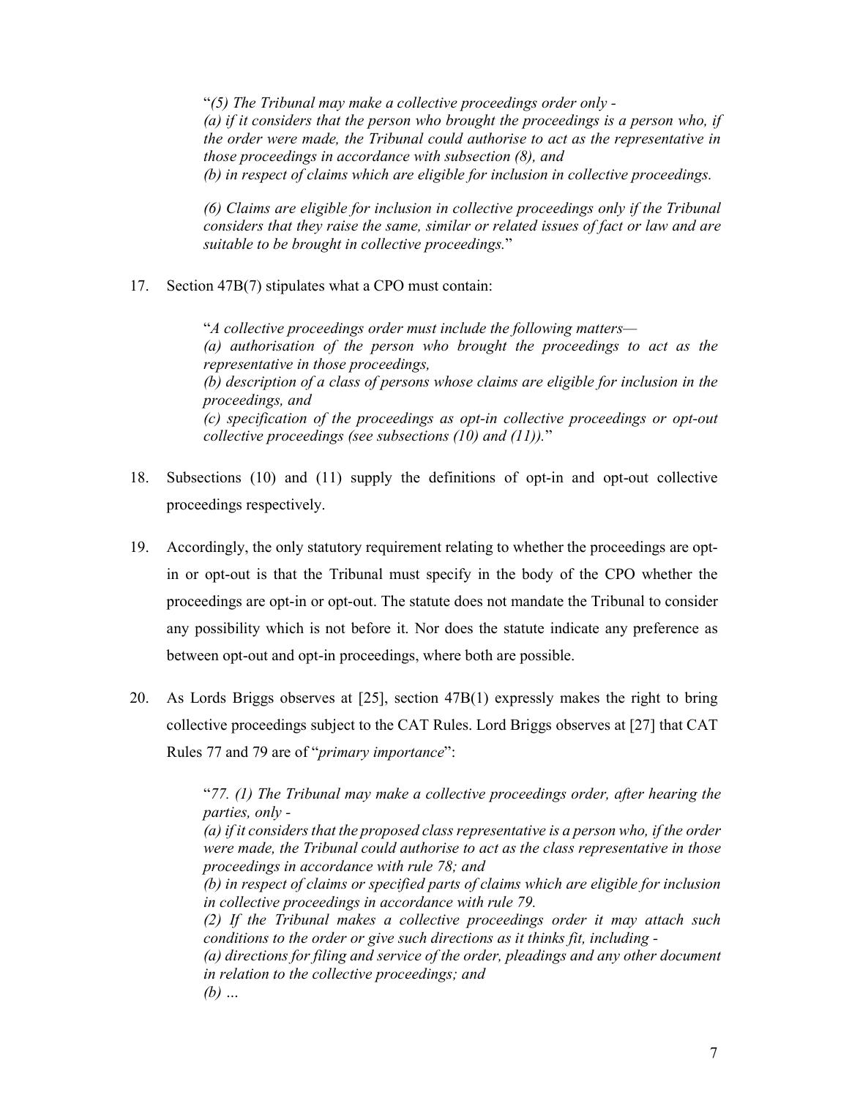"*(5) The Tribunal may make a collective proceedings order only - (a) if it considers that the person who brought the proceedings is a person who, if the order were made, the Tribunal could authorise to act as the representative in those proceedings in accordance with subsection (8), and (b) in respect of claims which are eligible for inclusion in collective proceedings.* 

*(6) Claims are eligible for inclusion in collective proceedings only if the Tribunal considers that they raise the same, similar or related issues of fact or law and are suitable to be brought in collective proceedings.*"

17. Section 47B(7) stipulates what a CPO must contain:

"*A collective proceedings order must include the following matters— (a) authorisation of the person who brought the proceedings to act as the representative in those proceedings, (b) description of a class of persons whose claims are eligible for inclusion in the proceedings, and (c) specification of the proceedings as opt-in collective proceedings or opt-out collective proceedings (see subsections (10) and (11)).*"

- 18. Subsections (10) and (11) supply the definitions of opt-in and opt-out collective proceedings respectively.
- 19. Accordingly, the only statutory requirement relating to whether the proceedings are optin or opt-out is that the Tribunal must specify in the body of the CPO whether the proceedings are opt-in or opt-out. The statute does not mandate the Tribunal to consider any possibility which is not before it. Nor does the statute indicate any preference as between opt-out and opt-in proceedings, where both are possible.
- 20. As Lords Briggs observes at [25], section 47B(1) expressly makes the right to bring collective proceedings subject to the CAT Rules. Lord Briggs observes at [27] that CAT Rules 77 and 79 are of "*primary importance*":

"*77. (1) The Tribunal may make a collective proceedings order, after hearing the parties, only -* 

*(a) if it considers that the proposed class representative is a person who, if the order were made, the Tribunal could authorise to act as the class representative in those proceedings in accordance with rule 78; and* 

*(b) in respect of claims or specified parts of claims which are eligible for inclusion in collective proceedings in accordance with rule 79.* 

*(2) If the Tribunal makes a collective proceedings order it may attach such conditions to the order or give such directions as it thinks fit, including -* 

*(a) directions for filing and service of the order, pleadings and any other document in relation to the collective proceedings; and (b) …*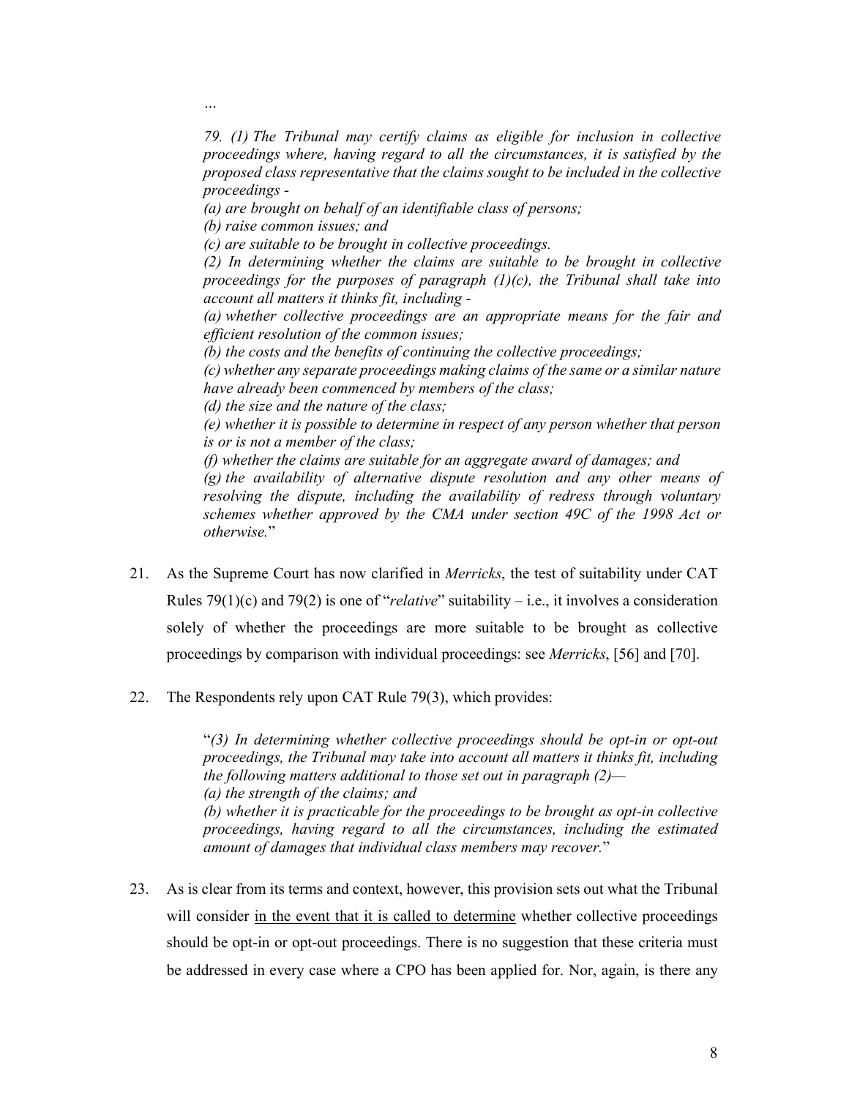*79. (1) The Tribunal may certify claims as eligible for inclusion in collective proceedings where, having regard to all the circumstances, it is satisfied by the proposed class representative that the claims sought to be included in the collective proceedings -* 

*(a) are brought on behalf of an identifiable class of persons;* 

*(b) raise common issues; and* 

*…* 

*(c) are suitable to be brought in collective proceedings.* 

*(2) In determining whether the claims are suitable to be brought in collective proceedings for the purposes of paragraph (1)(c), the Tribunal shall take into account all matters it thinks fit, including -* 

*(a) whether collective proceedings are an appropriate means for the fair and efficient resolution of the common issues;* 

*(b) the costs and the benefits of continuing the collective proceedings;* 

*(c) whether any separate proceedings making claims of the same or a similar nature have already been commenced by members of the class;* 

*(d) the size and the nature of the class;* 

*(e) whether it is possible to determine in respect of any person whether that person is or is not a member of the class;* 

*(f) whether the claims are suitable for an aggregate award of damages; and* 

*(g) the availability of alternative dispute resolution and any other means of resolving the dispute, including the availability of redress through voluntary schemes whether approved by the CMA under section 49C of the 1998 Act or otherwise.*"

- 21. As the Supreme Court has now clarified in *Merricks*, the test of suitability under CAT Rules 79(1)(c) and 79(2) is one of "*relative*" suitability – i.e., it involves a consideration solely of whether the proceedings are more suitable to be brought as collective proceedings by comparison with individual proceedings: see *Merricks*, [56] and [70].
- 22. The Respondents rely upon CAT Rule 79(3), which provides:

"*(3) In determining whether collective proceedings should be opt-in or opt-out proceedings, the Tribunal may take into account all matters it thinks fit, including the following matters additional to those set out in paragraph (2)— (a) the strength of the claims; and (b) whether it is practicable for the proceedings to be brought as opt-in collective proceedings, having regard to all the circumstances, including the estimated amount of damages that individual class members may recover.*"

23. As is clear from its terms and context, however, this provision sets out what the Tribunal will consider in the event that it is called to determine whether collective proceedings should be opt-in or opt-out proceedings. There is no suggestion that these criteria must be addressed in every case where a CPO has been applied for. Nor, again, is there any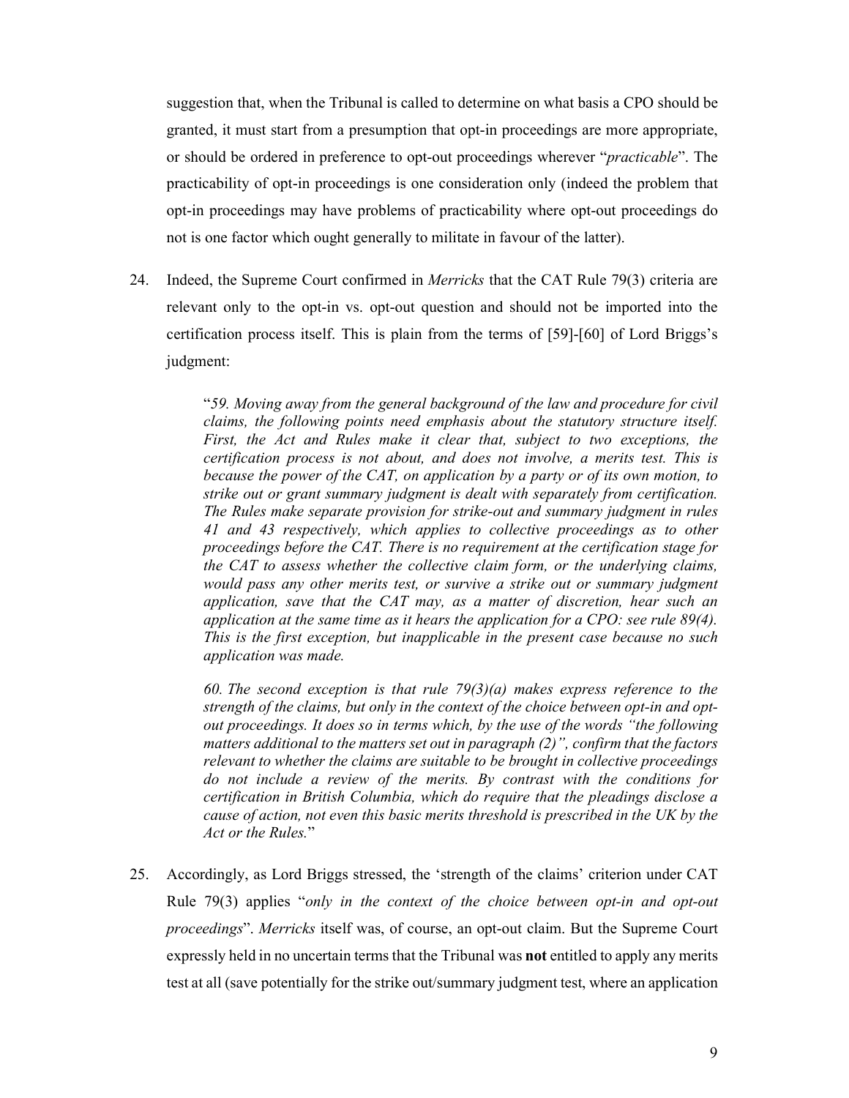suggestion that, when the Tribunal is called to determine on what basis a CPO should be granted, it must start from a presumption that opt-in proceedings are more appropriate, or should be ordered in preference to opt-out proceedings wherever "*practicable*". The practicability of opt-in proceedings is one consideration only (indeed the problem that opt-in proceedings may have problems of practicability where opt-out proceedings do not is one factor which ought generally to militate in favour of the latter).

24. Indeed, the Supreme Court confirmed in *Merricks* that the CAT Rule 79(3) criteria are relevant only to the opt-in vs. opt-out question and should not be imported into the certification process itself. This is plain from the terms of [59]-[60] of Lord Briggs's judgment:

> "*59. Moving away from the general background of the law and procedure for civil claims, the following points need emphasis about the statutory structure itself.*  First, the Act and Rules make it clear that, subject to two exceptions, the *certification process is not about, and does not involve, a merits test. This is because the power of the CAT, on application by a party or of its own motion, to strike out or grant summary judgment is dealt with separately from certification. The Rules make separate provision for strike-out and summary judgment in rules 41 and 43 respectively, which applies to collective proceedings as to other proceedings before the CAT. There is no requirement at the certification stage for the CAT to assess whether the collective claim form, or the underlying claims,*  would pass any other merits test, or survive a strike out or summary judgment *application, save that the CAT may, as a matter of discretion, hear such an application at the same time as it hears the application for a CPO: see rule 89(4). This is the first exception, but inapplicable in the present case because no such application was made.*

> *60. The second exception is that rule 79(3)(a) makes express reference to the strength of the claims, but only in the context of the choice between opt-in and optout proceedings. It does so in terms which, by the use of the words "the following matters additional to the matters set out in paragraph (2)", confirm that the factors relevant to whether the claims are suitable to be brought in collective proceedings do not include a review of the merits. By contrast with the conditions for certification in British Columbia, which do require that the pleadings disclose a cause of action, not even this basic merits threshold is prescribed in the UK by the Act or the Rules.*"

25. Accordingly, as Lord Briggs stressed, the 'strength of the claims' criterion under CAT Rule 79(3) applies "*only in the context of the choice between opt-in and opt-out proceedings*". *Merricks* itself was, of course, an opt-out claim. But the Supreme Court expressly held in no uncertain terms that the Tribunal was **not** entitled to apply any merits test at all (save potentially for the strike out/summary judgment test, where an application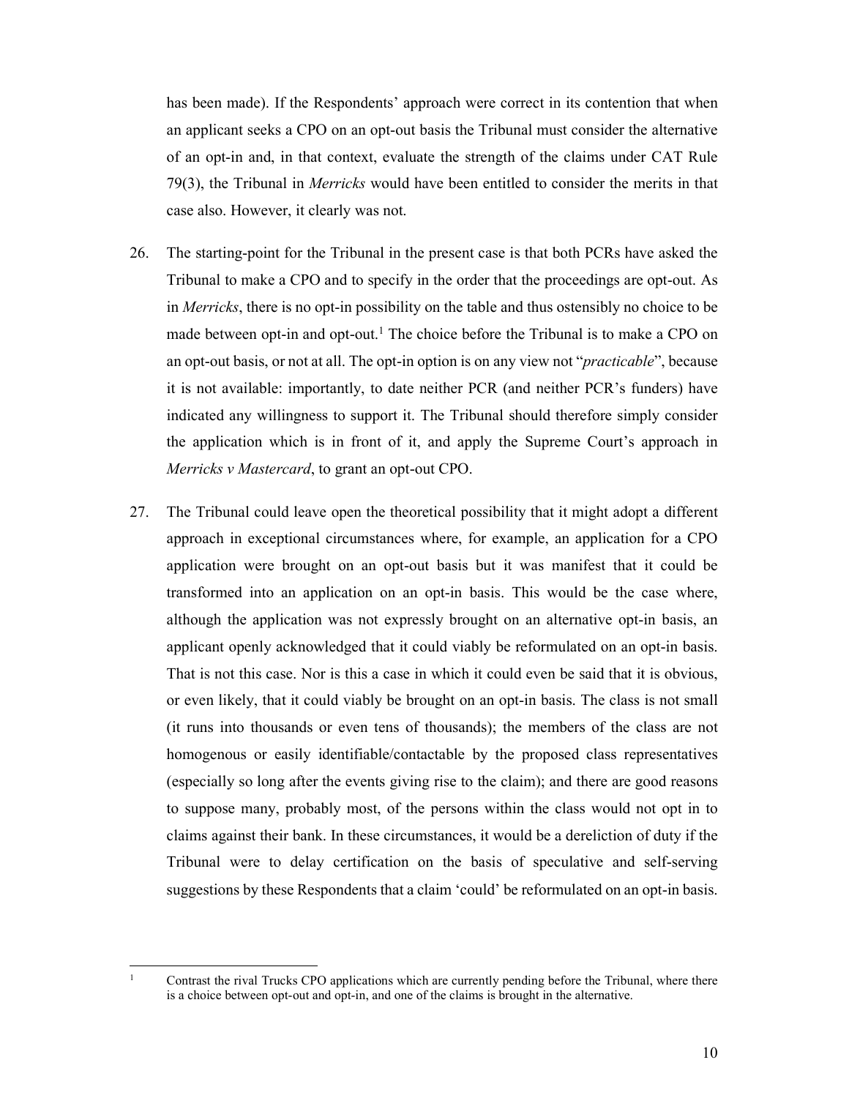has been made). If the Respondents' approach were correct in its contention that when an applicant seeks a CPO on an opt-out basis the Tribunal must consider the alternative of an opt-in and, in that context, evaluate the strength of the claims under CAT Rule 79(3), the Tribunal in *Merricks* would have been entitled to consider the merits in that case also. However, it clearly was not.

- 26. The starting-point for the Tribunal in the present case is that both PCRs have asked the Tribunal to make a CPO and to specify in the order that the proceedings are opt-out. As in *Merricks*, there is no opt-in possibility on the table and thus ostensibly no choice to be made between opt-in and opt-out.<sup>1</sup> The choice before the Tribunal is to make a CPO on an opt-out basis, or not at all. The opt-in option is on any view not "*practicable*", because it is not available: importantly, to date neither PCR (and neither PCR's funders) have indicated any willingness to support it. The Tribunal should therefore simply consider the application which is in front of it, and apply the Supreme Court's approach in *Merricks v Mastercard*, to grant an opt-out CPO.
- 27. The Tribunal could leave open the theoretical possibility that it might adopt a different approach in exceptional circumstances where, for example, an application for a CPO application were brought on an opt-out basis but it was manifest that it could be transformed into an application on an opt-in basis. This would be the case where, although the application was not expressly brought on an alternative opt-in basis, an applicant openly acknowledged that it could viably be reformulated on an opt-in basis. That is not this case. Nor is this a case in which it could even be said that it is obvious, or even likely, that it could viably be brought on an opt-in basis. The class is not small (it runs into thousands or even tens of thousands); the members of the class are not homogenous or easily identifiable/contactable by the proposed class representatives (especially so long after the events giving rise to the claim); and there are good reasons to suppose many, probably most, of the persons within the class would not opt in to claims against their bank. In these circumstances, it would be a dereliction of duty if the Tribunal were to delay certification on the basis of speculative and self-serving suggestions by these Respondents that a claim 'could' be reformulated on an opt-in basis.

<sup>-</sup>1

Contrast the rival Trucks CPO applications which are currently pending before the Tribunal, where there is a choice between opt-out and opt-in, and one of the claims is brought in the alternative.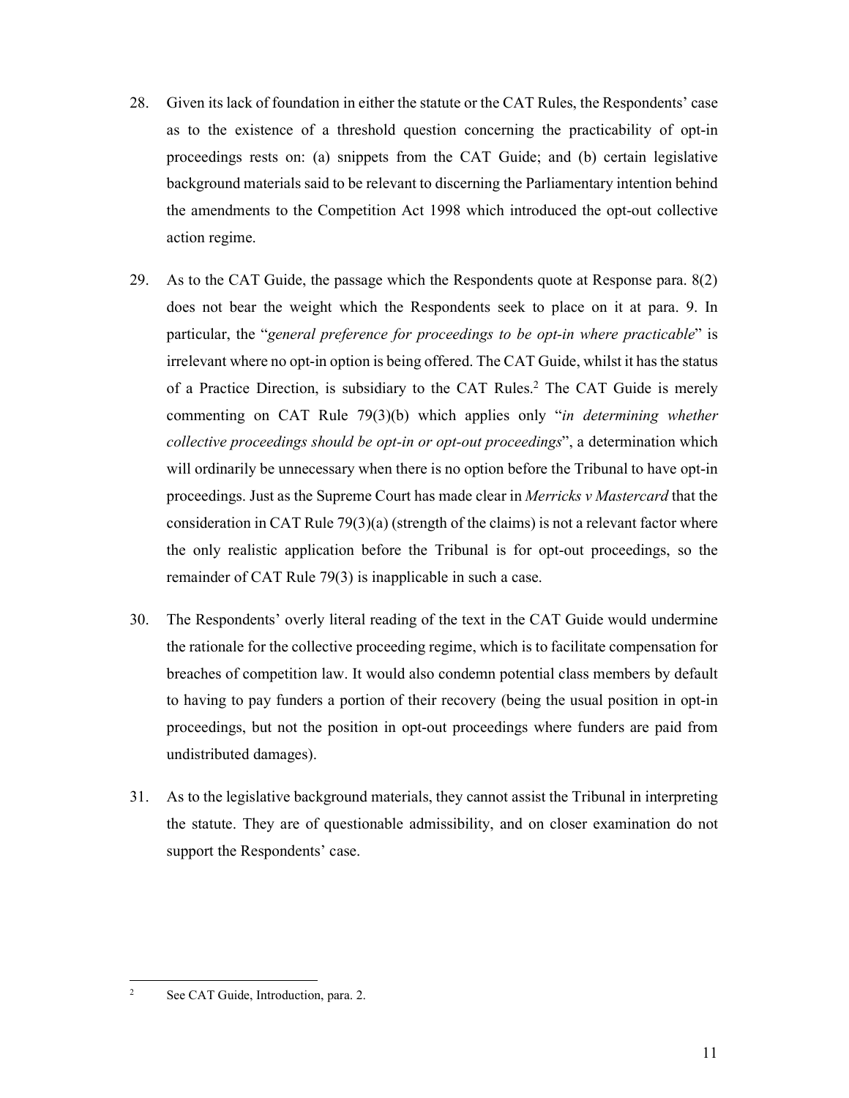- 28. Given its lack of foundation in either the statute or the CAT Rules, the Respondents' case as to the existence of a threshold question concerning the practicability of opt-in proceedings rests on: (a) snippets from the CAT Guide; and (b) certain legislative background materials said to be relevant to discerning the Parliamentary intention behind the amendments to the Competition Act 1998 which introduced the opt-out collective action regime.
- 29. As to the CAT Guide, the passage which the Respondents quote at Response para. 8(2) does not bear the weight which the Respondents seek to place on it at para. 9. In particular, the "*general preference for proceedings to be opt-in where practicable*" is irrelevant where no opt-in option is being offered. The CAT Guide, whilst it has the status of a Practice Direction, is subsidiary to the CAT Rules.2 The CAT Guide is merely commenting on CAT Rule 79(3)(b) which applies only "*in determining whether collective proceedings should be opt-in or opt-out proceedings*", a determination which will ordinarily be unnecessary when there is no option before the Tribunal to have opt-in proceedings. Just as the Supreme Court has made clear in *Merricks v Mastercard* that the consideration in CAT Rule 79(3)(a) (strength of the claims) is not a relevant factor where the only realistic application before the Tribunal is for opt-out proceedings, so the remainder of CAT Rule 79(3) is inapplicable in such a case.
- 30. The Respondents' overly literal reading of the text in the CAT Guide would undermine the rationale for the collective proceeding regime, which is to facilitate compensation for breaches of competition law. It would also condemn potential class members by default to having to pay funders a portion of their recovery (being the usual position in opt-in proceedings, but not the position in opt-out proceedings where funders are paid from undistributed damages).
- 31. As to the legislative background materials, they cannot assist the Tribunal in interpreting the statute. They are of questionable admissibility, and on closer examination do not support the Respondents' case.

See CAT Guide, Introduction, para. 2.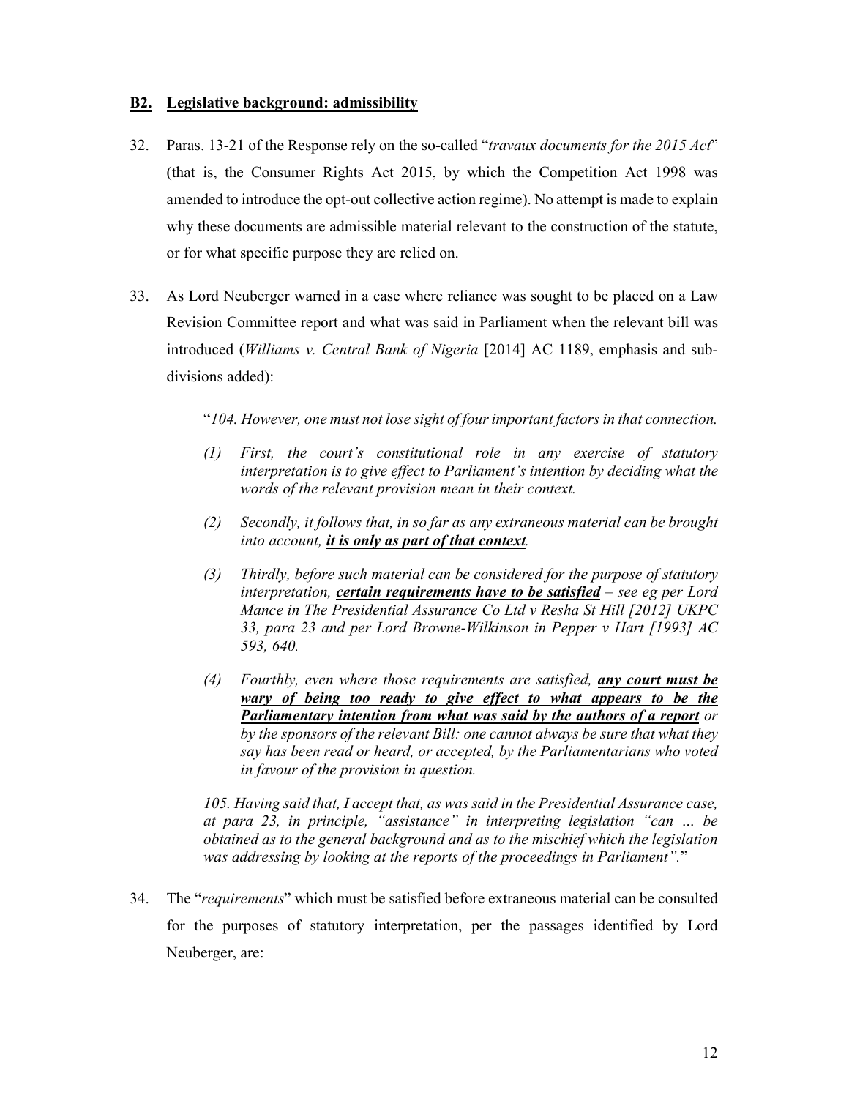### **B2. Legislative background: admissibility**

- 32. Paras. 13-21 of the Response rely on the so-called "*travaux documents for the 2015 Act*" (that is, the Consumer Rights Act 2015, by which the Competition Act 1998 was amended to introduce the opt-out collective action regime). No attempt is made to explain why these documents are admissible material relevant to the construction of the statute, or for what specific purpose they are relied on.
- 33. As Lord Neuberger warned in a case where reliance was sought to be placed on a Law Revision Committee report and what was said in Parliament when the relevant bill was introduced (*Williams v. Central Bank of Nigeria* [2014] AC 1189, emphasis and subdivisions added):

"*104. However, one must not lose sight of four important factors in that connection.* 

- *(1) First, the court's constitutional role in any exercise of statutory interpretation is to give effect to Parliament's intention by deciding what the words of the relevant provision mean in their context.*
- *(2) Secondly, it follows that, in so far as any extraneous material can be brought into account, it is only as part of that context.*
- *(3) Thirdly, before such material can be considered for the purpose of statutory interpretation, certain requirements have to be satisfied – see eg per Lord Mance in The Presidential Assurance Co Ltd v Resha St Hill [2012] UKPC 33, para 23 and per Lord Browne-Wilkinson in Pepper v Hart [1993] AC 593, 640.*
- *(4) Fourthly, even where those requirements are satisfied, any court must be wary of being too ready to give effect to what appears to be the Parliamentary intention from what was said by the authors of a report or by the sponsors of the relevant Bill: one cannot always be sure that what they say has been read or heard, or accepted, by the Parliamentarians who voted in favour of the provision in question.*

*105. Having said that, I accept that, as was said in the Presidential Assurance case, at para 23, in principle, "assistance" in interpreting legislation "can … be obtained as to the general background and as to the mischief which the legislation was addressing by looking at the reports of the proceedings in Parliament".*"

34. The "*requirements*" which must be satisfied before extraneous material can be consulted for the purposes of statutory interpretation, per the passages identified by Lord Neuberger, are: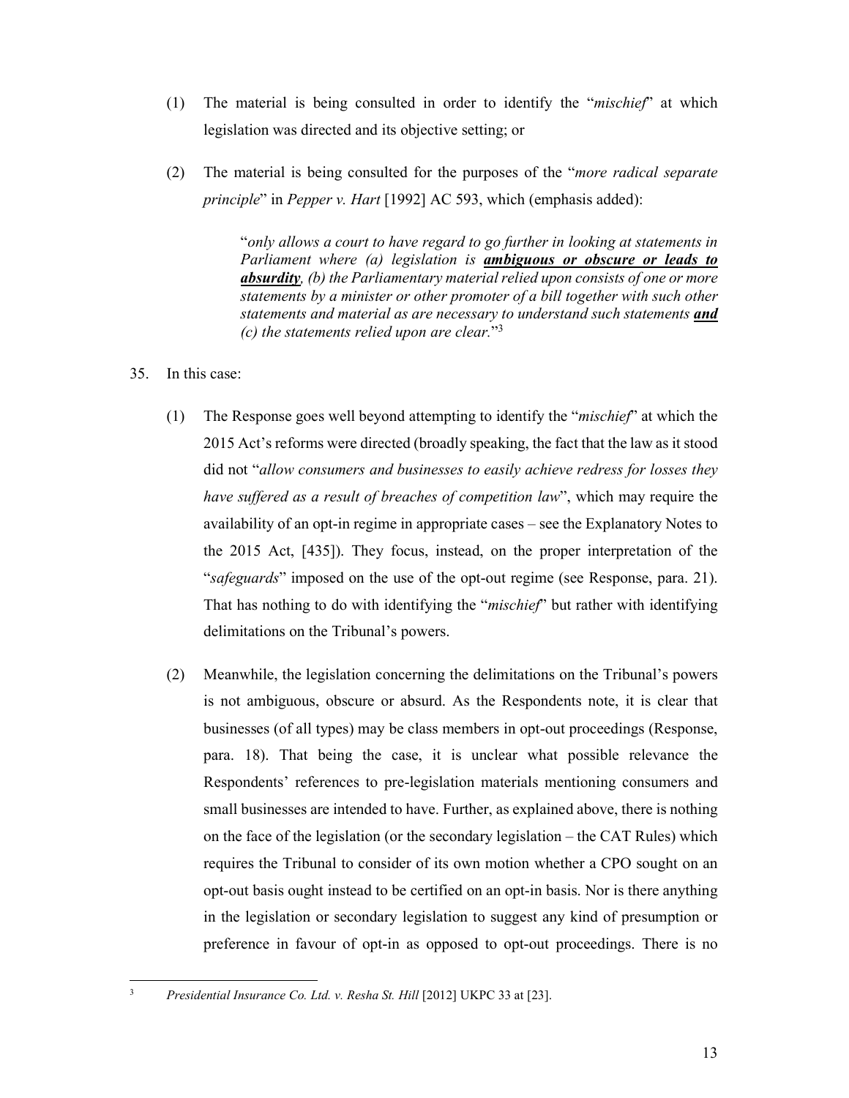- (1) The material is being consulted in order to identify the "*mischief*" at which legislation was directed and its objective setting; or
- (2) The material is being consulted for the purposes of the "*more radical separate principle*" in *Pepper v. Hart* [1992] AC 593, which (emphasis added):

"*only allows a court to have regard to go further in looking at statements in Parliament where (a) legislation is ambiguous or obscure or leads to absurdity, (b) the Parliamentary material relied upon consists of one or more statements by a minister or other promoter of a bill together with such other statements and material as are necessary to understand such statements and (c) the statements relied upon are clear.*"3

- 35. In this case:
	- (1) The Response goes well beyond attempting to identify the "*mischief*" at which the 2015 Act's reforms were directed (broadly speaking, the fact that the law as it stood did not "*allow consumers and businesses to easily achieve redress for losses they have suffered as a result of breaches of competition law*", which may require the availability of an opt-in regime in appropriate cases – see the Explanatory Notes to the 2015 Act, [435]). They focus, instead, on the proper interpretation of the "*safeguards*" imposed on the use of the opt-out regime (see Response, para. 21). That has nothing to do with identifying the "*mischief*" but rather with identifying delimitations on the Tribunal's powers.
	- (2) Meanwhile, the legislation concerning the delimitations on the Tribunal's powers is not ambiguous, obscure or absurd. As the Respondents note, it is clear that businesses (of all types) may be class members in opt-out proceedings (Response, para. 18). That being the case, it is unclear what possible relevance the Respondents' references to pre-legislation materials mentioning consumers and small businesses are intended to have. Further, as explained above, there is nothing on the face of the legislation (or the secondary legislation – the CAT Rules) which requires the Tribunal to consider of its own motion whether a CPO sought on an opt-out basis ought instead to be certified on an opt-in basis. Nor is there anything in the legislation or secondary legislation to suggest any kind of presumption or preference in favour of opt-in as opposed to opt-out proceedings. There is no

<sup>-</sup>3 *Presidential Insurance Co. Ltd. v. Resha St. Hill* [2012] UKPC 33 at [23].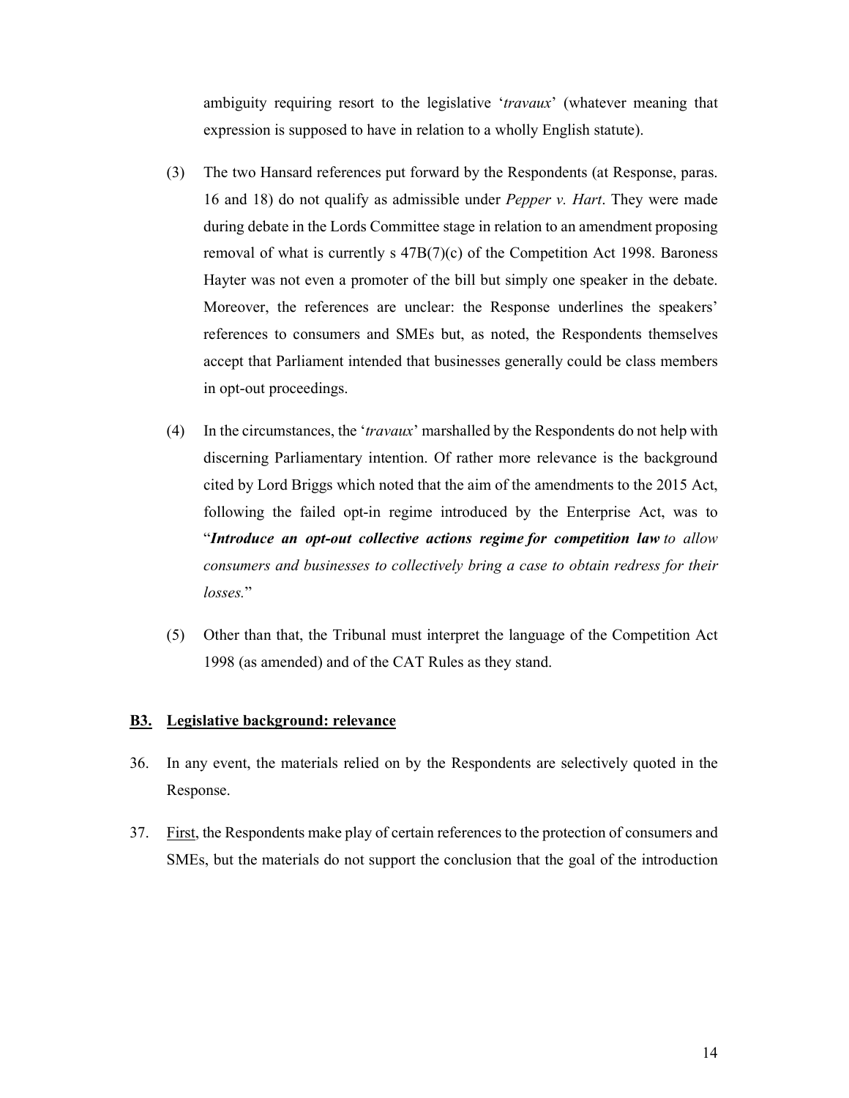ambiguity requiring resort to the legislative '*travaux*' (whatever meaning that expression is supposed to have in relation to a wholly English statute).

- (3) The two Hansard references put forward by the Respondents (at Response, paras. 16 and 18) do not qualify as admissible under *Pepper v. Hart*. They were made during debate in the Lords Committee stage in relation to an amendment proposing removal of what is currently  $s$  47B(7)(c) of the Competition Act 1998. Baroness Hayter was not even a promoter of the bill but simply one speaker in the debate. Moreover, the references are unclear: the Response underlines the speakers' references to consumers and SMEs but, as noted, the Respondents themselves accept that Parliament intended that businesses generally could be class members in opt-out proceedings.
- (4) In the circumstances, the '*travaux*' marshalled by the Respondents do not help with discerning Parliamentary intention. Of rather more relevance is the background cited by Lord Briggs which noted that the aim of the amendments to the 2015 Act, following the failed opt-in regime introduced by the Enterprise Act, was to "*Introduce an opt-out collective actions regime for competition law to allow consumers and businesses to collectively bring a case to obtain redress for their losses.*"
- (5) Other than that, the Tribunal must interpret the language of the Competition Act 1998 (as amended) and of the CAT Rules as they stand.

### **B3. Legislative background: relevance**

- 36. In any event, the materials relied on by the Respondents are selectively quoted in the Response.
- 37. First, the Respondents make play of certain references to the protection of consumers and SMEs, but the materials do not support the conclusion that the goal of the introduction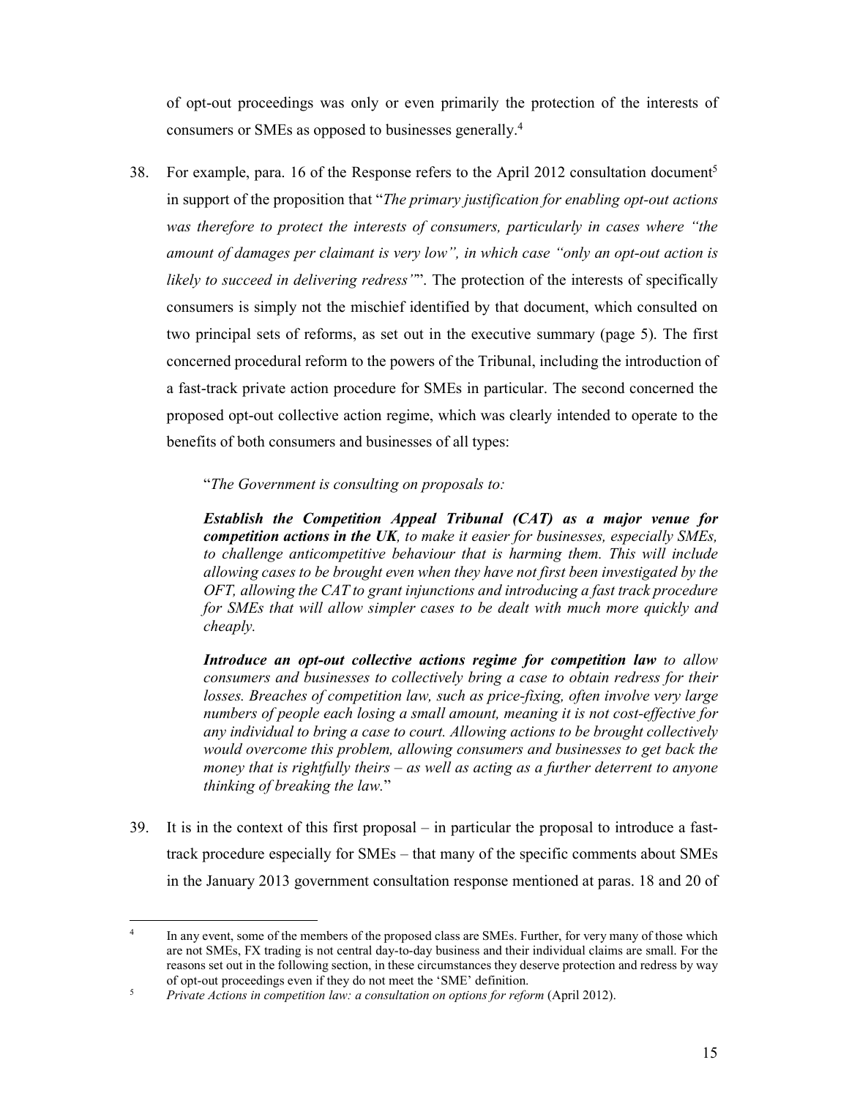of opt-out proceedings was only or even primarily the protection of the interests of consumers or SMEs as opposed to businesses generally.4

38. For example, para. 16 of the Response refers to the April 2012 consultation document<sup>5</sup> in support of the proposition that "*The primary justification for enabling opt-out actions was therefore to protect the interests of consumers, particularly in cases where "the amount of damages per claimant is very low", in which case "only an opt-out action is likely to succeed in delivering redress"*". The protection of the interests of specifically consumers is simply not the mischief identified by that document, which consulted on two principal sets of reforms, as set out in the executive summary (page 5). The first concerned procedural reform to the powers of the Tribunal, including the introduction of a fast-track private action procedure for SMEs in particular. The second concerned the proposed opt-out collective action regime, which was clearly intended to operate to the benefits of both consumers and businesses of all types:

"*The Government is consulting on proposals to:* 

*Establish the Competition Appeal Tribunal (CAT) as a major venue for competition actions in the UK, to make it easier for businesses, especially SMEs,*  to challenge anticompetitive behaviour that is harming them. This will include *allowing cases to be brought even when they have not first been investigated by the OFT, allowing the CAT to grant injunctions and introducing a fast track procedure for SMEs that will allow simpler cases to be dealt with much more quickly and cheaply.* 

*Introduce an opt-out collective actions regime for competition law to allow consumers and businesses to collectively bring a case to obtain redress for their losses. Breaches of competition law, such as price-fixing, often involve very large numbers of people each losing a small amount, meaning it is not cost-effective for any individual to bring a case to court. Allowing actions to be brought collectively would overcome this problem, allowing consumers and businesses to get back the money that is rightfully theirs – as well as acting as a further deterrent to anyone thinking of breaking the law.*"

39. It is in the context of this first proposal – in particular the proposal to introduce a fasttrack procedure especially for SMEs – that many of the specific comments about SMEs in the January 2013 government consultation response mentioned at paras. 18 and 20 of

<sup>4</sup> In any event, some of the members of the proposed class are SMEs. Further, for very many of those which are not SMEs, FX trading is not central day-to-day business and their individual claims are small. For the reasons set out in the following section, in these circumstances they deserve protection and redress by way of opt-out proceedings even if they do not meet the 'SME' definition.<br><sup>5</sup><br>*Private Actions in connetition law: a consultation on options for refo* 

*Private Actions in competition law: a consultation on options for reform (April 2012).*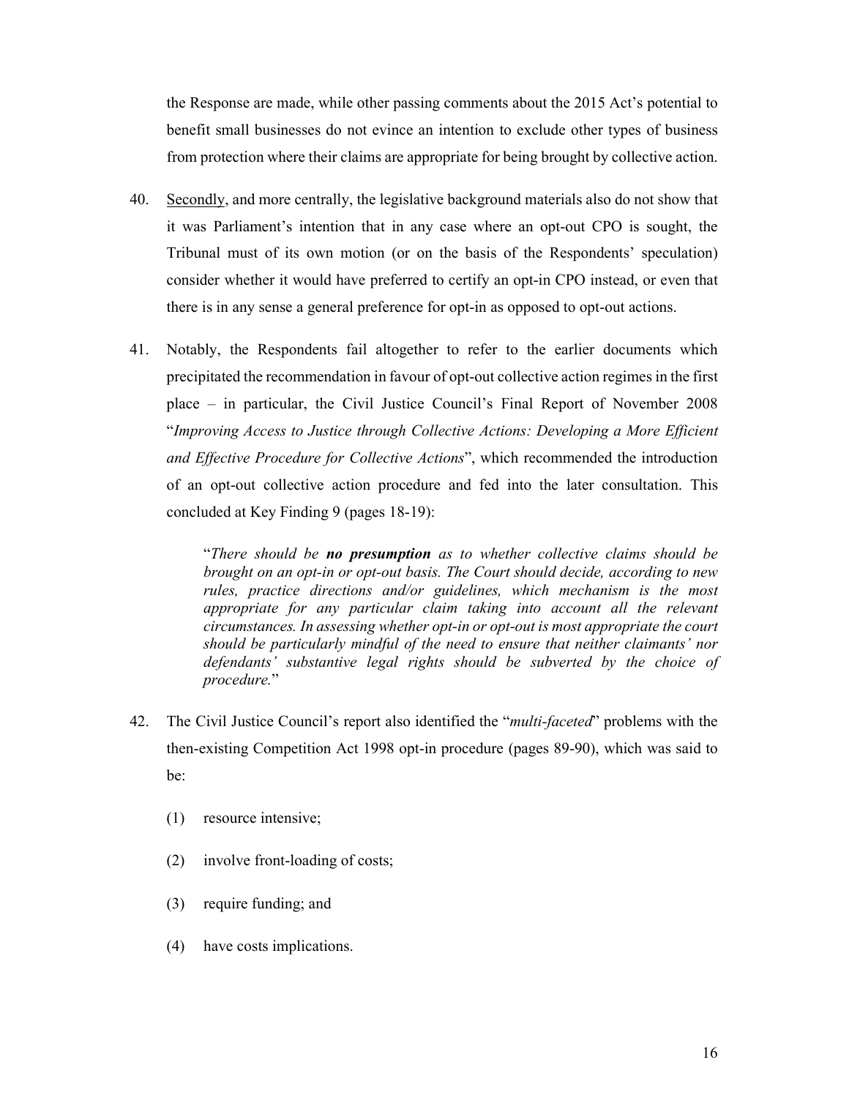the Response are made, while other passing comments about the 2015 Act's potential to benefit small businesses do not evince an intention to exclude other types of business from protection where their claims are appropriate for being brought by collective action.

- 40. Secondly, and more centrally, the legislative background materials also do not show that it was Parliament's intention that in any case where an opt-out CPO is sought, the Tribunal must of its own motion (or on the basis of the Respondents' speculation) consider whether it would have preferred to certify an opt-in CPO instead, or even that there is in any sense a general preference for opt-in as opposed to opt-out actions.
- 41. Notably, the Respondents fail altogether to refer to the earlier documents which precipitated the recommendation in favour of opt-out collective action regimes in the first place – in particular, the Civil Justice Council's Final Report of November 2008 "*Improving Access to Justice through Collective Actions: Developing a More Efficient and Effective Procedure for Collective Actions*", which recommended the introduction of an opt-out collective action procedure and fed into the later consultation. This concluded at Key Finding 9 (pages 18-19):

"*There should be no presumption as to whether collective claims should be brought on an opt-in or opt-out basis. The Court should decide, according to new rules, practice directions and/or guidelines, which mechanism is the most appropriate for any particular claim taking into account all the relevant circumstances. In assessing whether opt-in or opt-out is most appropriate the court should be particularly mindful of the need to ensure that neither claimants' nor defendants' substantive legal rights should be subverted by the choice of procedure.*"

- 42. The Civil Justice Council's report also identified the "*multi-faceted*" problems with the then-existing Competition Act 1998 opt-in procedure (pages 89-90), which was said to be:
	- (1) resource intensive;
	- (2) involve front-loading of costs;
	- (3) require funding; and
	- (4) have costs implications.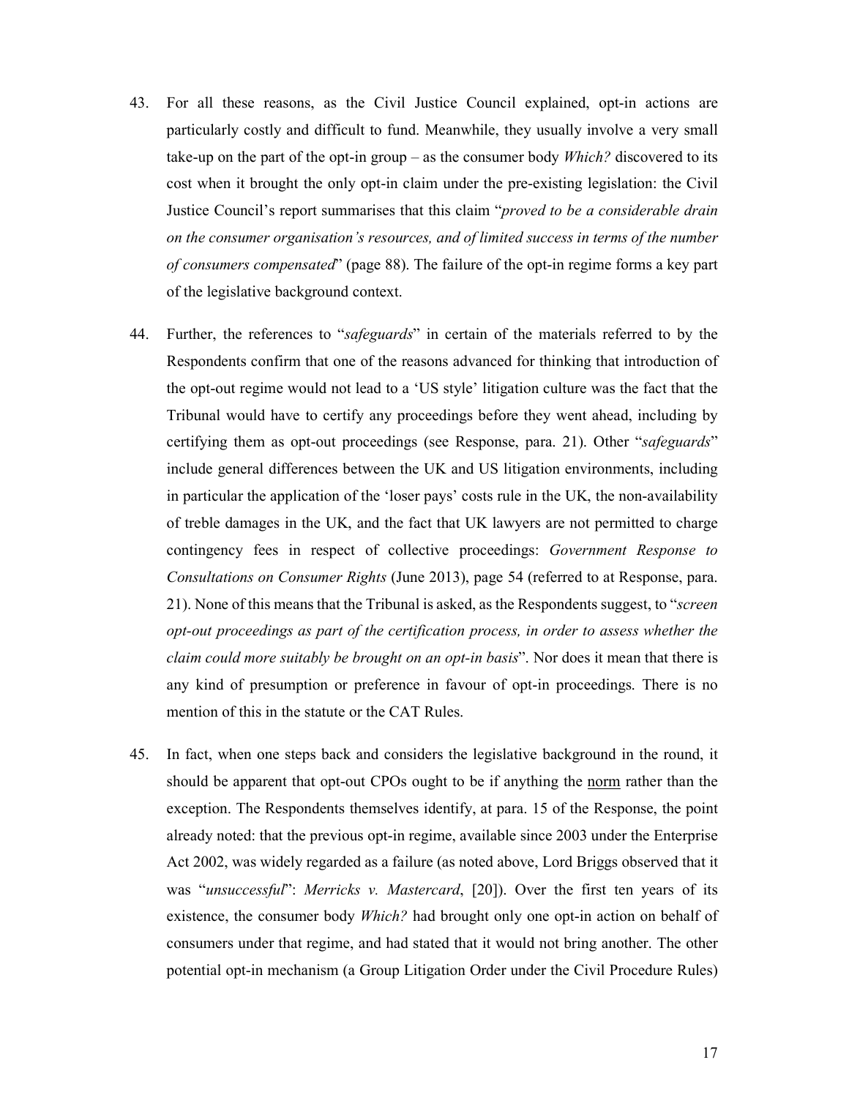- 43. For all these reasons, as the Civil Justice Council explained, opt-in actions are particularly costly and difficult to fund. Meanwhile, they usually involve a very small take-up on the part of the opt-in group – as the consumer body *Which?* discovered to its cost when it brought the only opt-in claim under the pre-existing legislation: the Civil Justice Council's report summarises that this claim "*proved to be a considerable drain on the consumer organisation's resources, and of limited success in terms of the number of consumers compensated*" (page 88). The failure of the opt-in regime forms a key part of the legislative background context.
- 44. Further, the references to "*safeguards*" in certain of the materials referred to by the Respondents confirm that one of the reasons advanced for thinking that introduction of the opt-out regime would not lead to a 'US style' litigation culture was the fact that the Tribunal would have to certify any proceedings before they went ahead, including by certifying them as opt-out proceedings (see Response, para. 21). Other "*safeguards*" include general differences between the UK and US litigation environments, including in particular the application of the 'loser pays' costs rule in the UK, the non-availability of treble damages in the UK, and the fact that UK lawyers are not permitted to charge contingency fees in respect of collective proceedings: *Government Response to Consultations on Consumer Rights* (June 2013), page 54 (referred to at Response, para. 21). None of this means that the Tribunal is asked, as the Respondents suggest, to "*screen opt-out proceedings as part of the certification process, in order to assess whether the claim could more suitably be brought on an opt-in basis*". Nor does it mean that there is any kind of presumption or preference in favour of opt-in proceedings. There is no mention of this in the statute or the CAT Rules.
- 45. In fact, when one steps back and considers the legislative background in the round, it should be apparent that opt-out CPOs ought to be if anything the norm rather than the exception. The Respondents themselves identify, at para. 15 of the Response, the point already noted: that the previous opt-in regime, available since 2003 under the Enterprise Act 2002, was widely regarded as a failure (as noted above, Lord Briggs observed that it was "*unsuccessful*": *Merricks v. Mastercard*, [20]). Over the first ten years of its existence, the consumer body *Which?* had brought only one opt-in action on behalf of consumers under that regime, and had stated that it would not bring another. The other potential opt-in mechanism (a Group Litigation Order under the Civil Procedure Rules)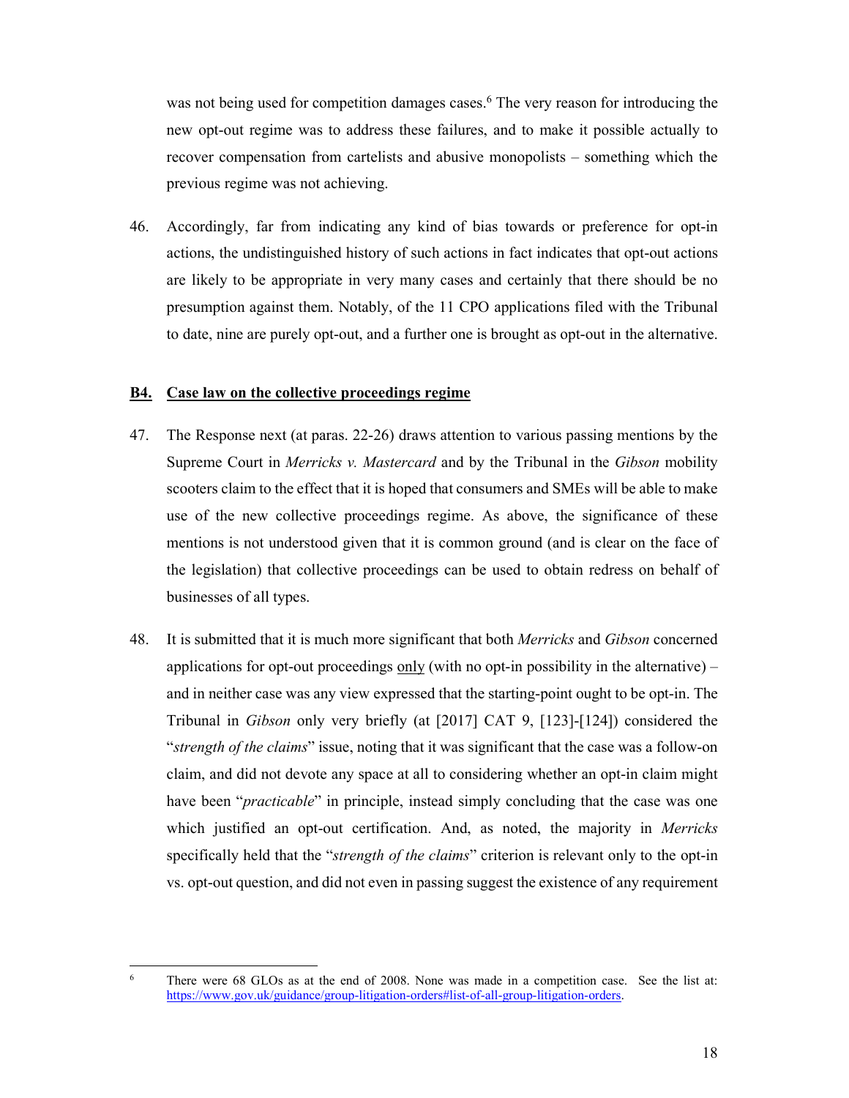was not being used for competition damages cases.<sup>6</sup> The very reason for introducing the new opt-out regime was to address these failures, and to make it possible actually to recover compensation from cartelists and abusive monopolists – something which the previous regime was not achieving.

46. Accordingly, far from indicating any kind of bias towards or preference for opt-in actions, the undistinguished history of such actions in fact indicates that opt-out actions are likely to be appropriate in very many cases and certainly that there should be no presumption against them. Notably, of the 11 CPO applications filed with the Tribunal to date, nine are purely opt-out, and a further one is brought as opt-out in the alternative.

#### **B4. Case law on the collective proceedings regime**

- 47. The Response next (at paras. 22-26) draws attention to various passing mentions by the Supreme Court in *Merricks v. Mastercard* and by the Tribunal in the *Gibson* mobility scooters claim to the effect that it is hoped that consumers and SMEs will be able to make use of the new collective proceedings regime. As above, the significance of these mentions is not understood given that it is common ground (and is clear on the face of the legislation) that collective proceedings can be used to obtain redress on behalf of businesses of all types.
- 48. It is submitted that it is much more significant that both *Merricks* and *Gibson* concerned applications for opt-out proceedings  $\frac{only}{with}$  no opt-in possibility in the alternative) – and in neither case was any view expressed that the starting-point ought to be opt-in. The Tribunal in *Gibson* only very briefly (at [2017] CAT 9, [123]-[124]) considered the "*strength of the claims*" issue, noting that it was significant that the case was a follow-on claim, and did not devote any space at all to considering whether an opt-in claim might have been "*practicable*" in principle, instead simply concluding that the case was one which justified an opt-out certification. And, as noted, the majority in *Merricks*  specifically held that the "*strength of the claims*" criterion is relevant only to the opt-in vs. opt-out question, and did not even in passing suggest the existence of any requirement

<sup>6</sup> There were 68 GLOs as at the end of 2008. None was made in a competition case. See the list at: https://www.gov.uk/guidance/group-litigation-orders#list-of-all-group-litigation-orders.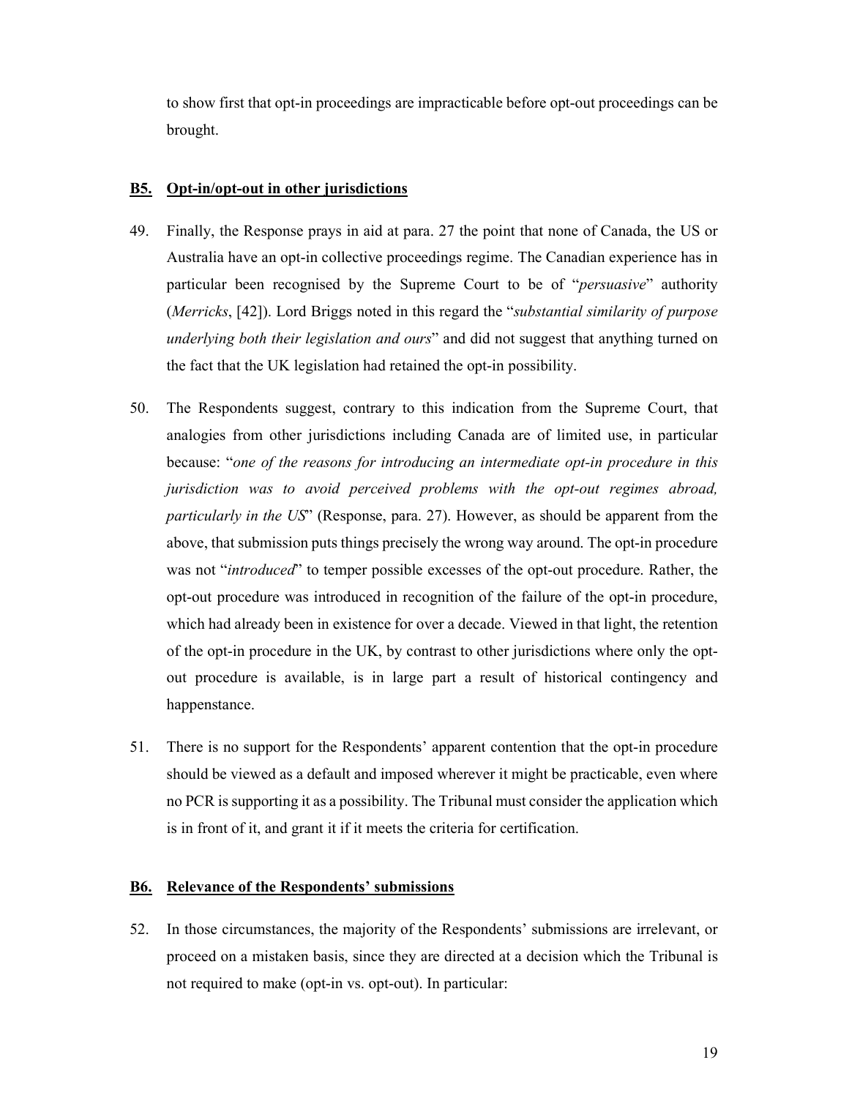to show first that opt-in proceedings are impracticable before opt-out proceedings can be brought.

#### **B5. Opt-in/opt-out in other jurisdictions**

- 49. Finally, the Response prays in aid at para. 27 the point that none of Canada, the US or Australia have an opt-in collective proceedings regime. The Canadian experience has in particular been recognised by the Supreme Court to be of "*persuasive*" authority (*Merricks*, [42]). Lord Briggs noted in this regard the "*substantial similarity of purpose underlying both their legislation and ours*" and did not suggest that anything turned on the fact that the UK legislation had retained the opt-in possibility.
- 50. The Respondents suggest, contrary to this indication from the Supreme Court, that analogies from other jurisdictions including Canada are of limited use, in particular because: "*one of the reasons for introducing an intermediate opt-in procedure in this jurisdiction was to avoid perceived problems with the opt-out regimes abroad, particularly in the US*" (Response, para. 27). However, as should be apparent from the above, that submission puts things precisely the wrong way around. The opt-in procedure was not "*introduced*" to temper possible excesses of the opt-out procedure. Rather, the opt-out procedure was introduced in recognition of the failure of the opt-in procedure, which had already been in existence for over a decade. Viewed in that light, the retention of the opt-in procedure in the UK, by contrast to other jurisdictions where only the optout procedure is available, is in large part a result of historical contingency and happenstance.
- 51. There is no support for the Respondents' apparent contention that the opt-in procedure should be viewed as a default and imposed wherever it might be practicable, even where no PCR is supporting it as a possibility. The Tribunal must consider the application which is in front of it, and grant it if it meets the criteria for certification.

### **B6. Relevance of the Respondents' submissions**

52. In those circumstances, the majority of the Respondents' submissions are irrelevant, or proceed on a mistaken basis, since they are directed at a decision which the Tribunal is not required to make (opt-in vs. opt-out). In particular: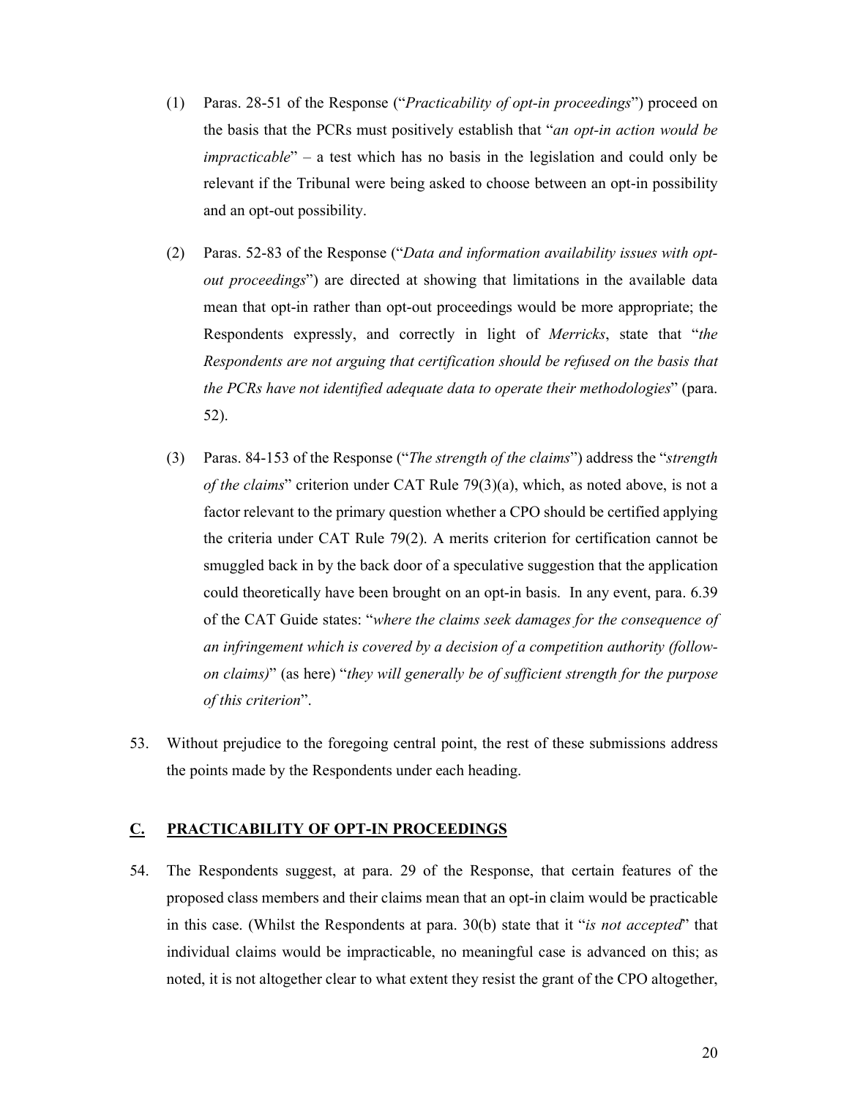- (1) Paras. 28-51 of the Response ("*Practicability of opt-in proceedings*") proceed on the basis that the PCRs must positively establish that "*an opt-in action would be impracticable*" – a test which has no basis in the legislation and could only be relevant if the Tribunal were being asked to choose between an opt-in possibility and an opt-out possibility.
- (2) Paras. 52-83 of the Response ("*Data and information availability issues with optout proceedings*") are directed at showing that limitations in the available data mean that opt-in rather than opt-out proceedings would be more appropriate; the Respondents expressly, and correctly in light of *Merricks*, state that "*the Respondents are not arguing that certification should be refused on the basis that the PCRs have not identified adequate data to operate their methodologies*" (para. 52).
- (3) Paras. 84-153 of the Response ("*The strength of the claims*") address the "*strength of the claims*" criterion under CAT Rule 79(3)(a), which, as noted above, is not a factor relevant to the primary question whether a CPO should be certified applying the criteria under CAT Rule 79(2). A merits criterion for certification cannot be smuggled back in by the back door of a speculative suggestion that the application could theoretically have been brought on an opt-in basis. In any event, para. 6.39 of the CAT Guide states: "*where the claims seek damages for the consequence of an infringement which is covered by a decision of a competition authority (followon claims)*" (as here) "*they will generally be of sufficient strength for the purpose of this criterion*".
- 53. Without prejudice to the foregoing central point, the rest of these submissions address the points made by the Respondents under each heading.

# **C. PRACTICABILITY OF OPT-IN PROCEEDINGS**

54. The Respondents suggest, at para. 29 of the Response, that certain features of the proposed class members and their claims mean that an opt-in claim would be practicable in this case. (Whilst the Respondents at para. 30(b) state that it "*is not accepted*" that individual claims would be impracticable, no meaningful case is advanced on this; as noted, it is not altogether clear to what extent they resist the grant of the CPO altogether,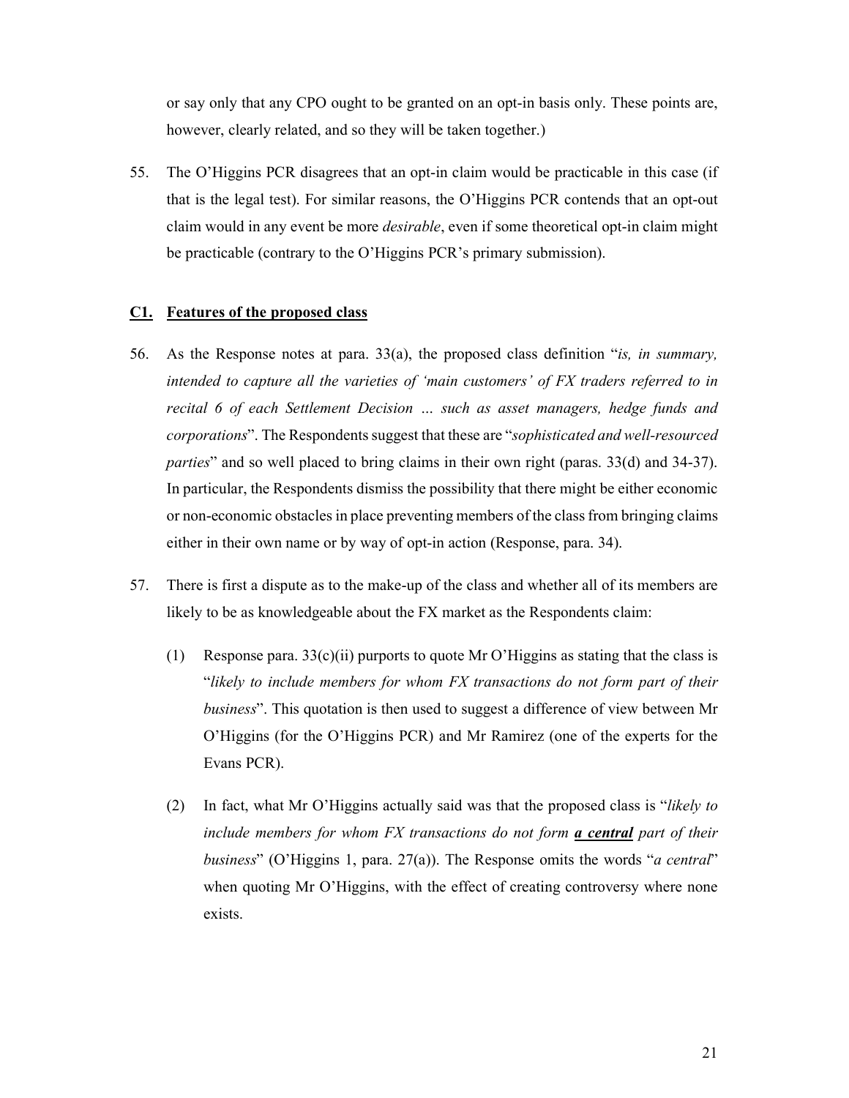or say only that any CPO ought to be granted on an opt-in basis only. These points are, however, clearly related, and so they will be taken together.)

55. The O'Higgins PCR disagrees that an opt-in claim would be practicable in this case (if that is the legal test). For similar reasons, the O'Higgins PCR contends that an opt-out claim would in any event be more *desirable*, even if some theoretical opt-in claim might be practicable (contrary to the O'Higgins PCR's primary submission).

### **C1. Features of the proposed class**

- 56. As the Response notes at para. 33(a), the proposed class definition "*is, in summary, intended to capture all the varieties of 'main customers' of FX traders referred to in recital 6 of each Settlement Decision … such as asset managers, hedge funds and corporations*". The Respondents suggest that these are "*sophisticated and well-resourced parties*" and so well placed to bring claims in their own right (paras. 33(d) and 34-37). In particular, the Respondents dismiss the possibility that there might be either economic or non-economic obstacles in place preventing members of the class from bringing claims either in their own name or by way of opt-in action (Response, para. 34).
- 57. There is first a dispute as to the make-up of the class and whether all of its members are likely to be as knowledgeable about the FX market as the Respondents claim:
	- (1) Response para.  $33(c)(ii)$  purports to quote Mr O'Higgins as stating that the class is "*likely to include members for whom FX transactions do not form part of their business*". This quotation is then used to suggest a difference of view between Mr O'Higgins (for the O'Higgins PCR) and Mr Ramirez (one of the experts for the Evans PCR).
	- (2) In fact, what Mr O'Higgins actually said was that the proposed class is "*likely to include members for whom FX transactions do not form a central part of their business*" (O'Higgins 1, para. 27(a)). The Response omits the words "*a central*" when quoting Mr O'Higgins, with the effect of creating controversy where none exists.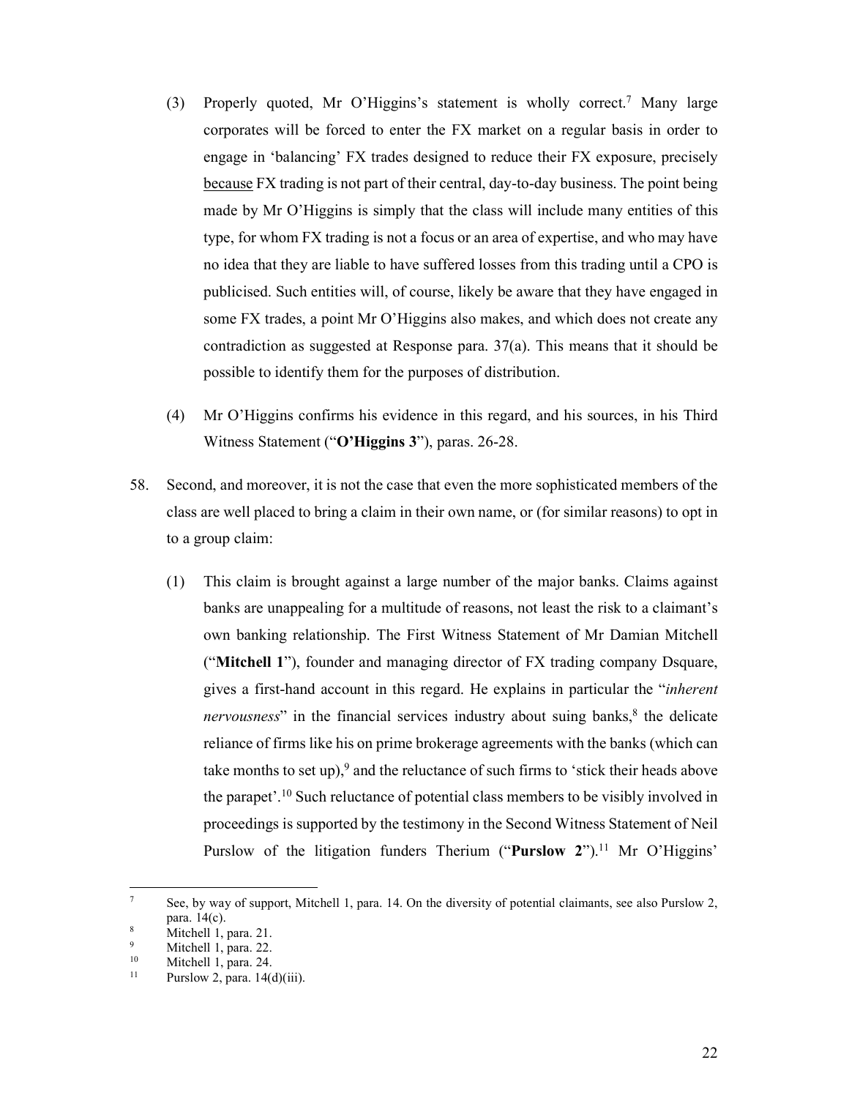- (3) Properly quoted, Mr O'Higgins's statement is wholly correct.7 Many large corporates will be forced to enter the FX market on a regular basis in order to engage in 'balancing' FX trades designed to reduce their FX exposure, precisely because FX trading is not part of their central, day-to-day business. The point being made by Mr O'Higgins is simply that the class will include many entities of this type, for whom FX trading is not a focus or an area of expertise, and who may have no idea that they are liable to have suffered losses from this trading until a CPO is publicised. Such entities will, of course, likely be aware that they have engaged in some FX trades, a point Mr O'Higgins also makes, and which does not create any contradiction as suggested at Response para. 37(a). This means that it should be possible to identify them for the purposes of distribution.
- (4) Mr O'Higgins confirms his evidence in this regard, and his sources, in his Third Witness Statement ("**O'Higgins 3**"), paras. 26-28.
- 58. Second, and moreover, it is not the case that even the more sophisticated members of the class are well placed to bring a claim in their own name, or (for similar reasons) to opt in to a group claim:
	- (1) This claim is brought against a large number of the major banks. Claims against banks are unappealing for a multitude of reasons, not least the risk to a claimant's own banking relationship. The First Witness Statement of Mr Damian Mitchell ("**Mitchell 1**"), founder and managing director of FX trading company Dsquare, gives a first-hand account in this regard. He explains in particular the "*inherent nervousness*" in the financial services industry about suing banks,<sup>8</sup> the delicate reliance of firms like his on prime brokerage agreements with the banks (which can take months to set up),<sup>9</sup> and the reluctance of such firms to 'stick their heads above the parapet'.10 Such reluctance of potential class members to be visibly involved in proceedings is supported by the testimony in the Second Witness Statement of Neil Purslow of the litigation funders Therium ("Purslow 2").<sup>11</sup> Mr O'Higgins'

<sup>7</sup> See, by way of support, Mitchell 1, para. 14. On the diversity of potential claimants, see also Purslow 2, para.  $14(c)$ .

Mitchell 1, para. 21. 9

<sup>&</sup>lt;sup>9</sup> Mitchell 1, para. 22.<br><sup>10</sup> Mitchell 1, para. 24

 $10$  Mitchell 1, para. 24.

Purslow 2, para. 14(d)(iii).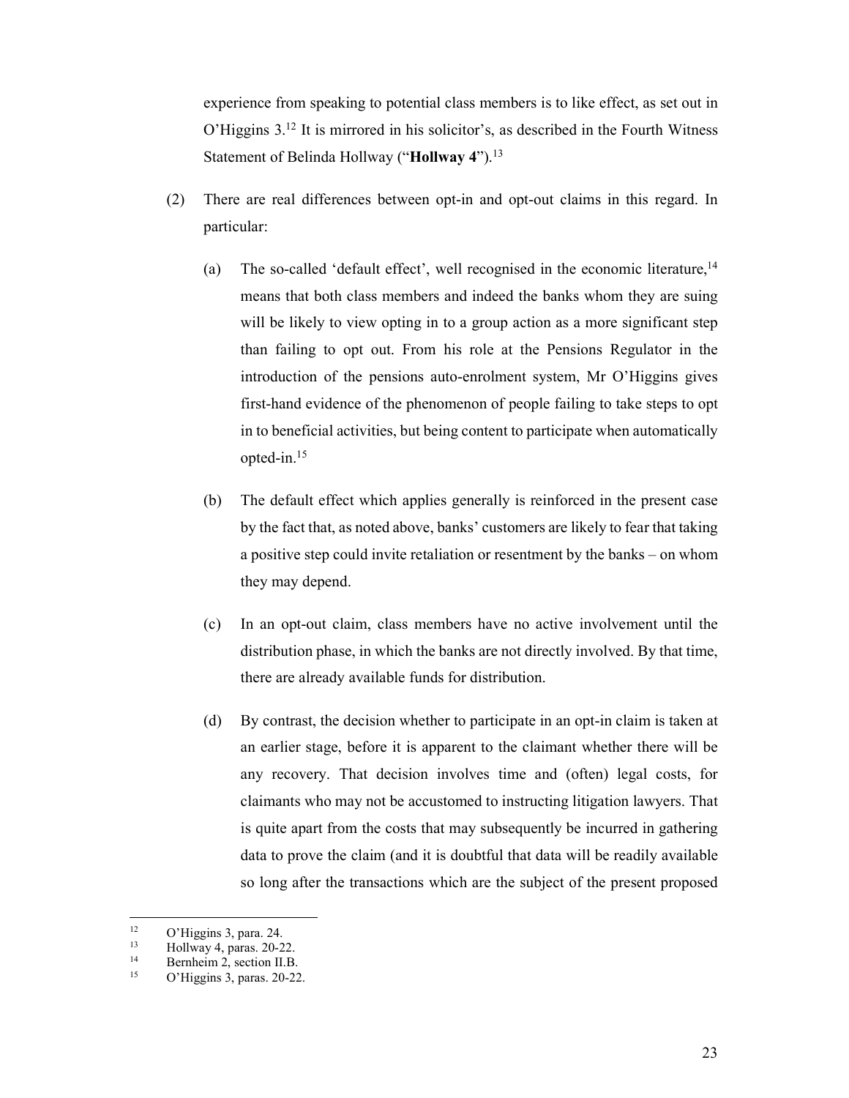experience from speaking to potential class members is to like effect, as set out in O'Higgins 3.12 It is mirrored in his solicitor's, as described in the Fourth Witness Statement of Belinda Hollway ("**Hollway 4**").13

- (2) There are real differences between opt-in and opt-out claims in this regard. In particular:
	- (a) The so-called 'default effect', well recognised in the economic literature,  $14$ means that both class members and indeed the banks whom they are suing will be likely to view opting in to a group action as a more significant step than failing to opt out. From his role at the Pensions Regulator in the introduction of the pensions auto-enrolment system, Mr O'Higgins gives first-hand evidence of the phenomenon of people failing to take steps to opt in to beneficial activities, but being content to participate when automatically opted-in.15
	- (b) The default effect which applies generally is reinforced in the present case by the fact that, as noted above, banks' customers are likely to fear that taking a positive step could invite retaliation or resentment by the banks – on whom they may depend.
	- (c) In an opt-out claim, class members have no active involvement until the distribution phase, in which the banks are not directly involved. By that time, there are already available funds for distribution.
	- (d) By contrast, the decision whether to participate in an opt-in claim is taken at an earlier stage, before it is apparent to the claimant whether there will be any recovery. That decision involves time and (often) legal costs, for claimants who may not be accustomed to instructing litigation lawyers. That is quite apart from the costs that may subsequently be incurred in gathering data to prove the claim (and it is doubtful that data will be readily available so long after the transactions which are the subject of the present proposed

 $12$  $^{12}$  O'Higgins 3, para. 24.

 $^{13}$  Hollway 4, paras. 20-22.<br> $^{14}$  Bernheim 2, section II B

<sup>&</sup>lt;sup>14</sup> Bernheim 2, section II.B.<br> $Q'$ Higgins 3, paras, 20, 22

O'Higgins 3, paras. 20-22.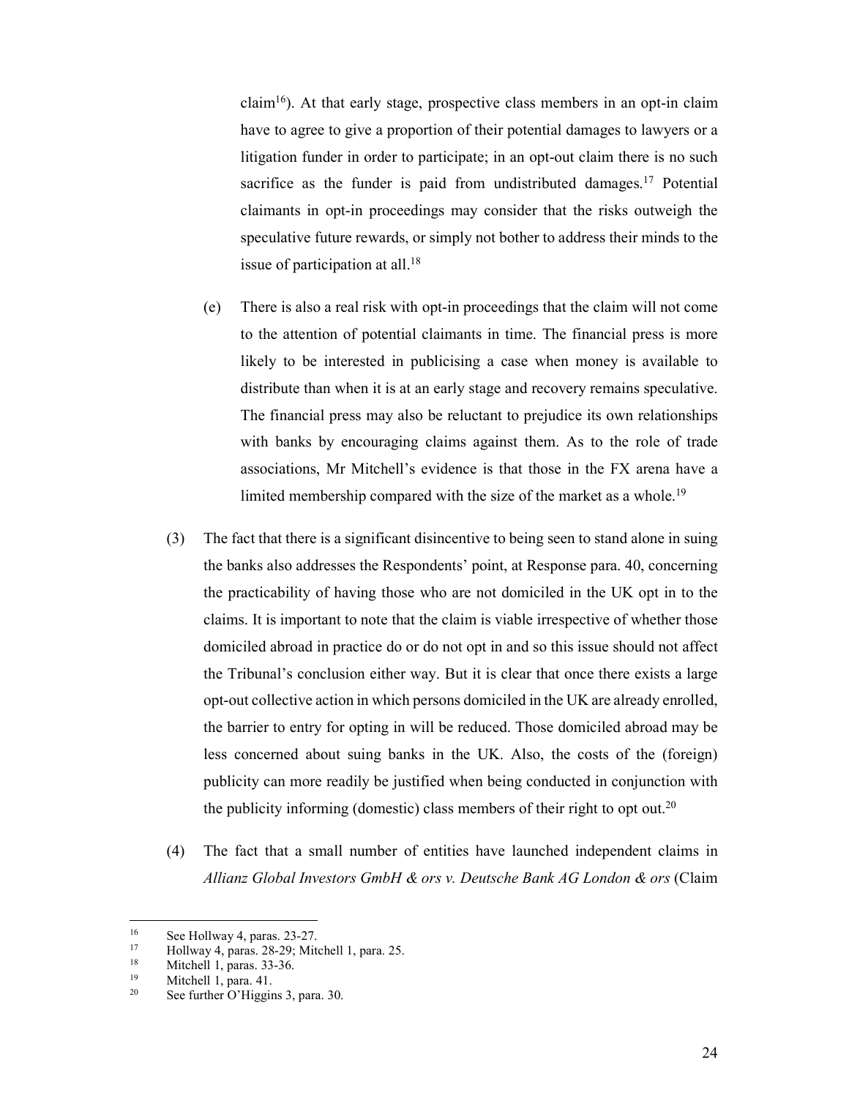claim<sup>16</sup>). At that early stage, prospective class members in an opt-in claim have to agree to give a proportion of their potential damages to lawyers or a litigation funder in order to participate; in an opt-out claim there is no such sacrifice as the funder is paid from undistributed damages.<sup>17</sup> Potential claimants in opt-in proceedings may consider that the risks outweigh the speculative future rewards, or simply not bother to address their minds to the issue of participation at all. $18$ 

- (e) There is also a real risk with opt-in proceedings that the claim will not come to the attention of potential claimants in time. The financial press is more likely to be interested in publicising a case when money is available to distribute than when it is at an early stage and recovery remains speculative. The financial press may also be reluctant to prejudice its own relationships with banks by encouraging claims against them. As to the role of trade associations, Mr Mitchell's evidence is that those in the FX arena have a limited membership compared with the size of the market as a whole.<sup>19</sup>
- (3) The fact that there is a significant disincentive to being seen to stand alone in suing the banks also addresses the Respondents' point, at Response para. 40, concerning the practicability of having those who are not domiciled in the UK opt in to the claims. It is important to note that the claim is viable irrespective of whether those domiciled abroad in practice do or do not opt in and so this issue should not affect the Tribunal's conclusion either way. But it is clear that once there exists a large opt-out collective action in which persons domiciled in the UK are already enrolled, the barrier to entry for opting in will be reduced. Those domiciled abroad may be less concerned about suing banks in the UK. Also, the costs of the (foreign) publicity can more readily be justified when being conducted in conjunction with the publicity informing (domestic) class members of their right to opt out.<sup>20</sup>
- (4) The fact that a small number of entities have launched independent claims in *Allianz Global Investors GmbH & ors v. Deutsche Bank AG London & ors* (Claim

<sup>&</sup>lt;sup>16</sup> See Hollway 4, paras.  $23-27$ .<br><sup>17</sup> Hollway 4, paras.  $28-29$ . Mit

<sup>&</sup>lt;sup>17</sup> Hollway 4, paras. 28-29; Mitchell 1, para. 25.<br><sup>18</sup> Mitchell 1, paras.  $33-36$ 

<sup>&</sup>lt;sup>18</sup> Mitchell 1, paras.  $33-36$ .<br><sup>19</sup> Mitchell 1, para 41

<sup>&</sup>lt;sup>19</sup> Mitchell 1, para. 41.<br><sup>20</sup> See further O'Higgis

See further O'Higgins 3, para. 30.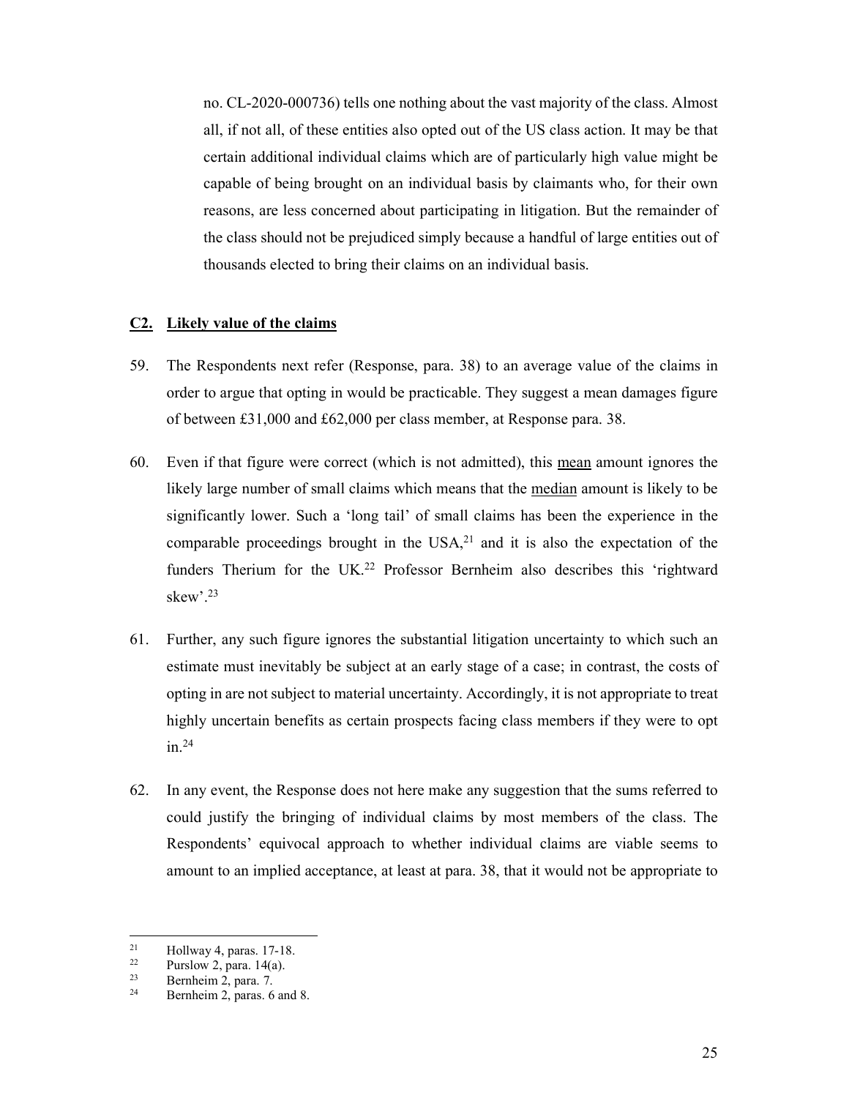no. CL-2020-000736) tells one nothing about the vast majority of the class. Almost all, if not all, of these entities also opted out of the US class action. It may be that certain additional individual claims which are of particularly high value might be capable of being brought on an individual basis by claimants who, for their own reasons, are less concerned about participating in litigation. But the remainder of the class should not be prejudiced simply because a handful of large entities out of thousands elected to bring their claims on an individual basis.

#### **C2. Likely value of the claims**

- 59. The Respondents next refer (Response, para. 38) to an average value of the claims in order to argue that opting in would be practicable. They suggest a mean damages figure of between £31,000 and £62,000 per class member, at Response para. 38.
- 60. Even if that figure were correct (which is not admitted), this mean amount ignores the likely large number of small claims which means that the median amount is likely to be significantly lower. Such a 'long tail' of small claims has been the experience in the comparable proceedings brought in the  $USA^{21}$  and it is also the expectation of the funders Therium for the UK.<sup>22</sup> Professor Bernheim also describes this 'rightward skew'.23
- 61. Further, any such figure ignores the substantial litigation uncertainty to which such an estimate must inevitably be subject at an early stage of a case; in contrast, the costs of opting in are not subject to material uncertainty. Accordingly, it is not appropriate to treat highly uncertain benefits as certain prospects facing class members if they were to opt in.24
- 62. In any event, the Response does not here make any suggestion that the sums referred to could justify the bringing of individual claims by most members of the class. The Respondents' equivocal approach to whether individual claims are viable seems to amount to an implied acceptance, at least at para. 38, that it would not be appropriate to

<sup>&</sup>lt;sup>21</sup> Hollway 4, paras. 17-18.<br><sup>22</sup> Purslow 2, para 14(a)

<sup>&</sup>lt;sup>22</sup> Purslow 2, para.  $14(a)$ .<br><sup>23</sup> Bernheim 2, para. 7

 $2^2$  Bernheim 2, para. 7.<br>
Pershaim 2, paras. 6

Bernheim 2, paras. 6 and 8.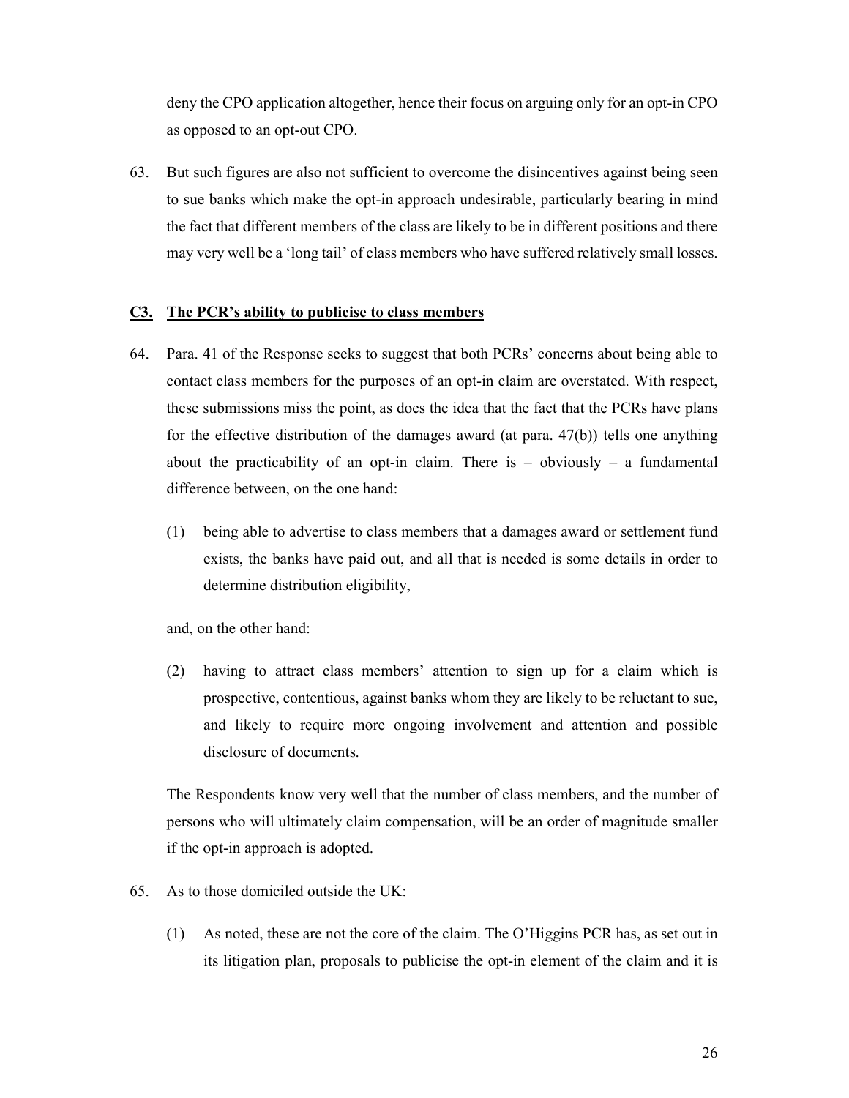deny the CPO application altogether, hence their focus on arguing only for an opt-in CPO as opposed to an opt-out CPO.

63. But such figures are also not sufficient to overcome the disincentives against being seen to sue banks which make the opt-in approach undesirable, particularly bearing in mind the fact that different members of the class are likely to be in different positions and there may very well be a 'long tail' of class members who have suffered relatively small losses.

### **C3. The PCR's ability to publicise to class members**

- 64. Para. 41 of the Response seeks to suggest that both PCRs' concerns about being able to contact class members for the purposes of an opt-in claim are overstated. With respect, these submissions miss the point, as does the idea that the fact that the PCRs have plans for the effective distribution of the damages award (at para. 47(b)) tells one anything about the practicability of an opt-in claim. There is  $-$  obviously  $-$  a fundamental difference between, on the one hand:
	- (1) being able to advertise to class members that a damages award or settlement fund exists, the banks have paid out, and all that is needed is some details in order to determine distribution eligibility,

and, on the other hand:

(2) having to attract class members' attention to sign up for a claim which is prospective, contentious, against banks whom they are likely to be reluctant to sue, and likely to require more ongoing involvement and attention and possible disclosure of documents.

The Respondents know very well that the number of class members, and the number of persons who will ultimately claim compensation, will be an order of magnitude smaller if the opt-in approach is adopted.

- 65. As to those domiciled outside the UK:
	- (1) As noted, these are not the core of the claim. The O'Higgins PCR has, as set out in its litigation plan, proposals to publicise the opt-in element of the claim and it is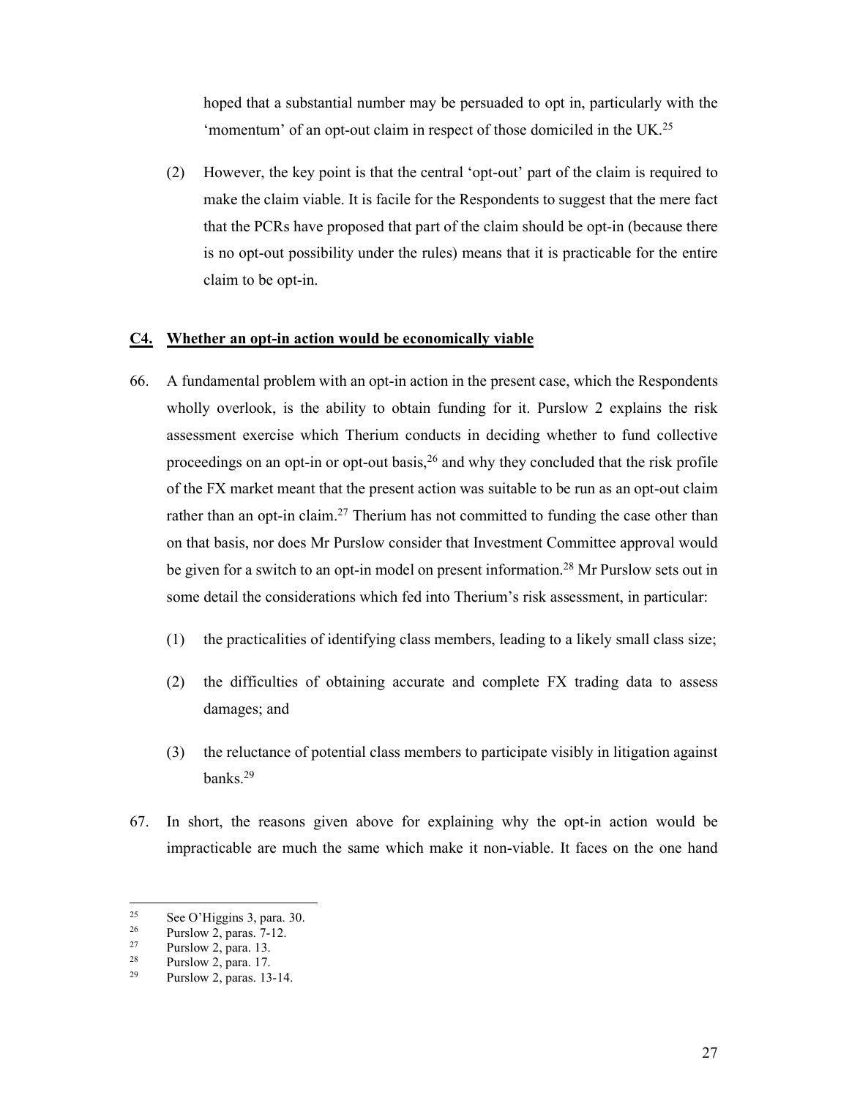hoped that a substantial number may be persuaded to opt in, particularly with the 'momentum' of an opt-out claim in respect of those domiciled in the UK.<sup>25</sup>

(2) However, the key point is that the central 'opt-out' part of the claim is required to make the claim viable. It is facile for the Respondents to suggest that the mere fact that the PCRs have proposed that part of the claim should be opt-in (because there is no opt-out possibility under the rules) means that it is practicable for the entire claim to be opt-in.

### **C4. Whether an opt-in action would be economically viable**

- 66. A fundamental problem with an opt-in action in the present case, which the Respondents wholly overlook, is the ability to obtain funding for it. Purslow 2 explains the risk assessment exercise which Therium conducts in deciding whether to fund collective proceedings on an opt-in or opt-out basis,  $26$  and why they concluded that the risk profile of the FX market meant that the present action was suitable to be run as an opt-out claim rather than an opt-in claim.<sup>27</sup> Therium has not committed to funding the case other than on that basis, nor does Mr Purslow consider that Investment Committee approval would be given for a switch to an opt-in model on present information.<sup>28</sup> Mr Purslow sets out in some detail the considerations which fed into Therium's risk assessment, in particular:
	- (1) the practicalities of identifying class members, leading to a likely small class size;
	- (2) the difficulties of obtaining accurate and complete FX trading data to assess damages; and
	- (3) the reluctance of potential class members to participate visibly in litigation against banks.29
- 67. In short, the reasons given above for explaining why the opt-in action would be impracticable are much the same which make it non-viable. It faces on the one hand

<sup>25</sup> <sup>25</sup> See O'Higgins 3, para. 30.<br><sup>26</sup> Purslow 2, paras.  $7\frac{12}{3}$ 

 $\frac{26}{27}$  Purslow 2, paras. 7-12.

 $\frac{27}{28}$  Purslow 2, para. 13.

 $\frac{28}{29}$  Purslow 2, para. 17.

Purslow 2, paras. 13-14.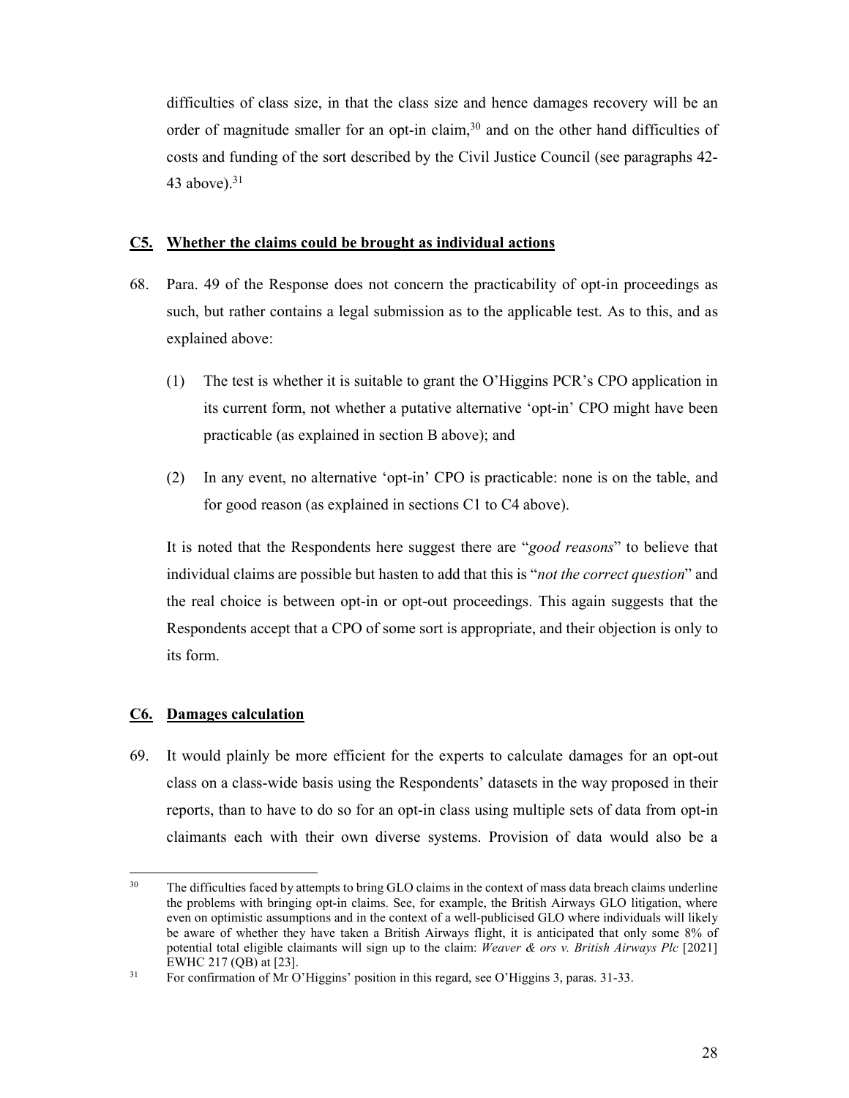difficulties of class size, in that the class size and hence damages recovery will be an order of magnitude smaller for an opt-in claim,<sup>30</sup> and on the other hand difficulties of costs and funding of the sort described by the Civil Justice Council (see paragraphs 42- 43 above). $31$ 

#### **C5. Whether the claims could be brought as individual actions**

- 68. Para. 49 of the Response does not concern the practicability of opt-in proceedings as such, but rather contains a legal submission as to the applicable test. As to this, and as explained above:
	- (1) The test is whether it is suitable to grant the O'Higgins PCR's CPO application in its current form, not whether a putative alternative 'opt-in' CPO might have been practicable (as explained in section B above); and
	- (2) In any event, no alternative 'opt-in' CPO is practicable: none is on the table, and for good reason (as explained in sections C1 to C4 above).

It is noted that the Respondents here suggest there are "*good reasons*" to believe that individual claims are possible but hasten to add that this is "*not the correct question*" and the real choice is between opt-in or opt-out proceedings. This again suggests that the Respondents accept that a CPO of some sort is appropriate, and their objection is only to its form.

#### **C6. Damages calculation**

-

69. It would plainly be more efficient for the experts to calculate damages for an opt-out class on a class-wide basis using the Respondents' datasets in the way proposed in their reports, than to have to do so for an opt-in class using multiple sets of data from opt-in claimants each with their own diverse systems. Provision of data would also be a

<sup>&</sup>lt;sup>30</sup> The difficulties faced by attempts to bring GLO claims in the context of mass data breach claims underline the problems with bringing opt-in claims. See, for example, the British Airways GLO litigation, where even on optimistic assumptions and in the context of a well-publicised GLO where individuals will likely be aware of whether they have taken a British Airways flight, it is anticipated that only some 8% of potential total eligible claimants will sign up to the claim: *Weaver & ors v. British Airways Plc* [2021] EWHC 217 (QB) at [23].<br><sup>31</sup> For confirmation of Mr O'Higgins' position in this regard, see O'Higgins 3, paras. 31-33.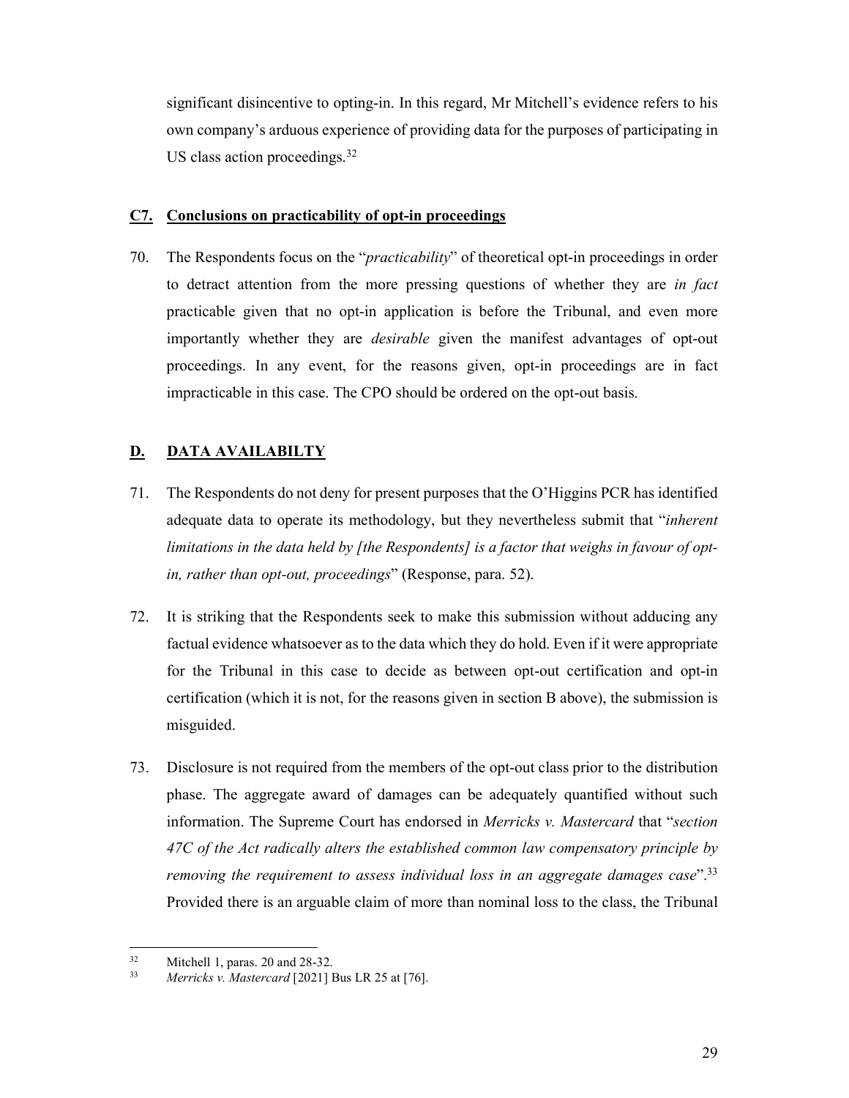significant disincentive to opting-in. In this regard, Mr Mitchell's evidence refers to his own company's arduous experience of providing data for the purposes of participating in US class action proceedings.  $32$ 

#### **C7. Conclusions on practicability of opt-in proceedings**

70. The Respondents focus on the "*practicability*" of theoretical opt-in proceedings in order to detract attention from the more pressing questions of whether they are *in fact* practicable given that no opt-in application is before the Tribunal, and even more importantly whether they are *desirable* given the manifest advantages of opt-out proceedings. In any event, for the reasons given, opt-in proceedings are in fact impracticable in this case. The CPO should be ordered on the opt-out basis.

## **D. DATA AVAILABILTY**

- 71. The Respondents do not deny for present purposes that the O'Higgins PCR has identified adequate data to operate its methodology, but they nevertheless submit that "*inherent limitations in the data held by [the Respondents] is a factor that weighs in favour of optin, rather than opt-out, proceedings*" (Response, para. 52).
- 72. It is striking that the Respondents seek to make this submission without adducing any factual evidence whatsoever as to the data which they do hold. Even if it were appropriate for the Tribunal in this case to decide as between opt-out certification and opt-in certification (which it is not, for the reasons given in section B above), the submission is misguided.
- 73. Disclosure is not required from the members of the opt-out class prior to the distribution phase. The aggregate award of damages can be adequately quantified without such information. The Supreme Court has endorsed in *Merricks v. Mastercard* that "*section 47C of the Act radically alters the established common law compensatory principle by removing the requirement to assess individual loss in an aggregate damages case*".33 Provided there is an arguable claim of more than nominal loss to the class, the Tribunal

 $32$  $\frac{32}{33}$  Mitchell 1, paras. 20 and 28-32.<br>Marricks y Mastercard [20211]

<sup>33</sup> *Merricks v. Mastercard* [2021] Bus LR 25 at [76].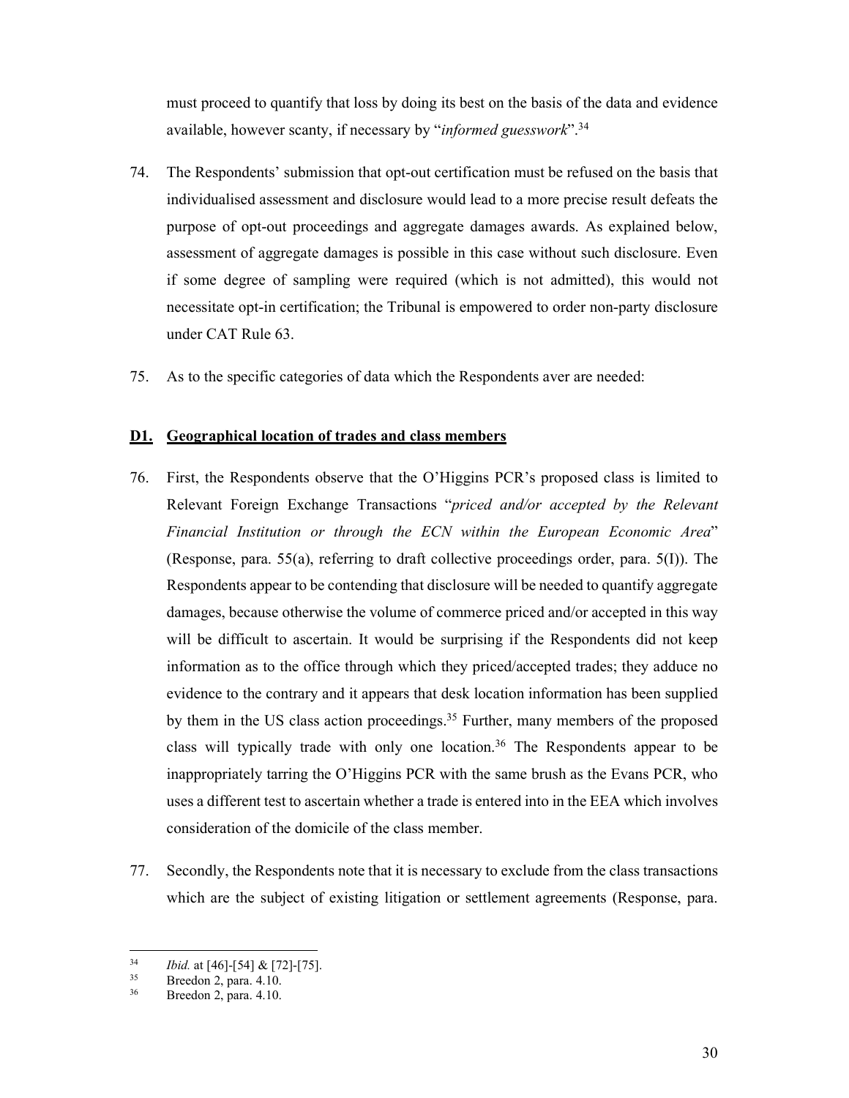must proceed to quantify that loss by doing its best on the basis of the data and evidence available, however scanty, if necessary by "*informed guesswork*".34

- 74. The Respondents' submission that opt-out certification must be refused on the basis that individualised assessment and disclosure would lead to a more precise result defeats the purpose of opt-out proceedings and aggregate damages awards. As explained below, assessment of aggregate damages is possible in this case without such disclosure. Even if some degree of sampling were required (which is not admitted), this would not necessitate opt-in certification; the Tribunal is empowered to order non-party disclosure under CAT Rule 63.
- 75. As to the specific categories of data which the Respondents aver are needed:

### **D1. Geographical location of trades and class members**

- 76. First, the Respondents observe that the O'Higgins PCR's proposed class is limited to Relevant Foreign Exchange Transactions "*priced and/or accepted by the Relevant Financial Institution or through the ECN within the European Economic Area*" (Response, para. 55(a), referring to draft collective proceedings order, para. 5(I)). The Respondents appear to be contending that disclosure will be needed to quantify aggregate damages, because otherwise the volume of commerce priced and/or accepted in this way will be difficult to ascertain. It would be surprising if the Respondents did not keep information as to the office through which they priced/accepted trades; they adduce no evidence to the contrary and it appears that desk location information has been supplied by them in the US class action proceedings.<sup>35</sup> Further, many members of the proposed class will typically trade with only one location.<sup>36</sup> The Respondents appear to be inappropriately tarring the O'Higgins PCR with the same brush as the Evans PCR, who uses a different test to ascertain whether a trade is entered into in the EEA which involves consideration of the domicile of the class member.
- 77. Secondly, the Respondents note that it is necessary to exclude from the class transactions which are the subject of existing litigation or settlement agreements (Response, para.

 $34$ <sup>34</sup>*Ibid.* at [46]-[54] & [72]-[75]. 35 Breedon 2, para. 4.10.

Breedon 2, para. 4.10.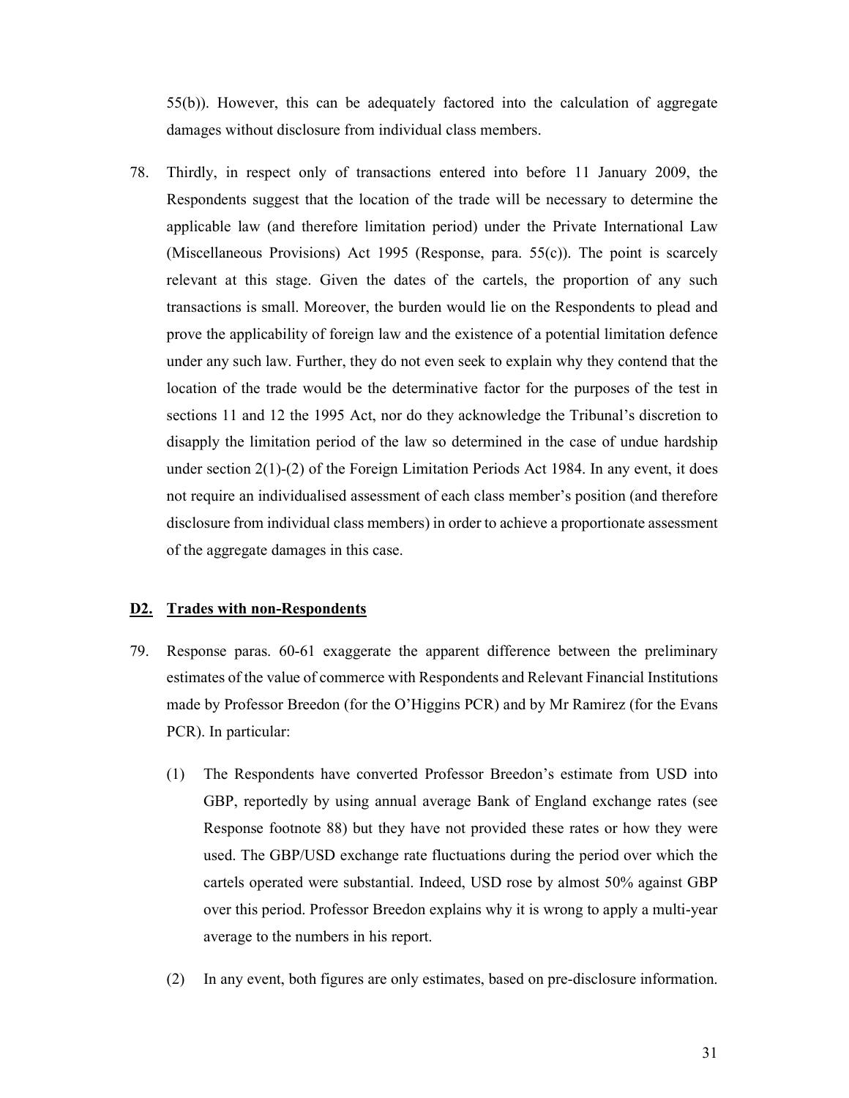55(b)). However, this can be adequately factored into the calculation of aggregate damages without disclosure from individual class members.

78. Thirdly, in respect only of transactions entered into before 11 January 2009, the Respondents suggest that the location of the trade will be necessary to determine the applicable law (and therefore limitation period) under the Private International Law (Miscellaneous Provisions) Act 1995 (Response, para. 55(c)). The point is scarcely relevant at this stage. Given the dates of the cartels, the proportion of any such transactions is small. Moreover, the burden would lie on the Respondents to plead and prove the applicability of foreign law and the existence of a potential limitation defence under any such law. Further, they do not even seek to explain why they contend that the location of the trade would be the determinative factor for the purposes of the test in sections 11 and 12 the 1995 Act, nor do they acknowledge the Tribunal's discretion to disapply the limitation period of the law so determined in the case of undue hardship under section  $2(1)-(2)$  of the Foreign Limitation Periods Act 1984. In any event, it does not require an individualised assessment of each class member's position (and therefore disclosure from individual class members) in order to achieve a proportionate assessment of the aggregate damages in this case.

#### **D2. Trades with non-Respondents**

- 79. Response paras. 60-61 exaggerate the apparent difference between the preliminary estimates of the value of commerce with Respondents and Relevant Financial Institutions made by Professor Breedon (for the O'Higgins PCR) and by Mr Ramirez (for the Evans PCR). In particular:
	- (1) The Respondents have converted Professor Breedon's estimate from USD into GBP, reportedly by using annual average Bank of England exchange rates (see Response footnote 88) but they have not provided these rates or how they were used. The GBP/USD exchange rate fluctuations during the period over which the cartels operated were substantial. Indeed, USD rose by almost 50% against GBP over this period. Professor Breedon explains why it is wrong to apply a multi-year average to the numbers in his report.
	- (2) In any event, both figures are only estimates, based on pre-disclosure information.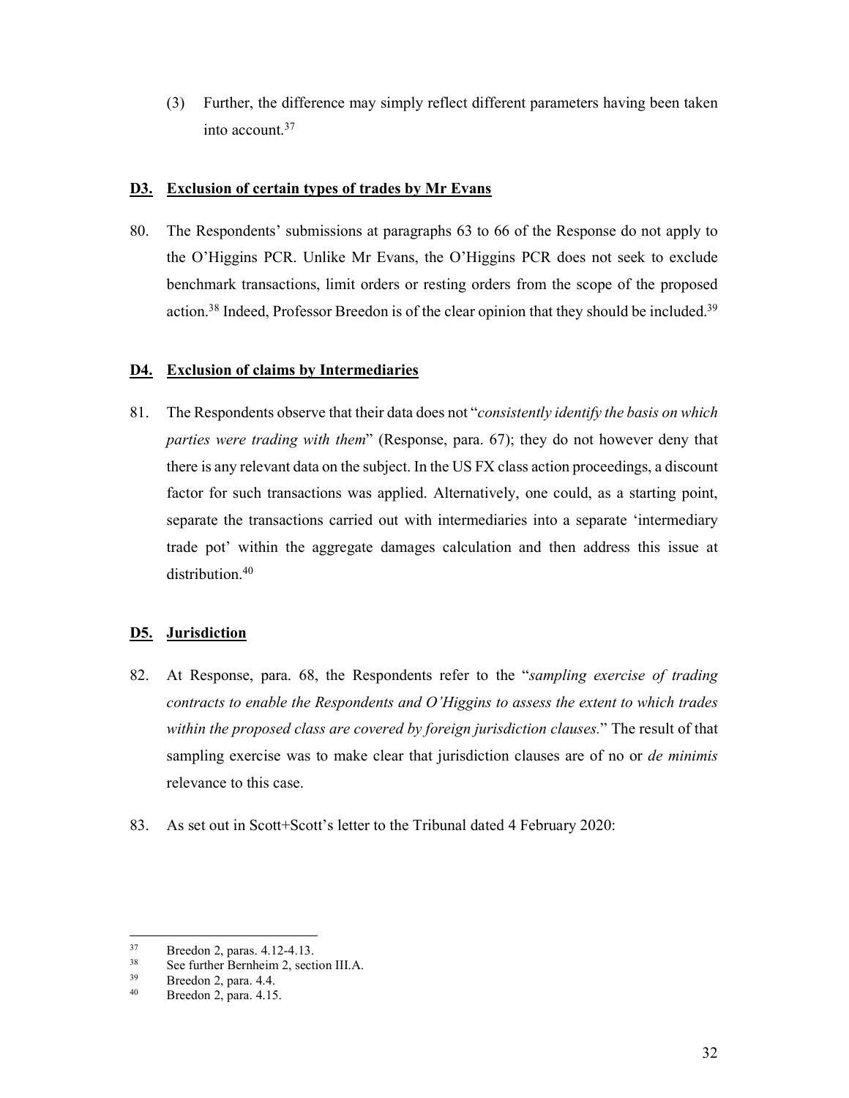(3) Further, the difference may simply reflect different parameters having been taken into account.37

### **D3. Exclusion of certain types of trades by Mr Evans**

80. The Respondents' submissions at paragraphs 63 to 66 of the Response do not apply to the O'Higgins PCR. Unlike Mr Evans, the O'Higgins PCR does not seek to exclude benchmark transactions, limit orders or resting orders from the scope of the proposed action.<sup>38</sup> Indeed, Professor Breedon is of the clear opinion that they should be included.<sup>39</sup>

## **D4. Exclusion of claims by Intermediaries**

81. The Respondents observe that their data does not "*consistently identify the basis on which parties were trading with them*" (Response, para. 67); they do not however deny that there is any relevant data on the subject. In the US FX class action proceedings, a discount factor for such transactions was applied. Alternatively, one could, as a starting point, separate the transactions carried out with intermediaries into a separate 'intermediary trade pot' within the aggregate damages calculation and then address this issue at distribution.<sup>40</sup>

## **D5. Jurisdiction**

- 82. At Response, para. 68, the Respondents refer to the "*sampling exercise of trading contracts to enable the Respondents and O'Higgins to assess the extent to which trades within the proposed class are covered by foreign jurisdiction clauses.*" The result of that sampling exercise was to make clear that jurisdiction clauses are of no or *de minimis* relevance to this case.
- 83. As set out in Scott+Scott's letter to the Tribunal dated 4 February 2020:

 $37$  Breedon 2, paras. 4.12-4.13.<br> $38$  See further Bernheim 2, sect.

<sup>&</sup>lt;sup>38</sup> See further Bernheim 2, section III.A.<br><sup>39</sup> Preeden 2, para  $4.4$ 

 $39$  Breedon 2, para. 4.4.<br> $40$  Breedon 2, para. 4.15

Breedon 2, para. 4.15.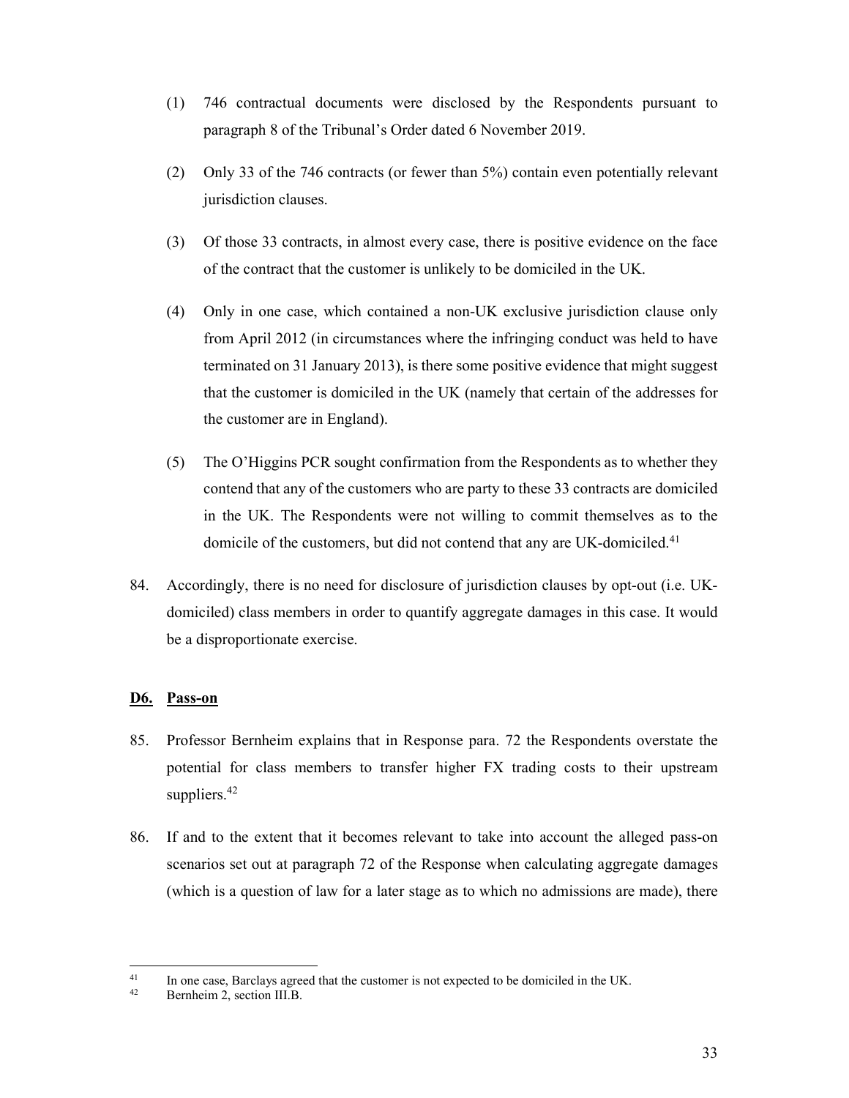- (1) 746 contractual documents were disclosed by the Respondents pursuant to paragraph 8 of the Tribunal's Order dated 6 November 2019.
- (2) Only 33 of the 746 contracts (or fewer than 5%) contain even potentially relevant jurisdiction clauses.
- (3) Of those 33 contracts, in almost every case, there is positive evidence on the face of the contract that the customer is unlikely to be domiciled in the UK.
- (4) Only in one case, which contained a non-UK exclusive jurisdiction clause only from April 2012 (in circumstances where the infringing conduct was held to have terminated on 31 January 2013), is there some positive evidence that might suggest that the customer is domiciled in the UK (namely that certain of the addresses for the customer are in England).
- (5) The O'Higgins PCR sought confirmation from the Respondents as to whether they contend that any of the customers who are party to these 33 contracts are domiciled in the UK. The Respondents were not willing to commit themselves as to the domicile of the customers, but did not contend that any are UK-domiciled.<sup>41</sup>
- 84. Accordingly, there is no need for disclosure of jurisdiction clauses by opt-out (i.e. UKdomiciled) class members in order to quantify aggregate damages in this case. It would be a disproportionate exercise.

## **D6. Pass-on**

- 85. Professor Bernheim explains that in Response para. 72 the Respondents overstate the potential for class members to transfer higher FX trading costs to their upstream suppliers.<sup>42</sup>
- 86. If and to the extent that it becomes relevant to take into account the alleged pass-on scenarios set out at paragraph 72 of the Response when calculating aggregate damages (which is a question of law for a later stage as to which no admissions are made), there

<sup>&</sup>lt;sup>41</sup> In one case, Barclays agreed that the customer is not expected to be domiciled in the UK.<br><sup>42</sup> Bernheim 2, section III.B.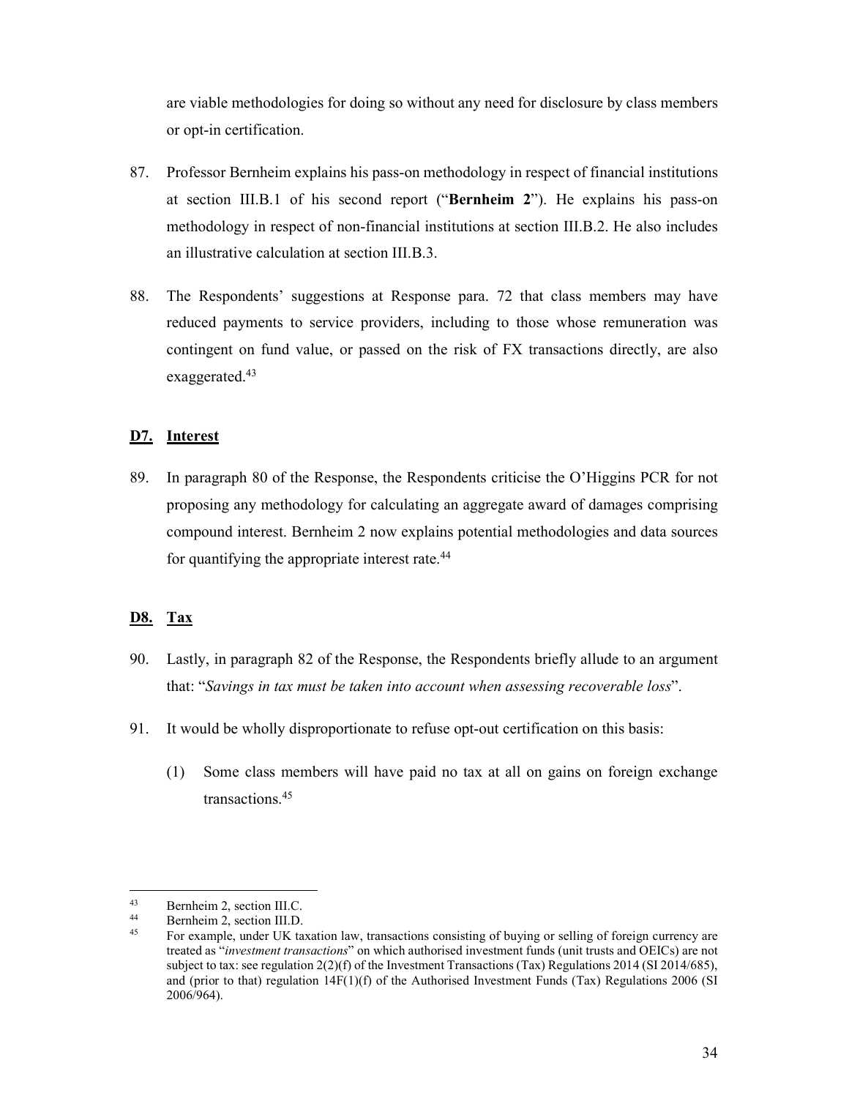are viable methodologies for doing so without any need for disclosure by class members or opt-in certification.

- 87. Professor Bernheim explains his pass-on methodology in respect of financial institutions at section III.B.1 of his second report ("**Bernheim 2**"). He explains his pass-on methodology in respect of non-financial institutions at section III.B.2. He also includes an illustrative calculation at section III.B.3.
- 88. The Respondents' suggestions at Response para. 72 that class members may have reduced payments to service providers, including to those whose remuneration was contingent on fund value, or passed on the risk of FX transactions directly, are also exaggerated.<sup>43</sup>

### **D7. Interest**

89. In paragraph 80 of the Response, the Respondents criticise the O'Higgins PCR for not proposing any methodology for calculating an aggregate award of damages comprising compound interest. Bernheim 2 now explains potential methodologies and data sources for quantifying the appropriate interest rate.44

# **D8. Tax**

- 90. Lastly, in paragraph 82 of the Response, the Respondents briefly allude to an argument that: "*Savings in tax must be taken into account when assessing recoverable loss*".
- 91. It would be wholly disproportionate to refuse opt-out certification on this basis:
	- (1) Some class members will have paid no tax at all on gains on foreign exchange transactions.45

 $^{43}$  Bernheim 2, section III.C.<br> $^{44}$  Bernheim 2 section III D

 $^{44}$  Bernheim 2, section III.D.<br> $^{45}$  Eor example, under IIV to:

<sup>45</sup> For example, under UK taxation law, transactions consisting of buying or selling of foreign currency are treated as "*investment transactions*" on which authorised investment funds (unit trusts and OEICs) are not subject to tax: see regulation  $2(2)(f)$  of the Investment Transactions (Tax) Regulations 2014 (SI 2014/685), and (prior to that) regulation 14F(1)(f) of the Authorised Investment Funds (Tax) Regulations 2006 (SI 2006/964).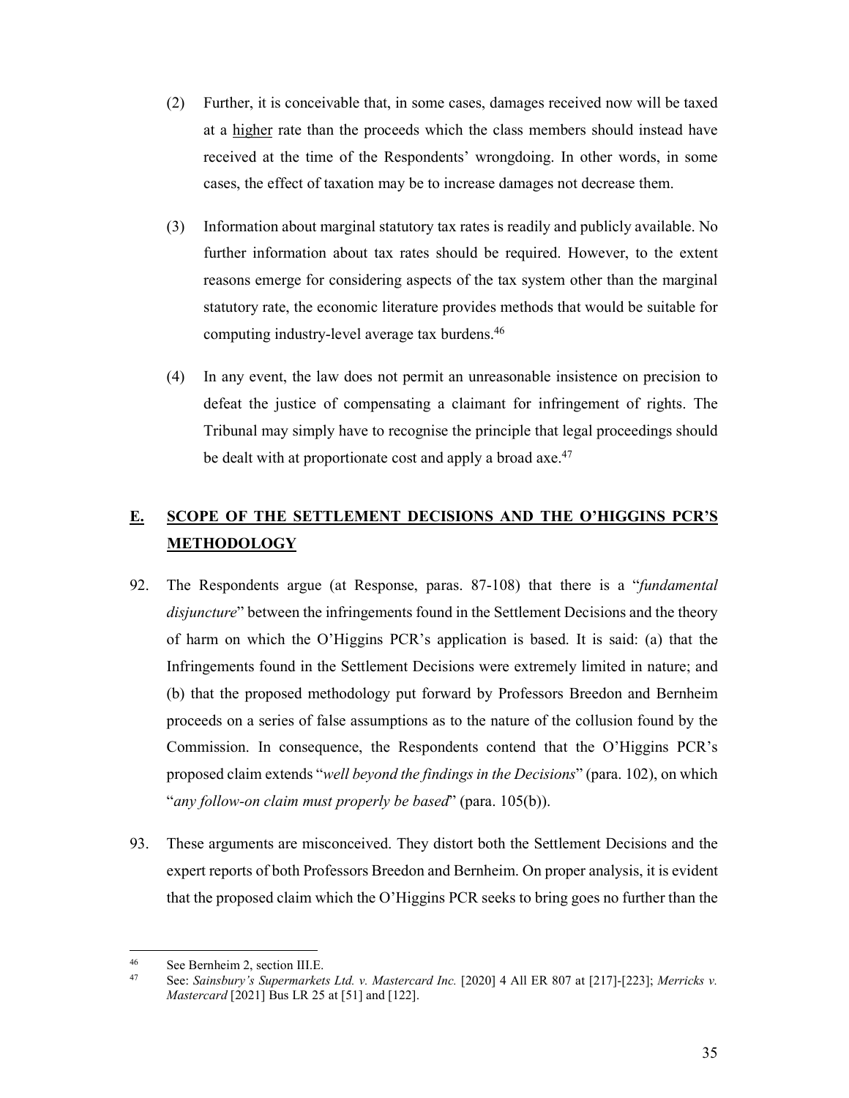- (2) Further, it is conceivable that, in some cases, damages received now will be taxed at a higher rate than the proceeds which the class members should instead have received at the time of the Respondents' wrongdoing. In other words, in some cases, the effect of taxation may be to increase damages not decrease them.
- (3) Information about marginal statutory tax rates is readily and publicly available. No further information about tax rates should be required. However, to the extent reasons emerge for considering aspects of the tax system other than the marginal statutory rate, the economic literature provides methods that would be suitable for computing industry-level average tax burdens.46
- (4) In any event, the law does not permit an unreasonable insistence on precision to defeat the justice of compensating a claimant for infringement of rights. The Tribunal may simply have to recognise the principle that legal proceedings should be dealt with at proportionate cost and apply a broad axe.<sup>47</sup>

# **E. SCOPE OF THE SETTLEMENT DECISIONS AND THE O'HIGGINS PCR'S METHODOLOGY**

- 92. The Respondents argue (at Response, paras. 87-108) that there is a "*fundamental disjuncture*" between the infringements found in the Settlement Decisions and the theory of harm on which the O'Higgins PCR's application is based. It is said: (a) that the Infringements found in the Settlement Decisions were extremely limited in nature; and (b) that the proposed methodology put forward by Professors Breedon and Bernheim proceeds on a series of false assumptions as to the nature of the collusion found by the Commission. In consequence, the Respondents contend that the O'Higgins PCR's proposed claim extends "*well beyond the findings in the Decisions*" (para. 102), on which "*any follow-on claim must properly be based*" (para. 105(b)).
- 93. These arguments are misconceived. They distort both the Settlement Decisions and the expert reports of both Professors Breedon and Bernheim. On proper analysis, it is evident that the proposed claim which the O'Higgins PCR seeks to bring goes no further than the

 $46$  $^{46}$  See Bernheim 2, section III.E.<br> $^{47}$  Sec. Sainsbury's Supermarket

<sup>47</sup> See: *Sainsbury's Supermarkets Ltd. v. Mastercard Inc.* [2020] 4 All ER 807 at [217]-[223]; *Merricks v. Mastercard* [2021] Bus LR 25 at [51] and [122].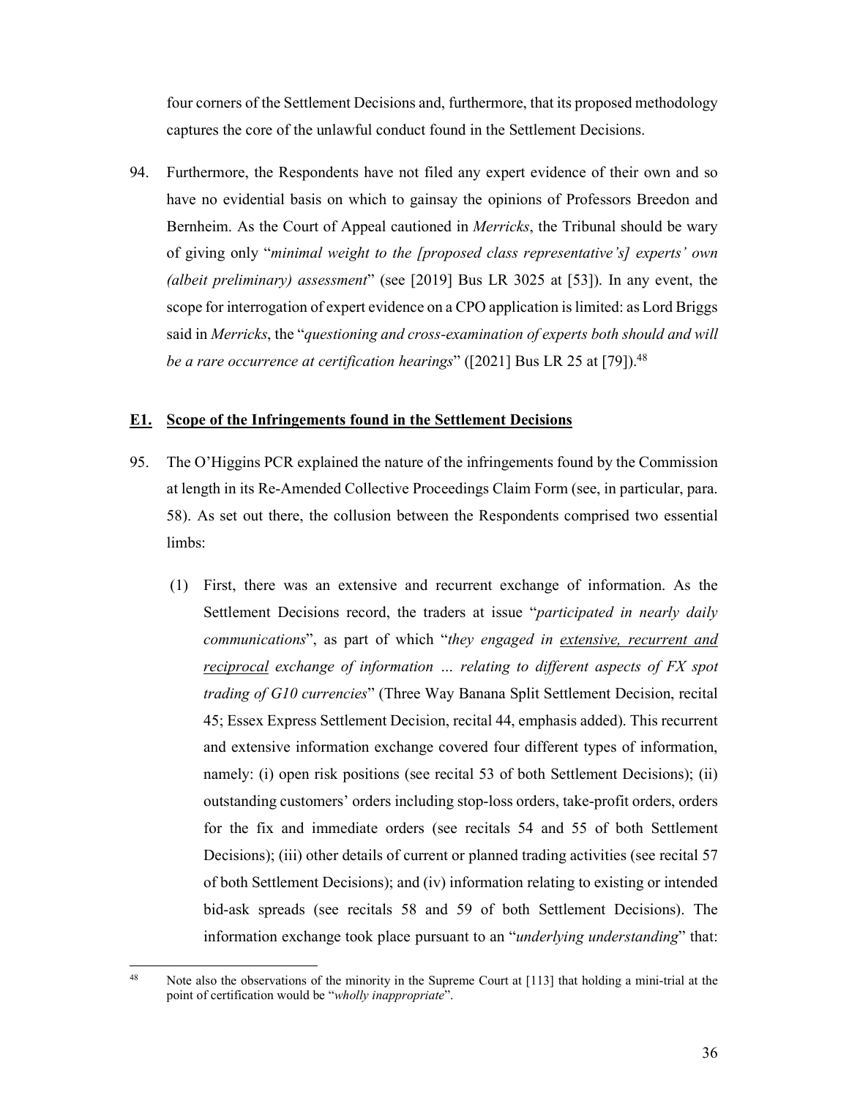four corners of the Settlement Decisions and, furthermore, that its proposed methodology captures the core of the unlawful conduct found in the Settlement Decisions.

94. Furthermore, the Respondents have not filed any expert evidence of their own and so have no evidential basis on which to gainsay the opinions of Professors Breedon and Bernheim. As the Court of Appeal cautioned in *Merricks*, the Tribunal should be wary of giving only "*minimal weight to the [proposed class representative's] experts' own (albeit preliminary) assessment*" (see [2019] Bus LR 3025 at [53]). In any event, the scope for interrogation of expert evidence on a CPO application is limited: as Lord Briggs said in *Merricks*, the "*questioning and cross-examination of experts both should and will be a rare occurrence at certification hearings*" ([2021] Bus LR 25 at [79]).<sup>48</sup>

### **E1. Scope of the Infringements found in the Settlement Decisions**

- 95. The O'Higgins PCR explained the nature of the infringements found by the Commission at length in its Re-Amended Collective Proceedings Claim Form (see, in particular, para. 58). As set out there, the collusion between the Respondents comprised two essential limbs:
	- (1) First, there was an extensive and recurrent exchange of information. As the Settlement Decisions record, the traders at issue "*participated in nearly daily communications*", as part of which "*they engaged in extensive, recurrent and reciprocal exchange of information … relating to different aspects of FX spot trading of G10 currencies*" (Three Way Banana Split Settlement Decision, recital 45; Essex Express Settlement Decision, recital 44, emphasis added). This recurrent and extensive information exchange covered four different types of information, namely: (i) open risk positions (see recital 53 of both Settlement Decisions); (ii) outstanding customers' orders including stop-loss orders, take-profit orders, orders for the fix and immediate orders (see recitals 54 and 55 of both Settlement Decisions); (iii) other details of current or planned trading activities (see recital 57 of both Settlement Decisions); and (iv) information relating to existing or intended bid-ask spreads (see recitals 58 and 59 of both Settlement Decisions). The information exchange took place pursuant to an "*underlying understanding*" that:

<sup>&</sup>lt;sup>48</sup> Note also the observations of the minority in the Supreme Court at [113] that holding a mini-trial at the point of certification would be "*wholly inappropriate*".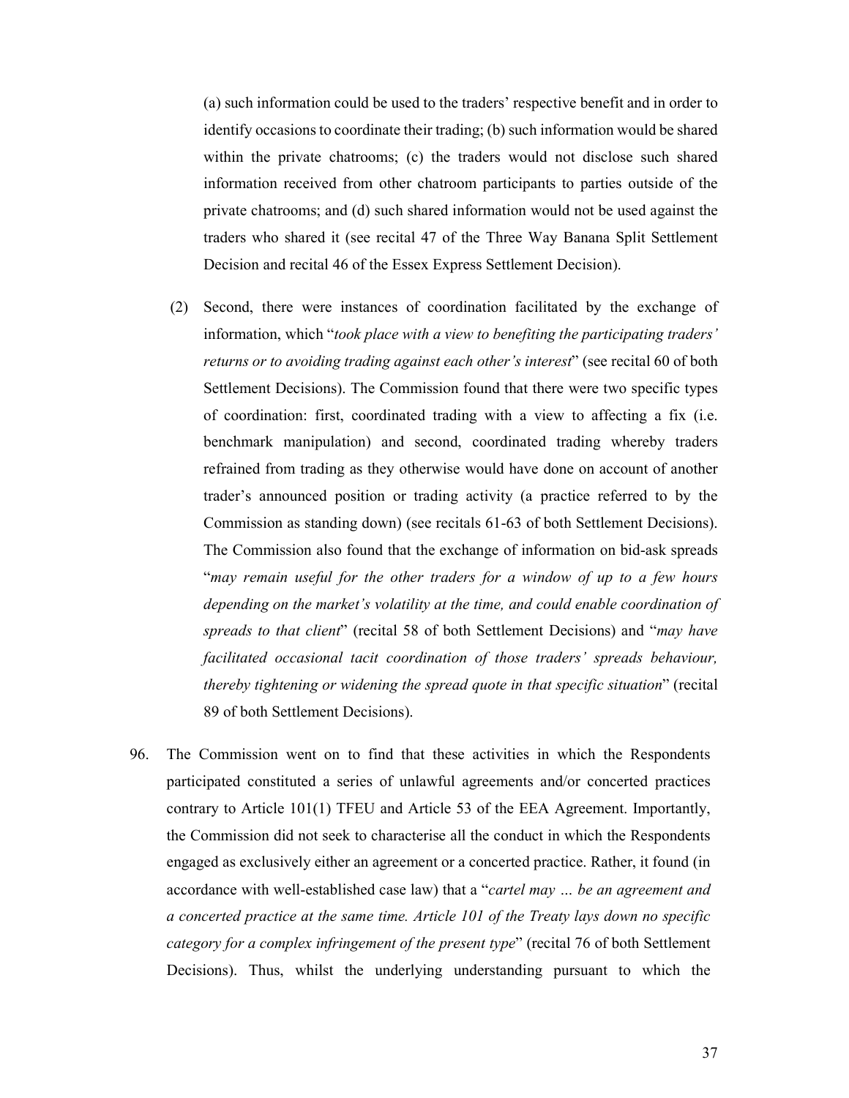(a) such information could be used to the traders' respective benefit and in order to identify occasions to coordinate their trading; (b) such information would be shared within the private chatrooms; (c) the traders would not disclose such shared information received from other chatroom participants to parties outside of the private chatrooms; and (d) such shared information would not be used against the traders who shared it (see recital 47 of the Three Way Banana Split Settlement Decision and recital 46 of the Essex Express Settlement Decision).

- (2) Second, there were instances of coordination facilitated by the exchange of information, which "*took place with a view to benefiting the participating traders' returns or to avoiding trading against each other's interest*" (see recital 60 of both Settlement Decisions). The Commission found that there were two specific types of coordination: first, coordinated trading with a view to affecting a fix (i.e. benchmark manipulation) and second, coordinated trading whereby traders refrained from trading as they otherwise would have done on account of another trader's announced position or trading activity (a practice referred to by the Commission as standing down) (see recitals 61-63 of both Settlement Decisions). The Commission also found that the exchange of information on bid-ask spreads "*may remain useful for the other traders for a window of up to a few hours depending on the market's volatility at the time, and could enable coordination of spreads to that client*" (recital 58 of both Settlement Decisions) and "*may have facilitated occasional tacit coordination of those traders' spreads behaviour, thereby tightening or widening the spread quote in that specific situation*" (recital 89 of both Settlement Decisions).
- 96. The Commission went on to find that these activities in which the Respondents participated constituted a series of unlawful agreements and/or concerted practices contrary to Article 101(1) TFEU and Article 53 of the EEA Agreement. Importantly, the Commission did not seek to characterise all the conduct in which the Respondents engaged as exclusively either an agreement or a concerted practice. Rather, it found (in accordance with well-established case law) that a "*cartel may … be an agreement and a concerted practice at the same time. Article 101 of the Treaty lays down no specific category for a complex infringement of the present type*" (recital 76 of both Settlement Decisions). Thus, whilst the underlying understanding pursuant to which the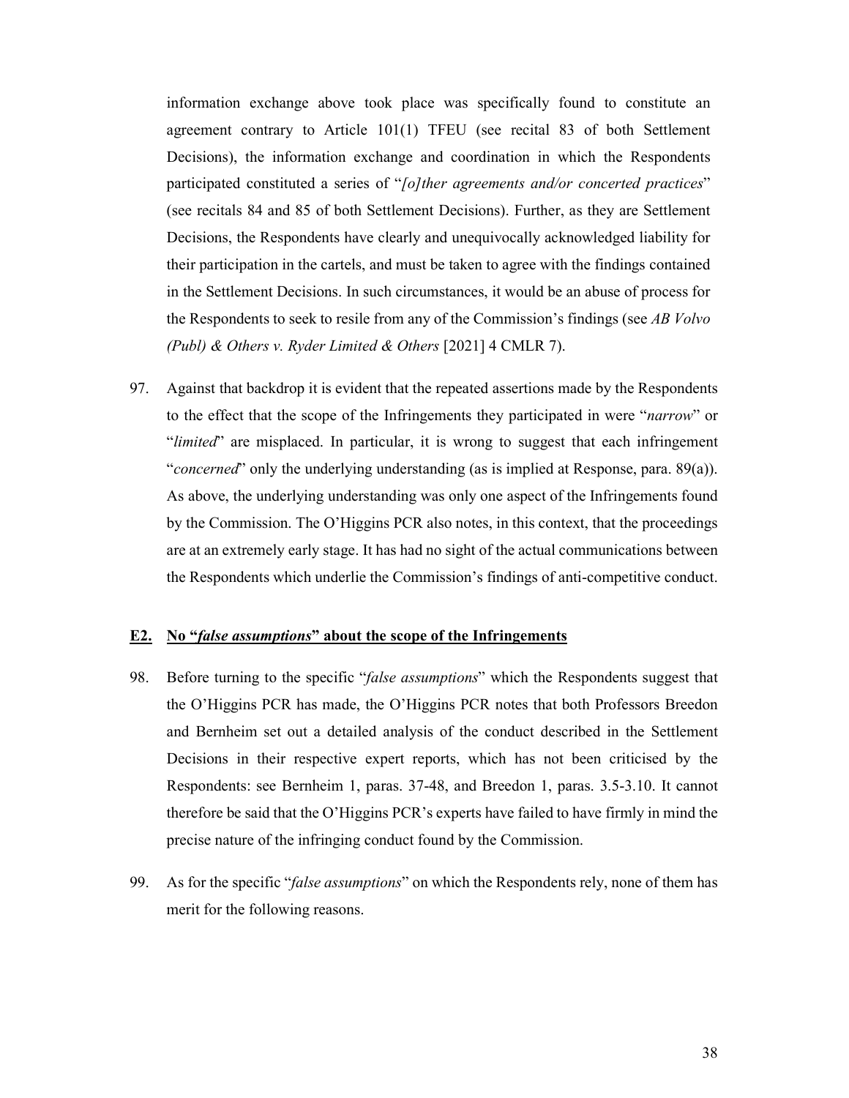information exchange above took place was specifically found to constitute an agreement contrary to Article 101(1) TFEU (see recital 83 of both Settlement Decisions), the information exchange and coordination in which the Respondents participated constituted a series of "*[o]ther agreements and/or concerted practices*" (see recitals 84 and 85 of both Settlement Decisions). Further, as they are Settlement Decisions, the Respondents have clearly and unequivocally acknowledged liability for their participation in the cartels, and must be taken to agree with the findings contained in the Settlement Decisions. In such circumstances, it would be an abuse of process for the Respondents to seek to resile from any of the Commission's findings (see *AB Volvo (Publ) & Others v. Ryder Limited & Others* [2021] 4 CMLR 7).

97. Against that backdrop it is evident that the repeated assertions made by the Respondents to the effect that the scope of the Infringements they participated in were "*narrow*" or "*limited*" are misplaced. In particular, it is wrong to suggest that each infringement "*concerned*" only the underlying understanding (as is implied at Response, para. 89(a)). As above, the underlying understanding was only one aspect of the Infringements found by the Commission. The O'Higgins PCR also notes, in this context, that the proceedings are at an extremely early stage. It has had no sight of the actual communications between the Respondents which underlie the Commission's findings of anti-competitive conduct.

#### **E2. No "***false assumptions***" about the scope of the Infringements**

- 98. Before turning to the specific "*false assumptions*" which the Respondents suggest that the O'Higgins PCR has made, the O'Higgins PCR notes that both Professors Breedon and Bernheim set out a detailed analysis of the conduct described in the Settlement Decisions in their respective expert reports, which has not been criticised by the Respondents: see Bernheim 1, paras. 37-48, and Breedon 1, paras. 3.5-3.10. It cannot therefore be said that the O'Higgins PCR's experts have failed to have firmly in mind the precise nature of the infringing conduct found by the Commission.
- 99. As for the specific "*false assumptions*" on which the Respondents rely, none of them has merit for the following reasons.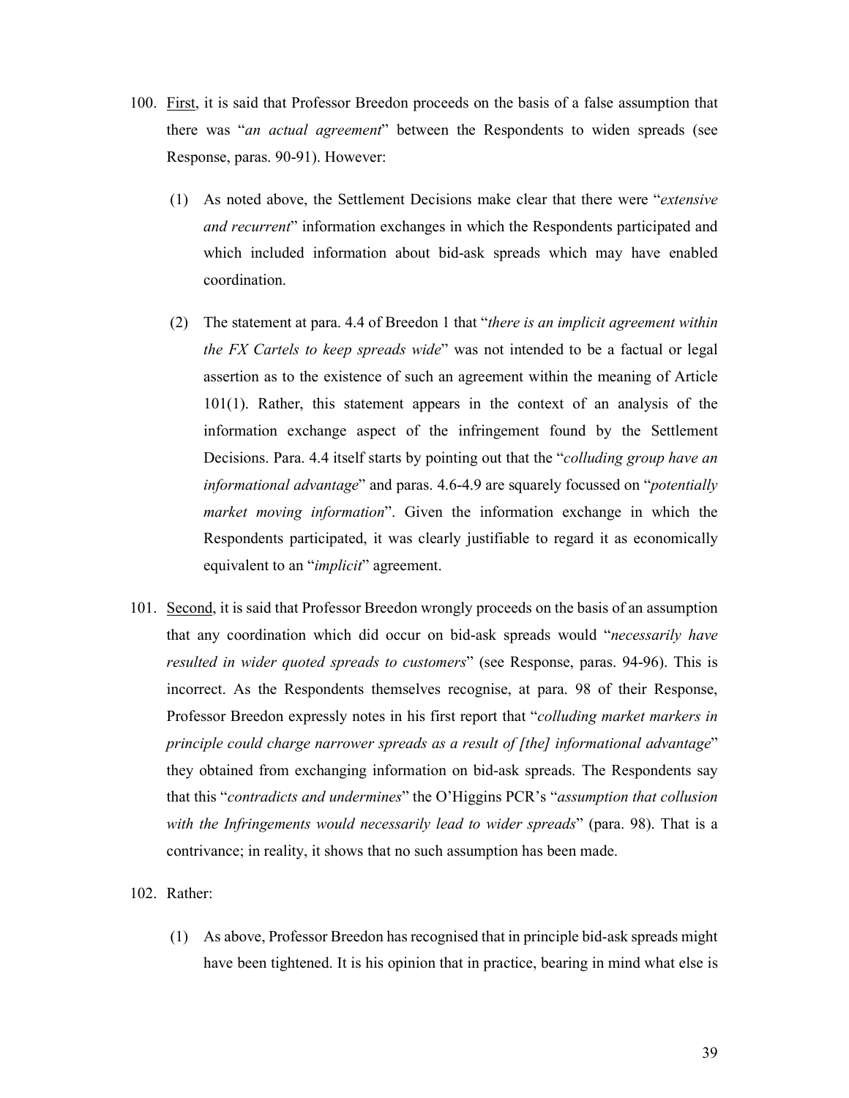- 100. First, it is said that Professor Breedon proceeds on the basis of a false assumption that there was "*an actual agreement*" between the Respondents to widen spreads (see Response, paras. 90-91). However:
	- (1) As noted above, the Settlement Decisions make clear that there were "*extensive and recurrent*" information exchanges in which the Respondents participated and which included information about bid-ask spreads which may have enabled coordination.
	- (2) The statement at para. 4.4 of Breedon 1 that "*there is an implicit agreement within the FX Cartels to keep spreads wide*" was not intended to be a factual or legal assertion as to the existence of such an agreement within the meaning of Article 101(1). Rather, this statement appears in the context of an analysis of the information exchange aspect of the infringement found by the Settlement Decisions. Para. 4.4 itself starts by pointing out that the "*colluding group have an informational advantage*" and paras. 4.6-4.9 are squarely focussed on "*potentially market moving information*". Given the information exchange in which the Respondents participated, it was clearly justifiable to regard it as economically equivalent to an "*implicit*" agreement.
- 101. Second, it is said that Professor Breedon wrongly proceeds on the basis of an assumption that any coordination which did occur on bid-ask spreads would "*necessarily have resulted in wider quoted spreads to customers*" (see Response, paras. 94-96). This is incorrect. As the Respondents themselves recognise, at para. 98 of their Response, Professor Breedon expressly notes in his first report that "*colluding market markers in principle could charge narrower spreads as a result of [the] informational advantage*" they obtained from exchanging information on bid-ask spreads. The Respondents say that this "*contradicts and undermines*" the O'Higgins PCR's "*assumption that collusion with the Infringements would necessarily lead to wider spreads*" (para. 98). That is a contrivance; in reality, it shows that no such assumption has been made.
- 102. Rather:
	- (1) As above, Professor Breedon has recognised that in principle bid-ask spreads might have been tightened. It is his opinion that in practice, bearing in mind what else is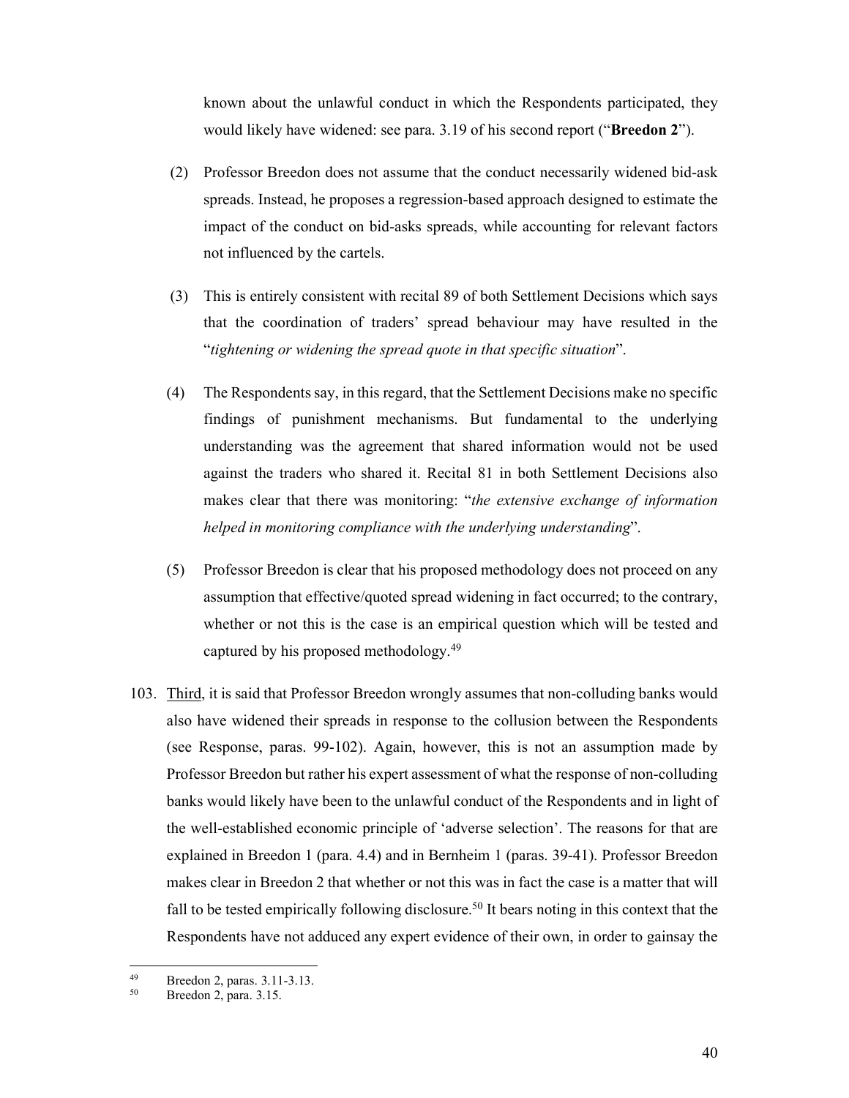known about the unlawful conduct in which the Respondents participated, they would likely have widened: see para. 3.19 of his second report ("**Breedon 2**").

- (2) Professor Breedon does not assume that the conduct necessarily widened bid-ask spreads. Instead, he proposes a regression-based approach designed to estimate the impact of the conduct on bid-asks spreads, while accounting for relevant factors not influenced by the cartels.
- (3) This is entirely consistent with recital 89 of both Settlement Decisions which says that the coordination of traders' spread behaviour may have resulted in the "*tightening or widening the spread quote in that specific situation*".
- (4) The Respondents say, in this regard, that the Settlement Decisions make no specific findings of punishment mechanisms. But fundamental to the underlying understanding was the agreement that shared information would not be used against the traders who shared it. Recital 81 in both Settlement Decisions also makes clear that there was monitoring: "*the extensive exchange of information helped in monitoring compliance with the underlying understanding*".
- (5) Professor Breedon is clear that his proposed methodology does not proceed on any assumption that effective/quoted spread widening in fact occurred; to the contrary, whether or not this is the case is an empirical question which will be tested and captured by his proposed methodology.49
- 103. Third, it is said that Professor Breedon wrongly assumes that non-colluding banks would also have widened their spreads in response to the collusion between the Respondents (see Response, paras. 99-102). Again, however, this is not an assumption made by Professor Breedon but rather his expert assessment of what the response of non-colluding banks would likely have been to the unlawful conduct of the Respondents and in light of the well-established economic principle of 'adverse selection'. The reasons for that are explained in Breedon 1 (para. 4.4) and in Bernheim 1 (paras. 39-41). Professor Breedon makes clear in Breedon 2 that whether or not this was in fact the case is a matter that will fall to be tested empirically following disclosure.<sup>50</sup> It bears noting in this context that the Respondents have not adduced any expert evidence of their own, in order to gainsay the

 $^{49}$  Breedon 2, paras. 3.11-3.13.<br> $^{50}$  Breedon 2, para. 3.15

Breedon 2, para. 3.15.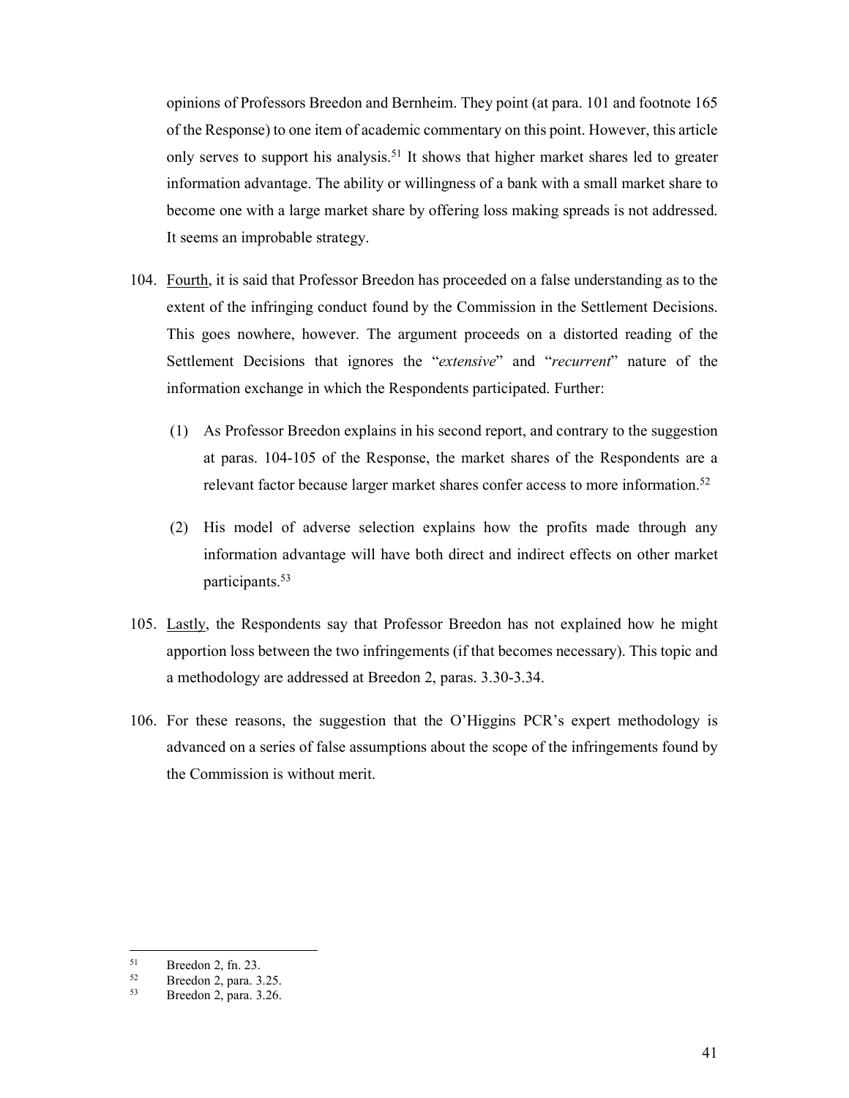opinions of Professors Breedon and Bernheim. They point (at para. 101 and footnote 165 of the Response) to one item of academic commentary on this point. However, this article only serves to support his analysis.<sup>51</sup> It shows that higher market shares led to greater information advantage. The ability or willingness of a bank with a small market share to become one with a large market share by offering loss making spreads is not addressed. It seems an improbable strategy.

- 104. Fourth, it is said that Professor Breedon has proceeded on a false understanding as to the extent of the infringing conduct found by the Commission in the Settlement Decisions. This goes nowhere, however. The argument proceeds on a distorted reading of the Settlement Decisions that ignores the "*extensive*" and "*recurrent*" nature of the information exchange in which the Respondents participated. Further:
	- (1) As Professor Breedon explains in his second report, and contrary to the suggestion at paras. 104-105 of the Response, the market shares of the Respondents are a relevant factor because larger market shares confer access to more information.<sup>52</sup>
	- (2) His model of adverse selection explains how the profits made through any information advantage will have both direct and indirect effects on other market participants.53
- 105. Lastly, the Respondents say that Professor Breedon has not explained how he might apportion loss between the two infringements (if that becomes necessary). This topic and a methodology are addressed at Breedon 2, paras. 3.30-3.34.
- 106. For these reasons, the suggestion that the O'Higgins PCR's expert methodology is advanced on a series of false assumptions about the scope of the infringements found by the Commission is without merit.

 $51$  $51$  Breedon 2, fn. 23.<br> $52$  Breedon 2, para 3

 $52$  Breedon 2, para. 3.25.<br> $53$  Breedon 2, para.  $3.26$ 

<sup>53</sup> Breedon 2, para. 3.26.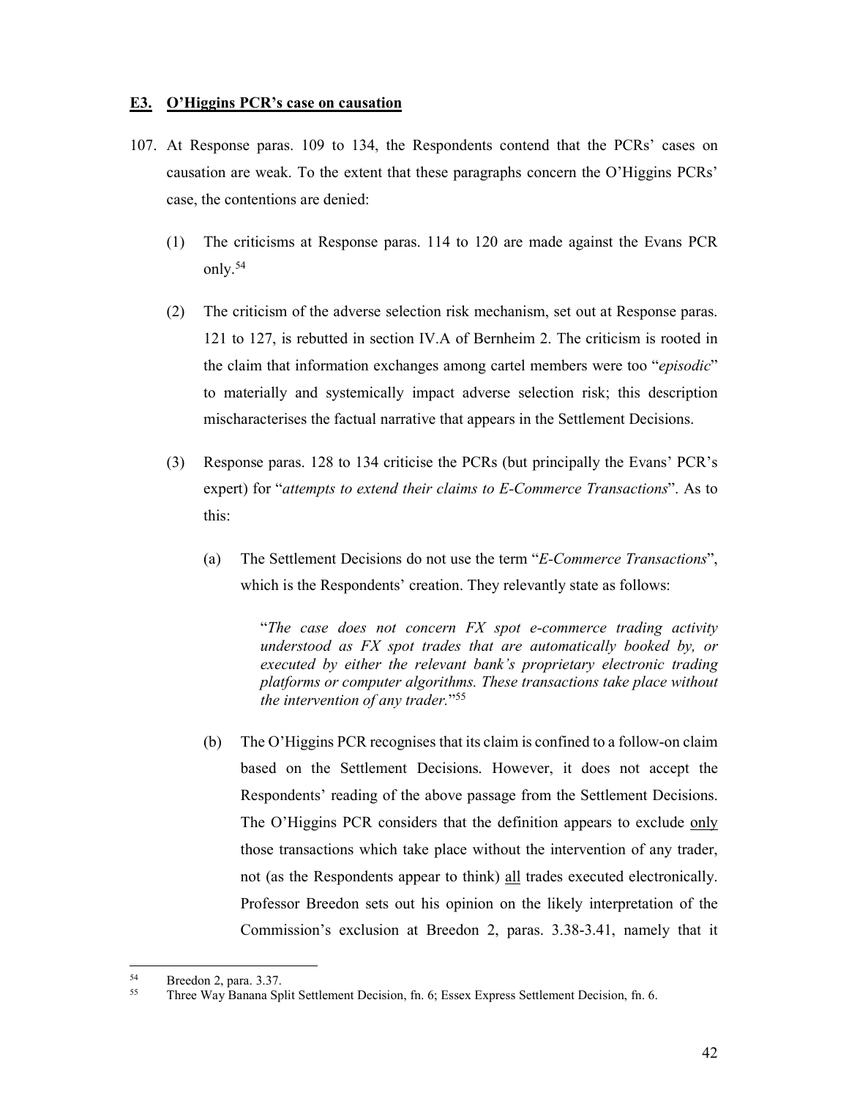#### **E3. O'Higgins PCR's case on causation**

- 107. At Response paras. 109 to 134, the Respondents contend that the PCRs' cases on causation are weak. To the extent that these paragraphs concern the O'Higgins PCRs' case, the contentions are denied:
	- (1) The criticisms at Response paras. 114 to 120 are made against the Evans PCR only.54
	- (2) The criticism of the adverse selection risk mechanism, set out at Response paras. 121 to 127, is rebutted in section IV.A of Bernheim 2. The criticism is rooted in the claim that information exchanges among cartel members were too "*episodic*" to materially and systemically impact adverse selection risk; this description mischaracterises the factual narrative that appears in the Settlement Decisions.
	- (3) Response paras. 128 to 134 criticise the PCRs (but principally the Evans' PCR's expert) for "*attempts to extend their claims to E-Commerce Transactions*". As to this:
		- (a) The Settlement Decisions do not use the term "*E-Commerce Transactions*", which is the Respondents' creation. They relevantly state as follows:

 "*The case does not concern FX spot e-commerce trading activity understood as FX spot trades that are automatically booked by, or executed by either the relevant bank's proprietary electronic trading platforms or computer algorithms. These transactions take place without the intervention of any trader.*"55

(b) The O'Higgins PCR recognises that its claim is confined to a follow-on claim based on the Settlement Decisions. However, it does not accept the Respondents' reading of the above passage from the Settlement Decisions. The O'Higgins PCR considers that the definition appears to exclude only those transactions which take place without the intervention of any trader, not (as the Respondents appear to think) all trades executed electronically. Professor Breedon sets out his opinion on the likely interpretation of the Commission's exclusion at Breedon 2, paras. 3.38-3.41, namely that it

 $54$  Breedon 2, para. 3.37.

<sup>55</sup> Three Way Banana Split Settlement Decision, fn. 6; Essex Express Settlement Decision, fn. 6.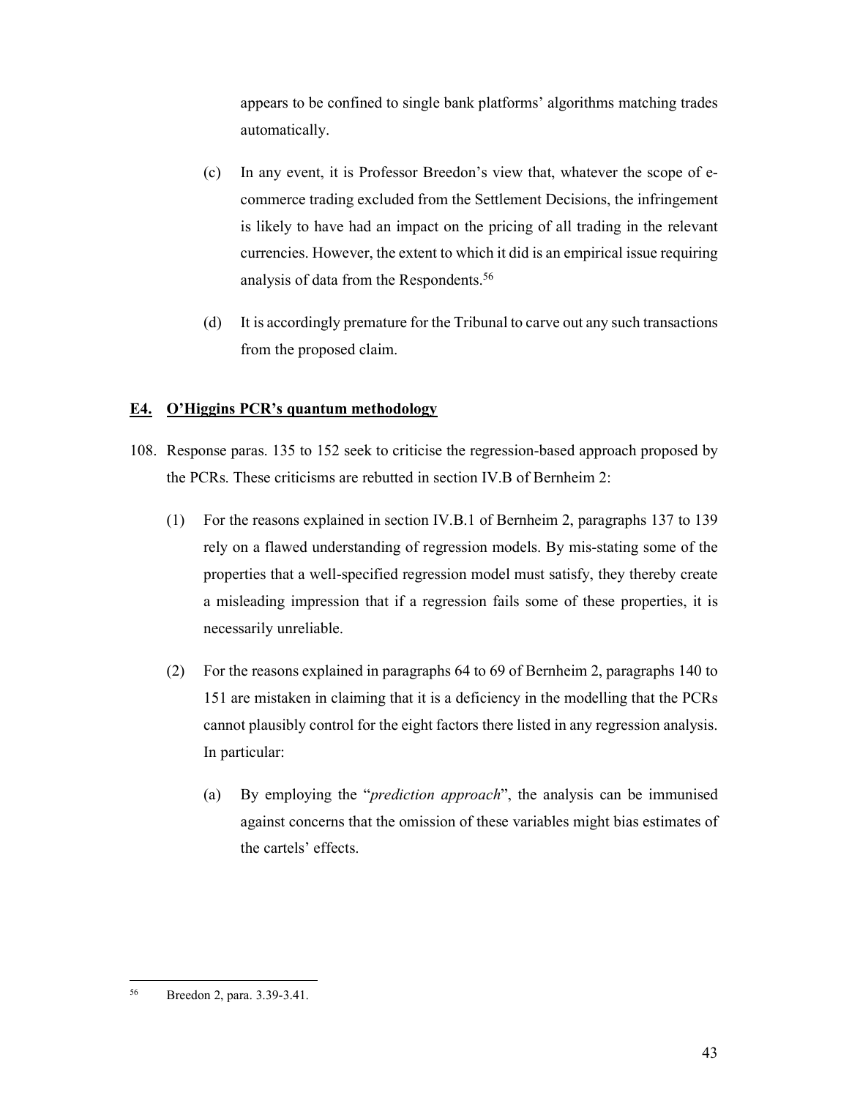appears to be confined to single bank platforms' algorithms matching trades automatically.

- (c) In any event, it is Professor Breedon's view that, whatever the scope of ecommerce trading excluded from the Settlement Decisions, the infringement is likely to have had an impact on the pricing of all trading in the relevant currencies. However, the extent to which it did is an empirical issue requiring analysis of data from the Respondents.56
- (d) It is accordingly premature for the Tribunal to carve out any such transactions from the proposed claim.

## **E4. O'Higgins PCR's quantum methodology**

- 108. Response paras. 135 to 152 seek to criticise the regression-based approach proposed by the PCRs. These criticisms are rebutted in section IV.B of Bernheim 2:
	- (1) For the reasons explained in section IV.B.1 of Bernheim 2, paragraphs 137 to 139 rely on a flawed understanding of regression models. By mis-stating some of the properties that a well-specified regression model must satisfy, they thereby create a misleading impression that if a regression fails some of these properties, it is necessarily unreliable.
	- (2) For the reasons explained in paragraphs 64 to 69 of Bernheim 2, paragraphs 140 to 151 are mistaken in claiming that it is a deficiency in the modelling that the PCRs cannot plausibly control for the eight factors there listed in any regression analysis. In particular:
		- (a) By employing the "*prediction approach*", the analysis can be immunised against concerns that the omission of these variables might bias estimates of the cartels' effects.

<sup>-</sup>56 Breedon 2, para. 3.39-3.41.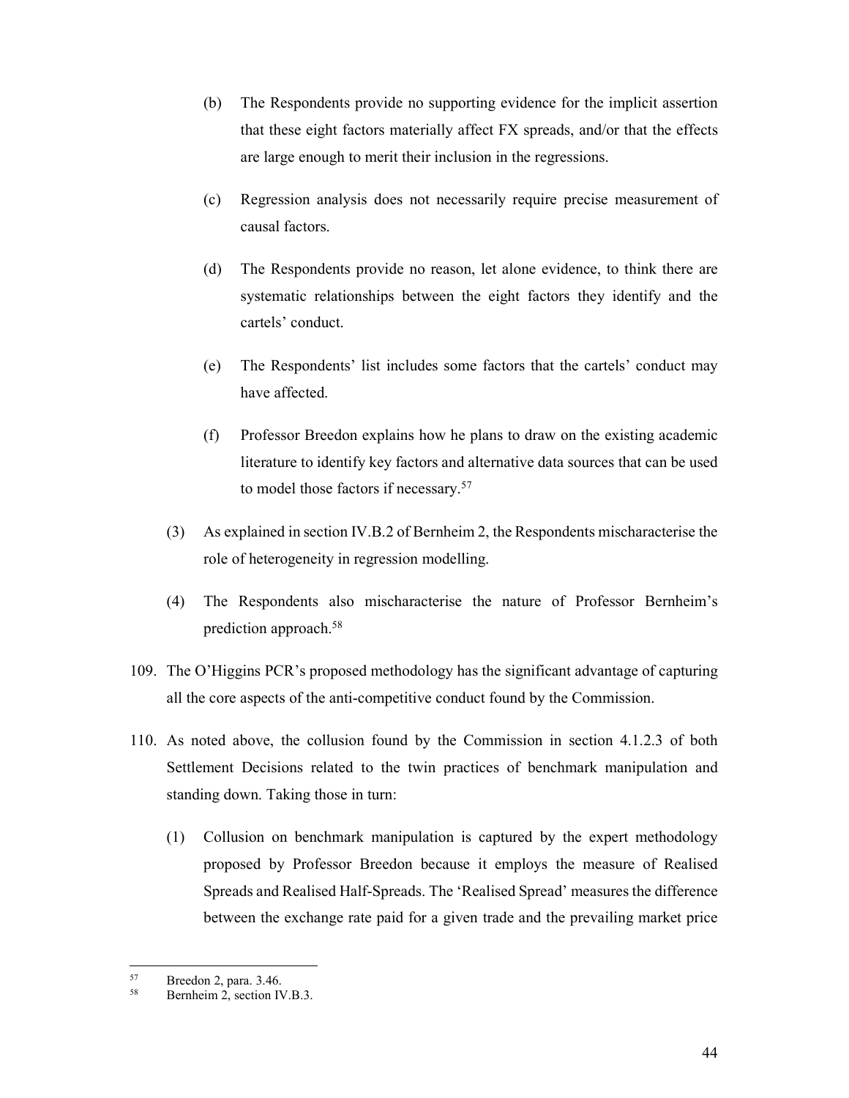- (b) The Respondents provide no supporting evidence for the implicit assertion that these eight factors materially affect FX spreads, and/or that the effects are large enough to merit their inclusion in the regressions.
- (c) Regression analysis does not necessarily require precise measurement of causal factors.
- (d) The Respondents provide no reason, let alone evidence, to think there are systematic relationships between the eight factors they identify and the cartels' conduct.
- (e) The Respondents' list includes some factors that the cartels' conduct may have affected.
- (f) Professor Breedon explains how he plans to draw on the existing academic literature to identify key factors and alternative data sources that can be used to model those factors if necessary.57
- (3) As explained in section IV.B.2 of Bernheim 2, the Respondents mischaracterise the role of heterogeneity in regression modelling.
- (4) The Respondents also mischaracterise the nature of Professor Bernheim's prediction approach.58
- 109. The O'Higgins PCR's proposed methodology has the significant advantage of capturing all the core aspects of the anti-competitive conduct found by the Commission.
- 110. As noted above, the collusion found by the Commission in section 4.1.2.3 of both Settlement Decisions related to the twin practices of benchmark manipulation and standing down. Taking those in turn:
	- (1) Collusion on benchmark manipulation is captured by the expert methodology proposed by Professor Breedon because it employs the measure of Realised Spreads and Realised Half-Spreads. The 'Realised Spread' measures the difference between the exchange rate paid for a given trade and the prevailing market price

 $57$  Breedon 2, para. 3.46.

Bernheim 2, section IV.B.3.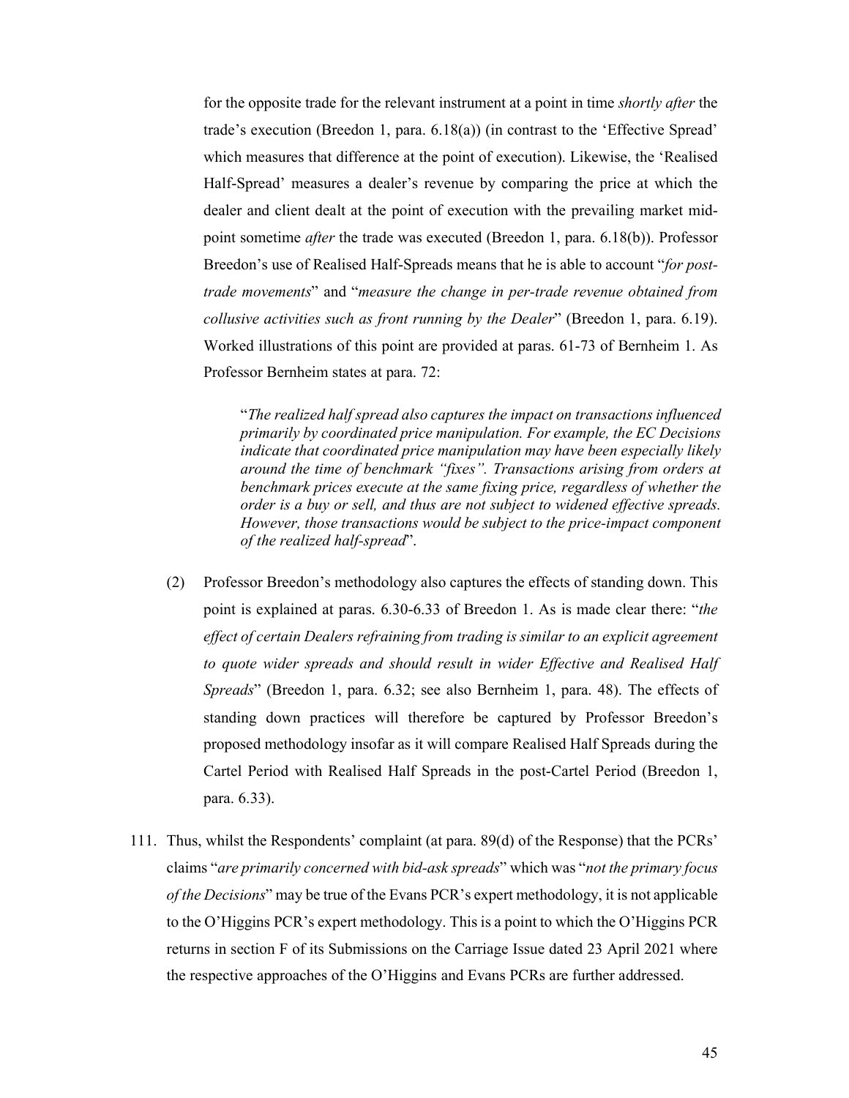for the opposite trade for the relevant instrument at a point in time *shortly after* the trade's execution (Breedon 1, para. 6.18(a)) (in contrast to the 'Effective Spread' which measures that difference at the point of execution). Likewise, the 'Realised Half-Spread' measures a dealer's revenue by comparing the price at which the dealer and client dealt at the point of execution with the prevailing market midpoint sometime *after* the trade was executed (Breedon 1, para. 6.18(b)). Professor Breedon's use of Realised Half-Spreads means that he is able to account "*for posttrade movements*" and "*measure the change in per-trade revenue obtained from collusive activities such as front running by the Dealer*" (Breedon 1, para. 6.19). Worked illustrations of this point are provided at paras. 61-73 of Bernheim 1. As Professor Bernheim states at para. 72:

"*The realized half spread also captures the impact on transactions influenced primarily by coordinated price manipulation. For example, the EC Decisions indicate that coordinated price manipulation may have been especially likely around the time of benchmark "fixes". Transactions arising from orders at benchmark prices execute at the same fixing price, regardless of whether the order is a buy or sell, and thus are not subject to widened effective spreads. However, those transactions would be subject to the price-impact component of the realized half-spread*".

- (2) Professor Breedon's methodology also captures the effects of standing down. This point is explained at paras. 6.30-6.33 of Breedon 1. As is made clear there: "*the effect of certain Dealers refraining from trading is similar to an explicit agreement to quote wider spreads and should result in wider Effective and Realised Half Spreads*" (Breedon 1, para. 6.32; see also Bernheim 1, para. 48). The effects of standing down practices will therefore be captured by Professor Breedon's proposed methodology insofar as it will compare Realised Half Spreads during the Cartel Period with Realised Half Spreads in the post-Cartel Period (Breedon 1, para. 6.33).
- 111. Thus, whilst the Respondents' complaint (at para. 89(d) of the Response) that the PCRs' claims "*are primarily concerned with bid-ask spreads*" which was "*not the primary focus of the Decisions*" may be true of the Evans PCR's expert methodology, it is not applicable to the O'Higgins PCR's expert methodology. This is a point to which the O'Higgins PCR returns in section F of its Submissions on the Carriage Issue dated 23 April 2021 where the respective approaches of the O'Higgins and Evans PCRs are further addressed.